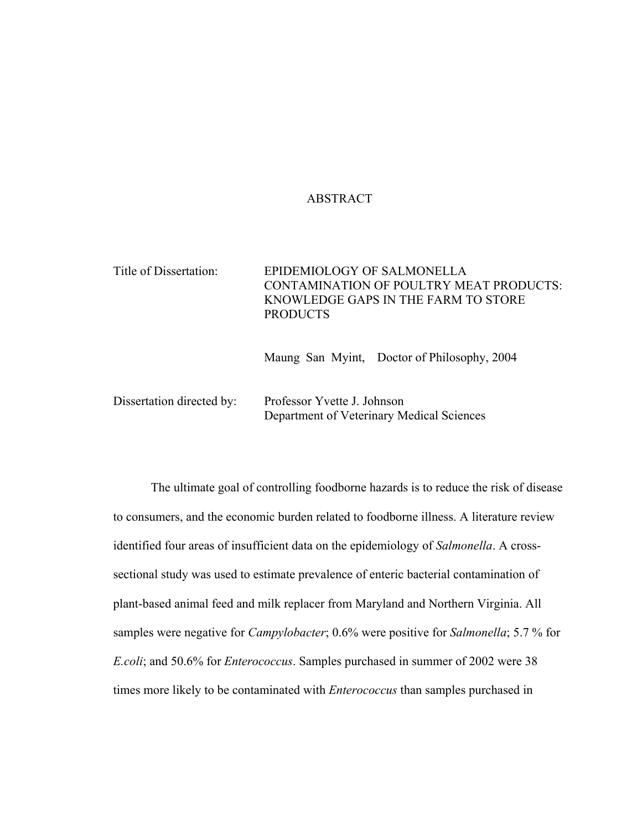# ABSTRACT

| Title of Dissertation: | EPIDEMIOLOGY OF SALMONELLA<br>CONTAMINATION OF POULTRY MEAT PRODUCTS:<br>KNOWLEDGE GAPS IN THE FARM TO STORE<br><b>PRODUCTS</b> |
|------------------------|---------------------------------------------------------------------------------------------------------------------------------|
|                        |                                                                                                                                 |
|                        |                                                                                                                                 |

Maung San Myint, Doctor of Philosophy, 2004

Dissertation directed by: Professor Yvette J. Johnson Department of Veterinary Medical Sciences

The ultimate goal of controlling foodborne hazards is to reduce the risk of disease to consumers, and the economic burden related to foodborne illness. A literature review identified four areas of insufficient data on the epidemiology of *Salmonella*. A crosssectional study was used to estimate prevalence of enteric bacterial contamination of plant-based animal feed and milk replacer from Maryland and Northern Virginia. All samples were negative for *Campylobacter*; 0.6% were positive for *Salmonella*; 5.7 % for *E.coli*; and 50.6% for *Enterococcus*. Samples purchased in summer of 2002 were 38 times more likely to be contaminated with *Enterococcus* than samples purchased in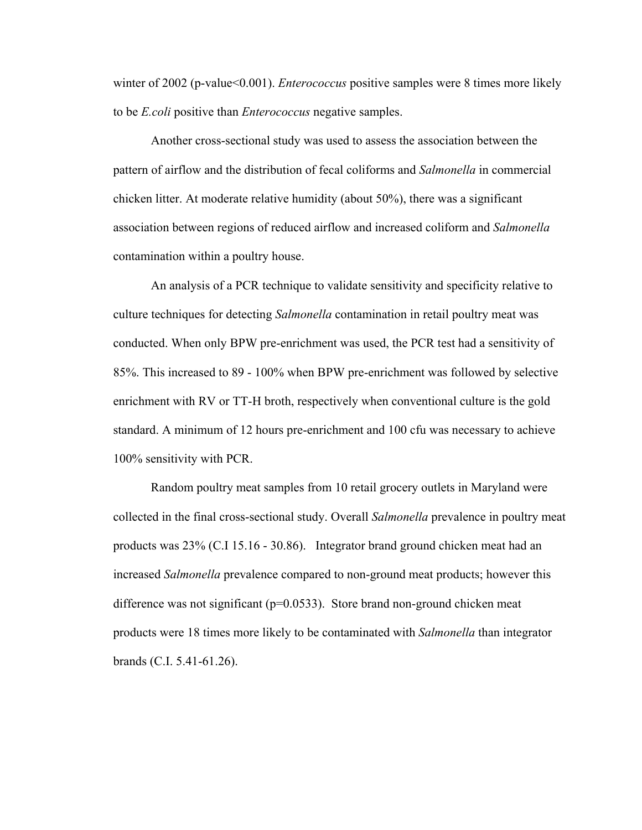winter of 2002 (p-value<0.001). *Enterococcus* positive samples were 8 times more likely to be *E.coli* positive than *Enterococcus* negative samples.

Another cross-sectional study was used to assess the association between the pattern of airflow and the distribution of fecal coliforms and *Salmonella* in commercial chicken litter. At moderate relative humidity (about 50%), there was a significant association between regions of reduced airflow and increased coliform and *Salmonella* contamination within a poultry house.

An analysis of a PCR technique to validate sensitivity and specificity relative to culture techniques for detecting *Salmonella* contamination in retail poultry meat was conducted. When only BPW pre-enrichment was used, the PCR test had a sensitivity of 85%. This increased to 89 - 100% when BPW pre-enrichment was followed by selective enrichment with RV or TT-H broth, respectively when conventional culture is the gold standard. A minimum of 12 hours pre-enrichment and 100 cfu was necessary to achieve 100% sensitivity with PCR.

Random poultry meat samples from 10 retail grocery outlets in Maryland were collected in the final cross-sectional study. Overall *Salmonella* prevalence in poultry meat products was 23% (C.I 15.16 - 30.86). Integrator brand ground chicken meat had an increased *Salmonella* prevalence compared to non-ground meat products; however this difference was not significant ( $p=0.0533$ ). Store brand non-ground chicken meat products were 18 times more likely to be contaminated with *Salmonella* than integrator brands (C.I. 5.41-61.26).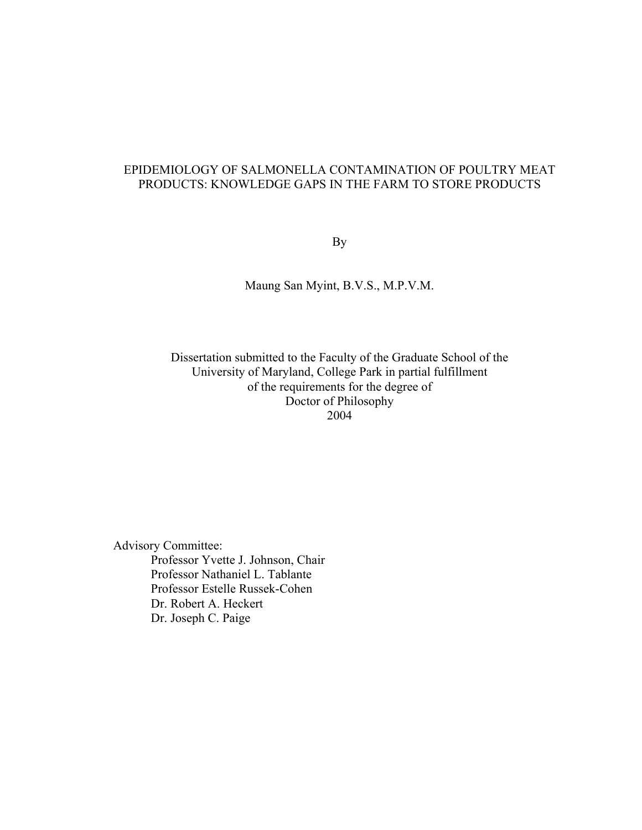# EPIDEMIOLOGY OF SALMONELLA CONTAMINATION OF POULTRY MEAT PRODUCTS: KNOWLEDGE GAPS IN THE FARM TO STORE PRODUCTS

By

Maung San Myint, B.V.S., M.P.V.M.

Dissertation submitted to the Faculty of the Graduate School of the University of Maryland, College Park in partial fulfillment of the requirements for the degree of Doctor of Philosophy 2004

Advisory Committee: Professor Yvette J. Johnson, Chair Professor Nathaniel L. Tablante Professor Estelle Russek-Cohen Dr. Robert A. Heckert Dr. Joseph C. Paige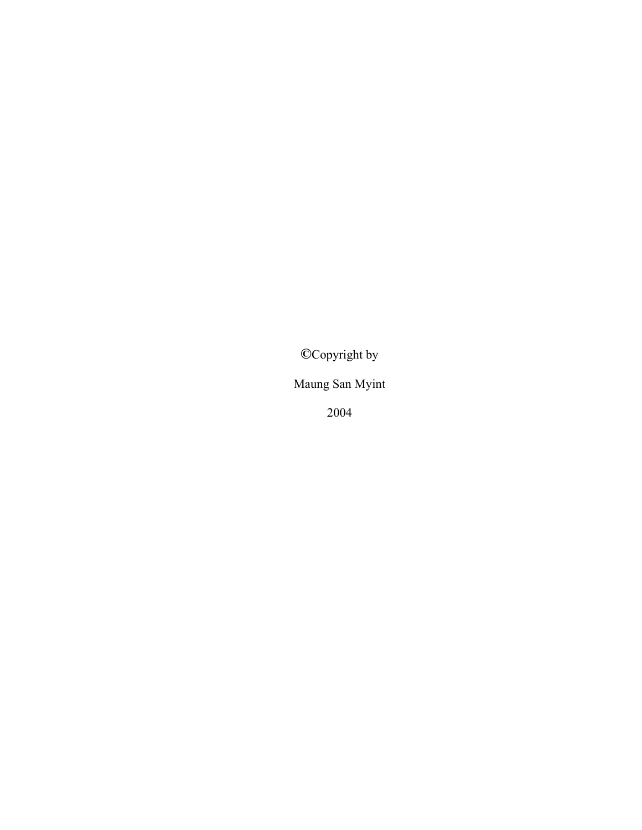**©**Copyright by

Maung San Myint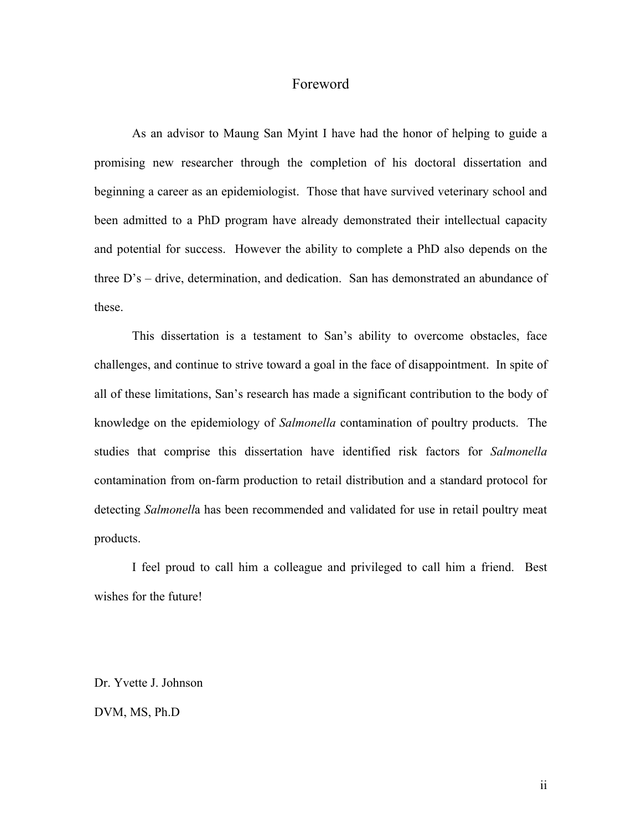# Foreword

As an advisor to Maung San Myint I have had the honor of helping to guide a promising new researcher through the completion of his doctoral dissertation and beginning a career as an epidemiologist. Those that have survived veterinary school and been admitted to a PhD program have already demonstrated their intellectual capacity and potential for success. However the ability to complete a PhD also depends on the three D's – drive, determination, and dedication. San has demonstrated an abundance of these.

This dissertation is a testament to San's ability to overcome obstacles, face challenges, and continue to strive toward a goal in the face of disappointment. In spite of all of these limitations, San's research has made a significant contribution to the body of knowledge on the epidemiology of *Salmonella* contamination of poultry products. The studies that comprise this dissertation have identified risk factors for *Salmonella*  contamination from on-farm production to retail distribution and a standard protocol for detecting *Salmonell*a has been recommended and validated for use in retail poultry meat products.

I feel proud to call him a colleague and privileged to call him a friend. Best wishes for the future!

Dr. Yvette J. Johnson

DVM, MS, Ph.D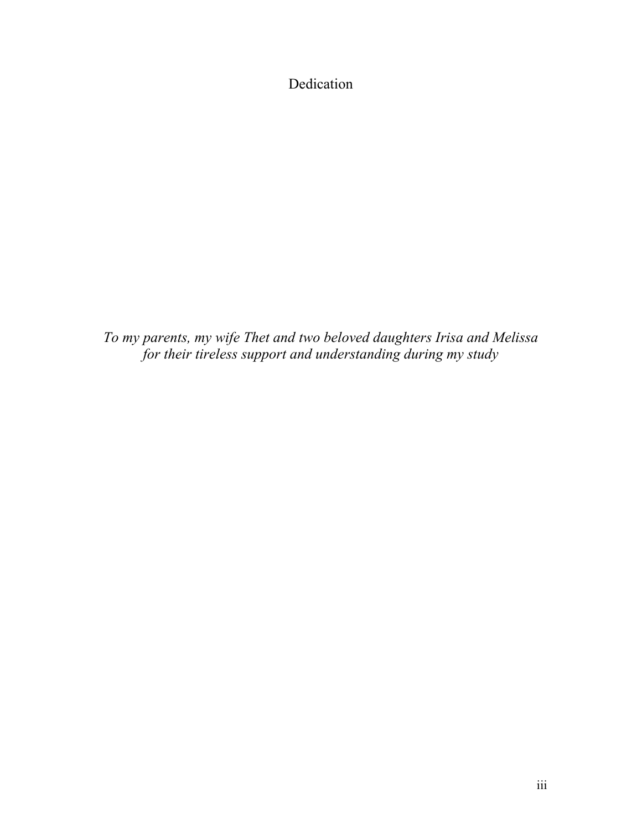Dedication

*To my parents, my wife Thet and two beloved daughters Irisa and Melissa for their tireless support and understanding during my study*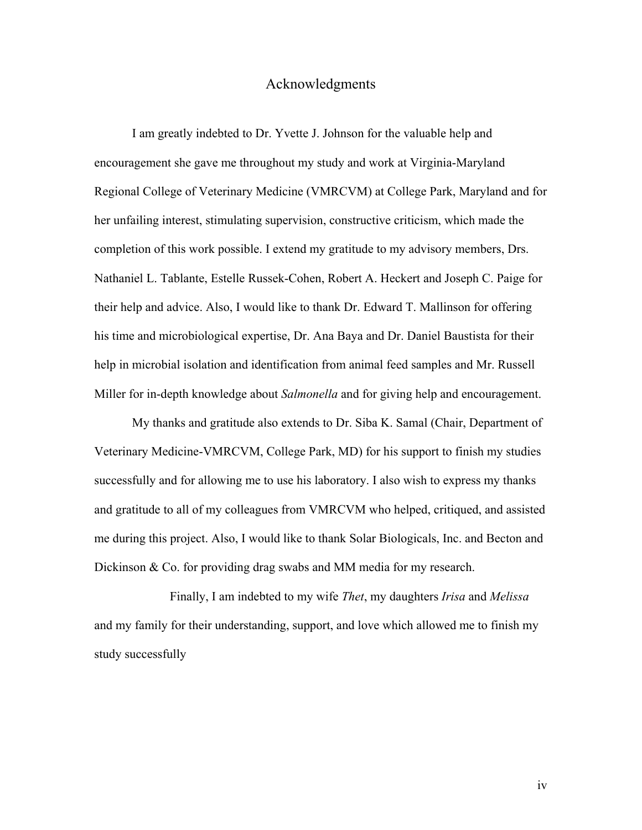#### Acknowledgments

I am greatly indebted to Dr. Yvette J. Johnson for the valuable help and encouragement she gave me throughout my study and work at Virginia-Maryland Regional College of Veterinary Medicine (VMRCVM) at College Park, Maryland and for her unfailing interest, stimulating supervision, constructive criticism, which made the completion of this work possible. I extend my gratitude to my advisory members, Drs. Nathaniel L. Tablante, Estelle Russek-Cohen, Robert A. Heckert and Joseph C. Paige for their help and advice. Also, I would like to thank Dr. Edward T. Mallinson for offering his time and microbiological expertise, Dr. Ana Baya and Dr. Daniel Baustista for their help in microbial isolation and identification from animal feed samples and Mr. Russell Miller for in-depth knowledge about *Salmonella* and for giving help and encouragement.

My thanks and gratitude also extends to Dr. Siba K. Samal (Chair, Department of Veterinary Medicine-VMRCVM, College Park, MD) for his support to finish my studies successfully and for allowing me to use his laboratory. I also wish to express my thanks and gratitude to all of my colleagues from VMRCVM who helped, critiqued, and assisted me during this project. Also, I would like to thank Solar Biologicals, Inc. and Becton and Dickinson & Co. for providing drag swabs and MM media for my research.

Finally, I am indebted to my wife *Thet*, my daughters *Irisa* and *Melissa* and my family for their understanding, support, and love which allowed me to finish my study successfully

iv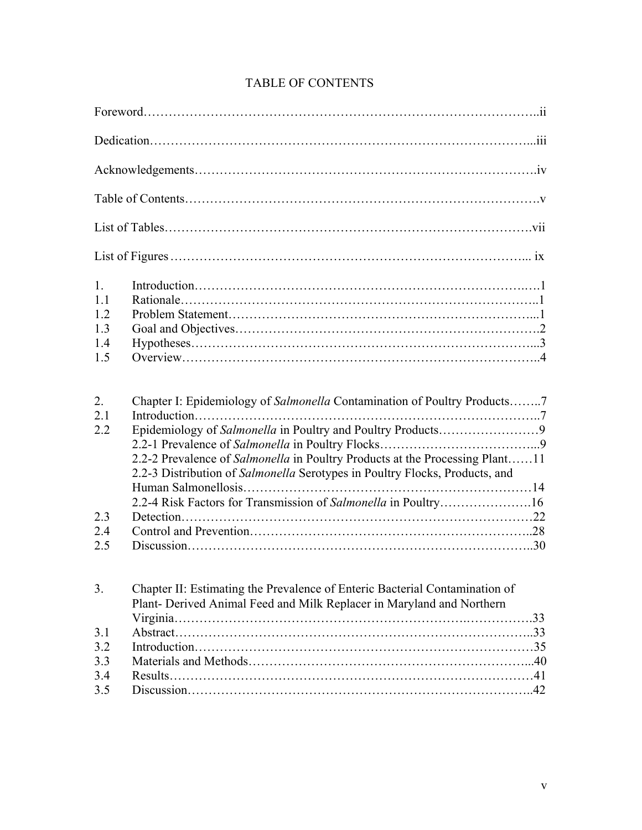| 1.<br>1.1<br>1.2<br>1.3<br>1.4<br>1.5 |                                                                                                                                                                                                                                                                                                           |
|---------------------------------------|-----------------------------------------------------------------------------------------------------------------------------------------------------------------------------------------------------------------------------------------------------------------------------------------------------------|
| 2.<br>2.1<br>2.2                      | Chapter I: Epidemiology of Salmonella Contamination of Poultry Products7<br>2.2-2 Prevalence of Salmonella in Poultry Products at the Processing Plant11<br>2.2-3 Distribution of Salmonella Serotypes in Poultry Flocks, Products, and<br>2.2-4 Risk Factors for Transmission of Salmonella in Poultry16 |
| 2.3                                   |                                                                                                                                                                                                                                                                                                           |
| 2.4<br>2.5                            |                                                                                                                                                                                                                                                                                                           |
| 3.                                    | Chapter II: Estimating the Prevalence of Enteric Bacterial Contamination of<br>Plant- Derived Animal Feed and Milk Replacer in Maryland and Northern                                                                                                                                                      |
| 3.1                                   |                                                                                                                                                                                                                                                                                                           |
| 3.2                                   |                                                                                                                                                                                                                                                                                                           |
| 3.3                                   |                                                                                                                                                                                                                                                                                                           |
| 3.4                                   |                                                                                                                                                                                                                                                                                                           |

3.5 Discussion………………………………………………………………………..42

# TABLE OF CONTENTS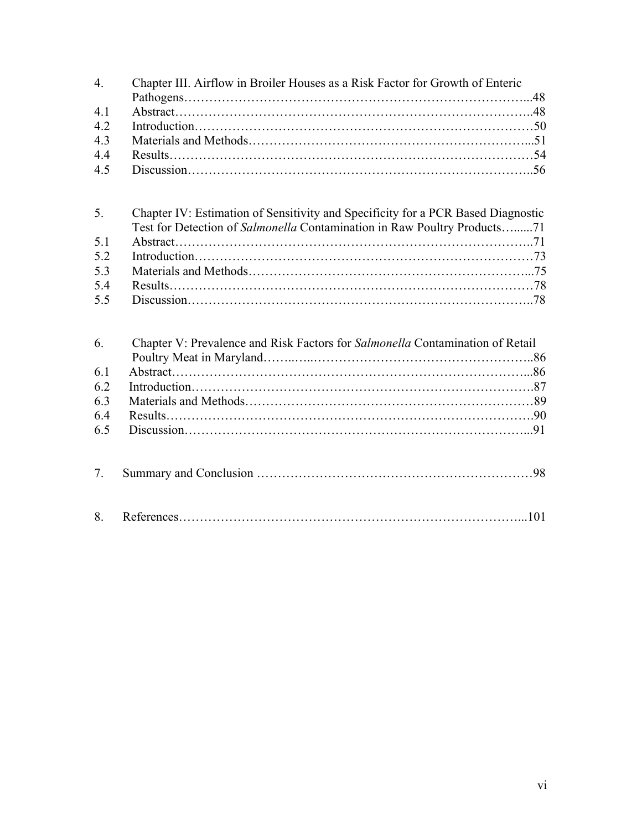| $\overline{4}$ . | Chapter III. Airflow in Broiler Houses as a Risk Factor for Growth of Enteric    |  |
|------------------|----------------------------------------------------------------------------------|--|
| 4.1              |                                                                                  |  |
| 4.2              |                                                                                  |  |
| 4.3              |                                                                                  |  |
| 4.4              |                                                                                  |  |
| 4.5              |                                                                                  |  |
|                  |                                                                                  |  |
| 5.               | Chapter IV: Estimation of Sensitivity and Specificity for a PCR Based Diagnostic |  |
|                  | Test for Detection of Salmonella Contamination in Raw Poultry Products71         |  |
| 5.1              |                                                                                  |  |
| 5.2              |                                                                                  |  |
| 5.3              |                                                                                  |  |
| 5.4              |                                                                                  |  |
| 5.5              |                                                                                  |  |
| 6.               | Chapter V: Prevalence and Risk Factors for Salmonella Contamination of Retail    |  |
|                  |                                                                                  |  |
| 6.1              |                                                                                  |  |
| 6.2              |                                                                                  |  |
| 6.3              |                                                                                  |  |
| 6.4              |                                                                                  |  |
| 6.5              |                                                                                  |  |
| 7 <sub>1</sub>   |                                                                                  |  |
| 8.               |                                                                                  |  |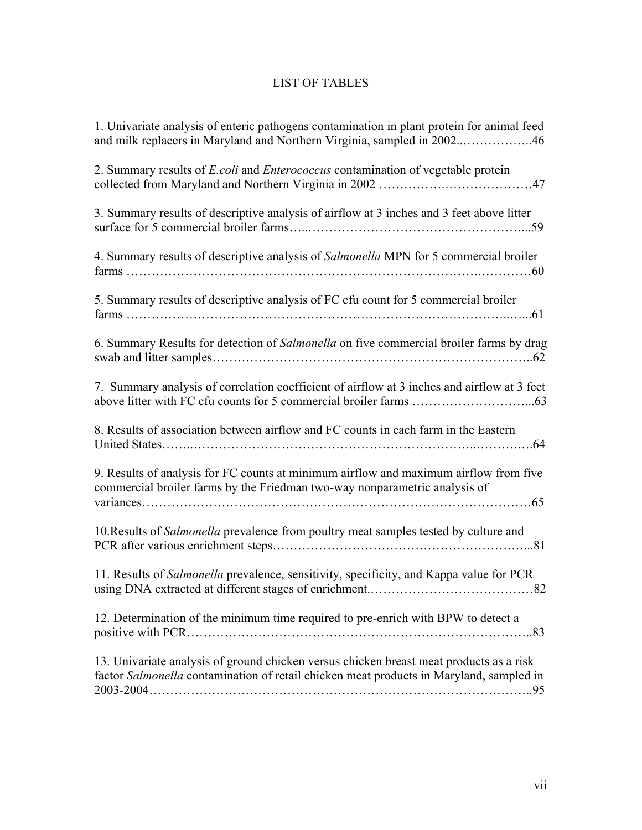# LIST OF TABLES

| 1. Univariate analysis of enteric pathogens contamination in plant protein for animal feed<br>and milk replacers in Maryland and Northern Virginia, sampled in 200246              |
|------------------------------------------------------------------------------------------------------------------------------------------------------------------------------------|
| 2. Summary results of <i>E.coli</i> and <i>Enterococcus</i> contamination of vegetable protein                                                                                     |
| 3. Summary results of descriptive analysis of airflow at 3 inches and 3 feet above litter                                                                                          |
| 4. Summary results of descriptive analysis of Salmonella MPN for 5 commercial broiler                                                                                              |
| 5. Summary results of descriptive analysis of FC cfu count for 5 commercial broiler                                                                                                |
| 6. Summary Results for detection of Salmonella on five commercial broiler farms by drag                                                                                            |
| 7. Summary analysis of correlation coefficient of airflow at 3 inches and airflow at 3 feet                                                                                        |
| 8. Results of association between airflow and FC counts in each farm in the Eastern                                                                                                |
| 9. Results of analysis for FC counts at minimum airflow and maximum airflow from five<br>commercial broiler farms by the Friedman two-way nonparametric analysis of                |
| 10. Results of <i>Salmonella</i> prevalence from poultry meat samples tested by culture and                                                                                        |
| 11. Results of Salmonella prevalence, sensitivity, specificity, and Kappa value for PCR                                                                                            |
| 12. Determination of the minimum time required to pre-enrich with BPW to detect a                                                                                                  |
| 13. Univariate analysis of ground chicken versus chicken breast meat products as a risk<br>factor Salmonella contamination of retail chicken meat products in Maryland, sampled in |
|                                                                                                                                                                                    |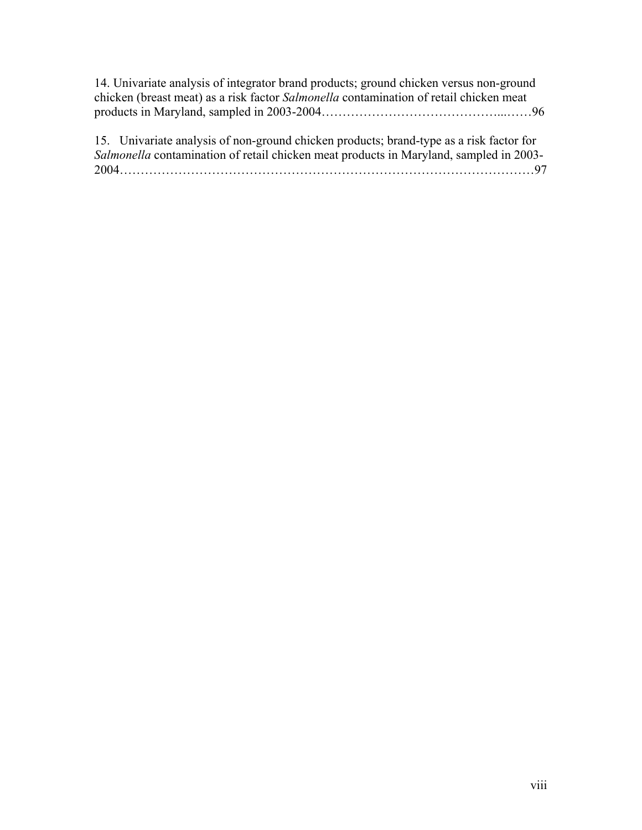| 14. Univariate analysis of integrator brand products; ground chicken versus non-ground        |  |
|-----------------------------------------------------------------------------------------------|--|
| chicken (breast meat) as a risk factor <i>Salmonella</i> contamination of retail chicken meat |  |
|                                                                                               |  |

15. Univariate analysis of non-ground chicken products; brand-type as a risk factor for *Salmonella* contamination of retail chicken meat products in Maryland, sampled in 2003- 2004………………………………………………………………………………………97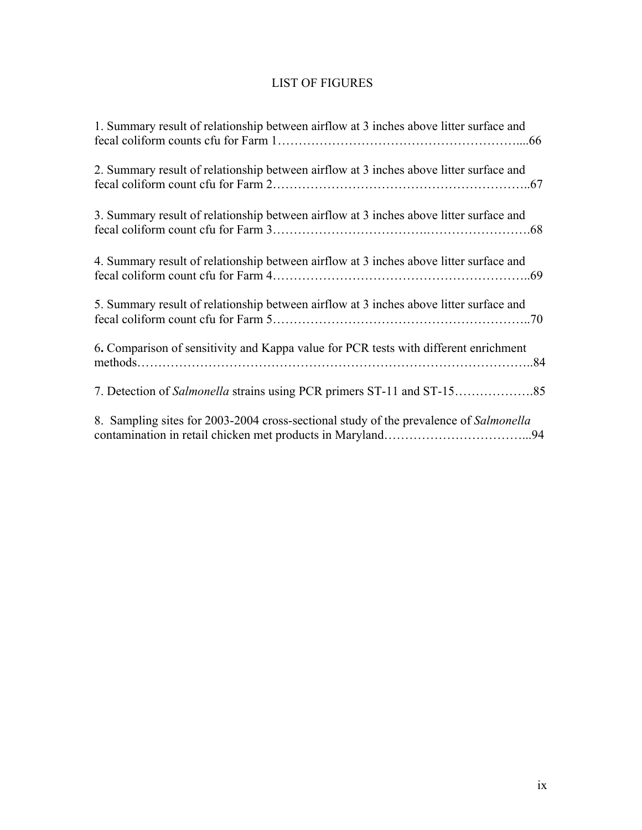# LIST OF FIGURES

| 1. Summary result of relationship between airflow at 3 inches above litter surface and |
|----------------------------------------------------------------------------------------|
| 2. Summary result of relationship between airflow at 3 inches above litter surface and |
| 3. Summary result of relationship between airflow at 3 inches above litter surface and |
| 4. Summary result of relationship between airflow at 3 inches above litter surface and |
| 5. Summary result of relationship between airflow at 3 inches above litter surface and |
| 6. Comparison of sensitivity and Kappa value for PCR tests with different enrichment   |
|                                                                                        |
| 8. Sampling sites for 2003-2004 cross-sectional study of the prevalence of Salmonella  |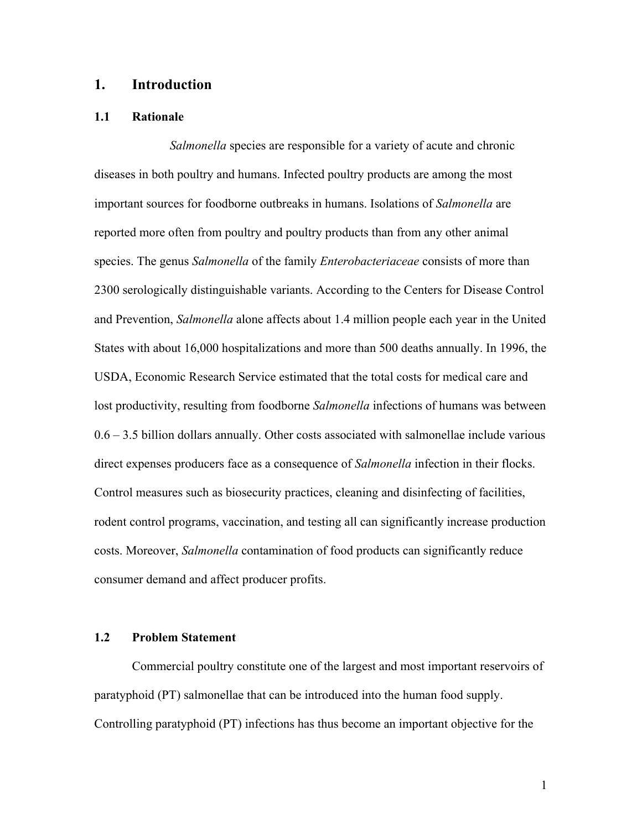# **1. Introduction**

#### **1.1 Rationale**

*Salmonella* species are responsible for a variety of acute and chronic diseases in both poultry and humans. Infected poultry products are among the most important sources for foodborne outbreaks in humans. Isolations of *Salmonella* are reported more often from poultry and poultry products than from any other animal species. The genus *Salmonella* of the family *Enterobacteriaceae* consists of more than 2300 serologically distinguishable variants. According to the Centers for Disease Control and Prevention, *Salmonella* alone affects about 1.4 million people each year in the United States with about 16,000 hospitalizations and more than 500 deaths annually. In 1996, the USDA, Economic Research Service estimated that the total costs for medical care and lost productivity, resulting from foodborne *Salmonella* infections of humans was between 0.6 – 3.5 billion dollars annually. Other costs associated with salmonellae include various direct expenses producers face as a consequence of *Salmonella* infection in their flocks. Control measures such as biosecurity practices, cleaning and disinfecting of facilities, rodent control programs, vaccination, and testing all can significantly increase production costs. Moreover, *Salmonella* contamination of food products can significantly reduce consumer demand and affect producer profits.

## **1.2 Problem Statement**

Commercial poultry constitute one of the largest and most important reservoirs of paratyphoid (PT) salmonellae that can be introduced into the human food supply. Controlling paratyphoid (PT) infections has thus become an important objective for the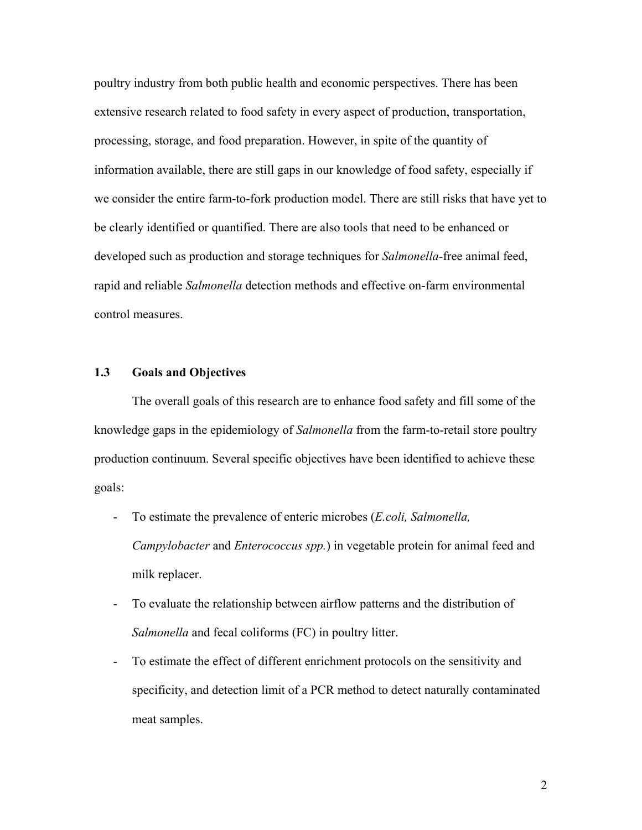poultry industry from both public health and economic perspectives. There has been extensive research related to food safety in every aspect of production, transportation, processing, storage, and food preparation. However, in spite of the quantity of information available, there are still gaps in our knowledge of food safety, especially if we consider the entire farm-to-fork production model. There are still risks that have yet to be clearly identified or quantified. There are also tools that need to be enhanced or developed such as production and storage techniques for *Salmonella*-free animal feed, rapid and reliable *Salmonella* detection methods and effective on-farm environmental control measures.

### **1.3 Goals and Objectives**

The overall goals of this research are to enhance food safety and fill some of the knowledge gaps in the epidemiology of *Salmonella* from the farm-to-retail store poultry production continuum. Several specific objectives have been identified to achieve these goals:

- To estimate the prevalence of enteric microbes (*E.coli, Salmonella, Campylobacter* and *Enterococcus spp.*) in vegetable protein for animal feed and milk replacer.
- To evaluate the relationship between airflow patterns and the distribution of *Salmonella* and fecal coliforms (FC) in poultry litter.
- To estimate the effect of different enrichment protocols on the sensitivity and specificity, and detection limit of a PCR method to detect naturally contaminated meat samples.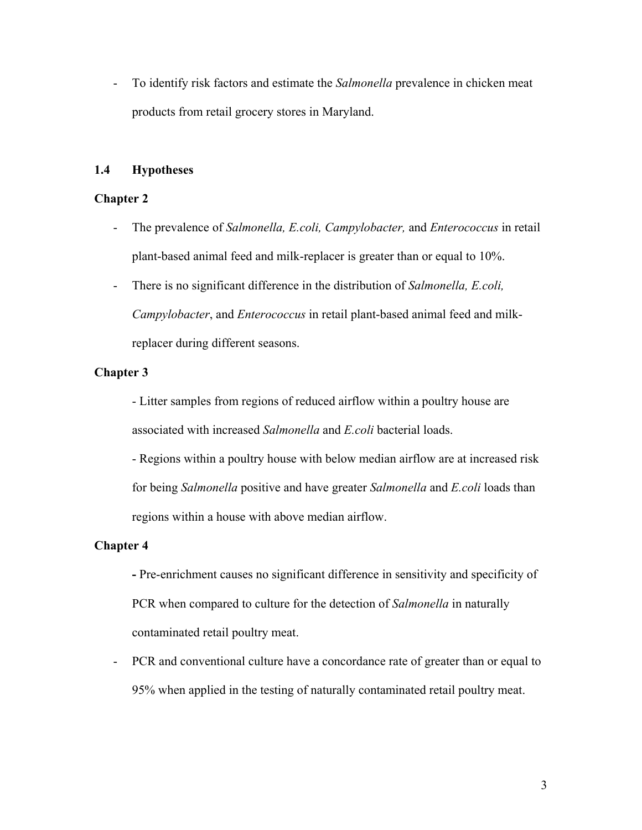- To identify risk factors and estimate the *Salmonella* prevalence in chicken meat products from retail grocery stores in Maryland.

# **1.4 Hypotheses**

# **Chapter 2**

- The prevalence of *Salmonella, E.coli, Campylobacter,* and *Enterococcus* in retail plant-based animal feed and milk-replacer is greater than or equal to 10%.
- There is no significant difference in the distribution of *Salmonella, E.coli, Campylobacter*, and *Enterococcus* in retail plant-based animal feed and milkreplacer during different seasons.

# **Chapter 3**

- Litter samples from regions of reduced airflow within a poultry house are associated with increased *Salmonella* and *E.coli* bacterial loads.

- Regions within a poultry house with below median airflow are at increased risk for being *Salmonella* positive and have greater *Salmonella* and *E.coli* loads than regions within a house with above median airflow.

### **Chapter 4**

**-** Pre-enrichment causes no significant difference in sensitivity and specificity of PCR when compared to culture for the detection of *Salmonella* in naturally contaminated retail poultry meat.

- PCR and conventional culture have a concordance rate of greater than or equal to 95% when applied in the testing of naturally contaminated retail poultry meat.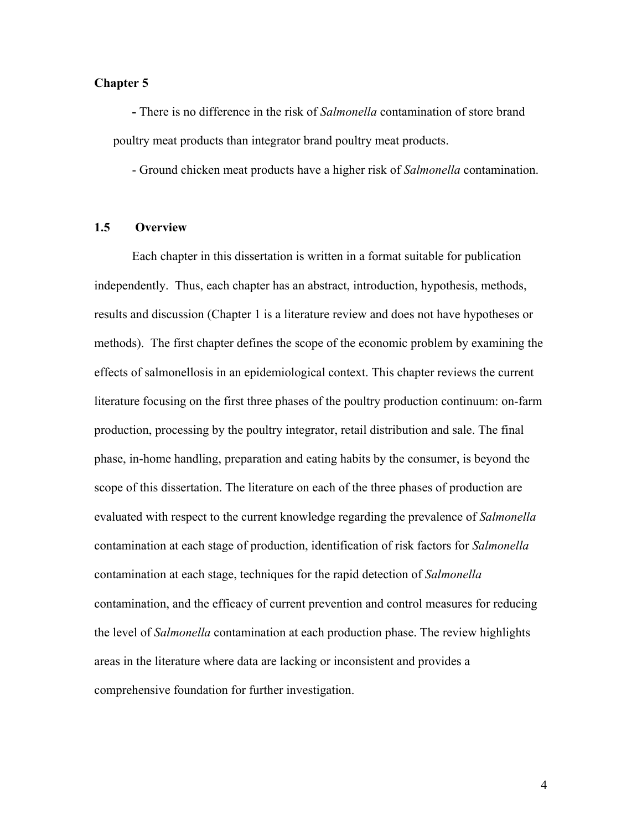#### **Chapter 5**

 **-** There is no difference in the risk of *Salmonella* contamination of store brand poultry meat products than integrator brand poultry meat products.

- Ground chicken meat products have a higher risk of *Salmonella* contamination.

#### **1.5 Overview**

Each chapter in this dissertation is written in a format suitable for publication independently. Thus, each chapter has an abstract, introduction, hypothesis, methods, results and discussion (Chapter 1 is a literature review and does not have hypotheses or methods). The first chapter defines the scope of the economic problem by examining the effects of salmonellosis in an epidemiological context. This chapter reviews the current literature focusing on the first three phases of the poultry production continuum: on-farm production, processing by the poultry integrator, retail distribution and sale. The final phase, in-home handling, preparation and eating habits by the consumer, is beyond the scope of this dissertation. The literature on each of the three phases of production are evaluated with respect to the current knowledge regarding the prevalence of *Salmonella* contamination at each stage of production, identification of risk factors for *Salmonella* contamination at each stage, techniques for the rapid detection of *Salmonella* contamination, and the efficacy of current prevention and control measures for reducing the level of *Salmonella* contamination at each production phase. The review highlights areas in the literature where data are lacking or inconsistent and provides a comprehensive foundation for further investigation.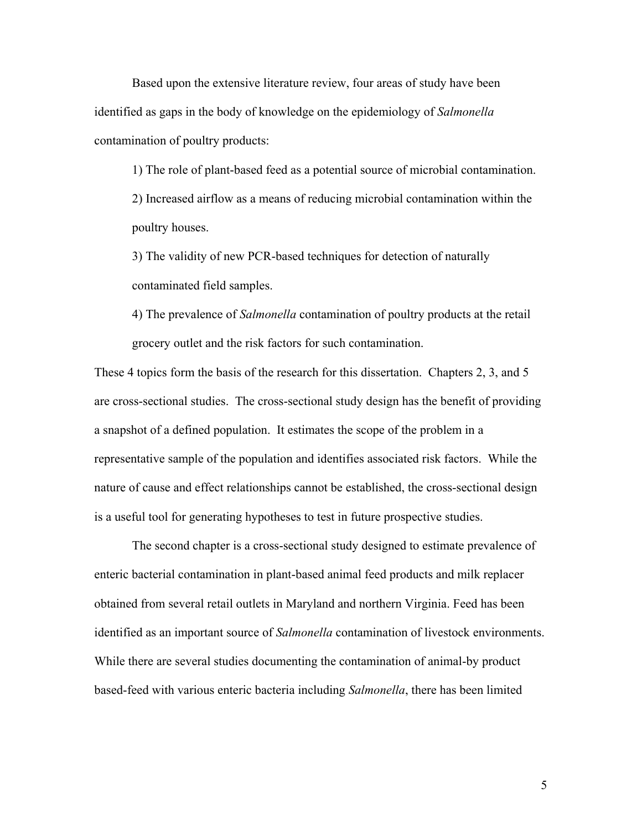Based upon the extensive literature review, four areas of study have been identified as gaps in the body of knowledge on the epidemiology of *Salmonella* contamination of poultry products:

1) The role of plant-based feed as a potential source of microbial contamination. 2) Increased airflow as a means of reducing microbial contamination within the poultry houses.

3) The validity of new PCR-based techniques for detection of naturally contaminated field samples.

4) The prevalence of *Salmonella* contamination of poultry products at the retail grocery outlet and the risk factors for such contamination.

These 4 topics form the basis of the research for this dissertation. Chapters 2, 3, and 5 are cross-sectional studies. The cross-sectional study design has the benefit of providing a snapshot of a defined population. It estimates the scope of the problem in a representative sample of the population and identifies associated risk factors. While the nature of cause and effect relationships cannot be established, the cross-sectional design is a useful tool for generating hypotheses to test in future prospective studies.

The second chapter is a cross-sectional study designed to estimate prevalence of enteric bacterial contamination in plant-based animal feed products and milk replacer obtained from several retail outlets in Maryland and northern Virginia. Feed has been identified as an important source of *Salmonella* contamination of livestock environments. While there are several studies documenting the contamination of animal-by product based-feed with various enteric bacteria including *Salmonella*, there has been limited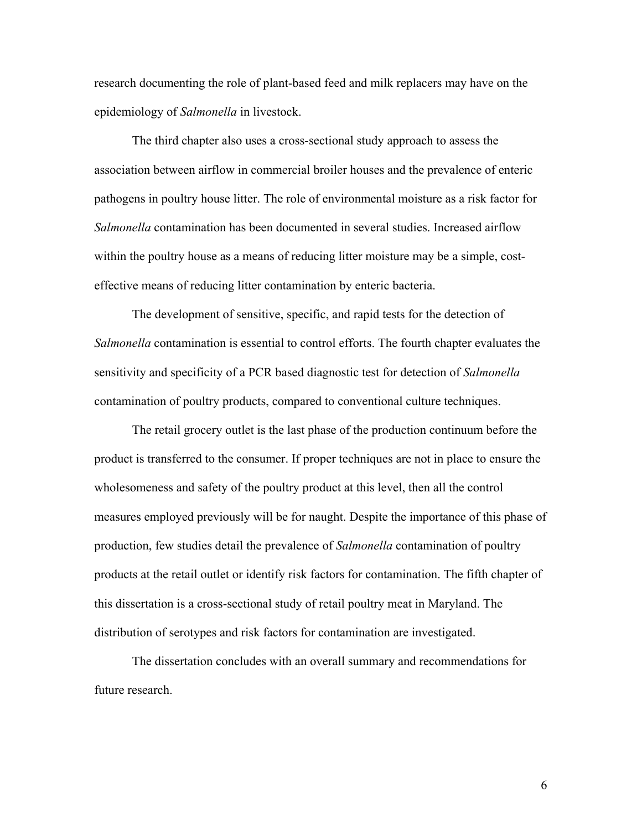research documenting the role of plant-based feed and milk replacers may have on the epidemiology of *Salmonella* in livestock.

The third chapter also uses a cross-sectional study approach to assess the association between airflow in commercial broiler houses and the prevalence of enteric pathogens in poultry house litter. The role of environmental moisture as a risk factor for *Salmonella* contamination has been documented in several studies. Increased airflow within the poultry house as a means of reducing litter moisture may be a simple, costeffective means of reducing litter contamination by enteric bacteria.

The development of sensitive, specific, and rapid tests for the detection of *Salmonella* contamination is essential to control efforts. The fourth chapter evaluates the sensitivity and specificity of a PCR based diagnostic test for detection of *Salmonella* contamination of poultry products, compared to conventional culture techniques.

The retail grocery outlet is the last phase of the production continuum before the product is transferred to the consumer. If proper techniques are not in place to ensure the wholesomeness and safety of the poultry product at this level, then all the control measures employed previously will be for naught. Despite the importance of this phase of production, few studies detail the prevalence of *Salmonella* contamination of poultry products at the retail outlet or identify risk factors for contamination. The fifth chapter of this dissertation is a cross-sectional study of retail poultry meat in Maryland. The distribution of serotypes and risk factors for contamination are investigated.

The dissertation concludes with an overall summary and recommendations for future research.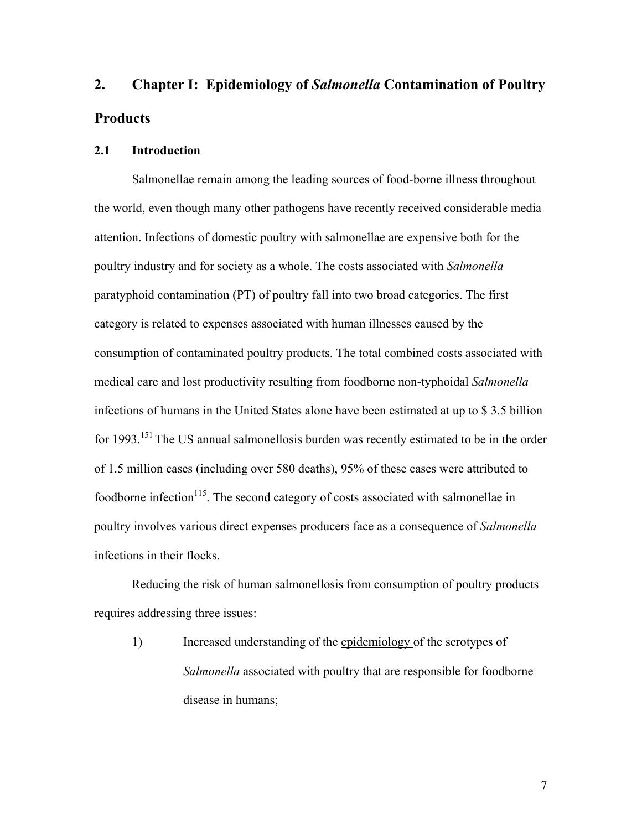# **2. Chapter I: Epidemiology of** *Salmonella* **Contamination of Poultry Products**

#### **2.1 Introduction**

Salmonellae remain among the leading sources of food-borne illness throughout the world, even though many other pathogens have recently received considerable media attention. Infections of domestic poultry with salmonellae are expensive both for the poultry industry and for society as a whole. The costs associated with *Salmonella* paratyphoid contamination (PT) of poultry fall into two broad categories. The first category is related to expenses associated with human illnesses caused by the consumption of contaminated poultry products. The total combined costs associated with medical care and lost productivity resulting from foodborne non-typhoidal *Salmonella* infections of humans in the United States alone have been estimated at up to \$ 3.5 billion for 1993.<sup>151</sup> The US annual salmonellosis burden was recently estimated to be in the order of 1.5 million cases (including over 580 deaths), 95% of these cases were attributed to foodborne infection<sup>115</sup>. The second category of costs associated with salmonellae in poultry involves various direct expenses producers face as a consequence of *Salmonella* infections in their flocks.

Reducing the risk of human salmonellosis from consumption of poultry products requires addressing three issues:

1) Increased understanding of the epidemiology of the serotypes of *Salmonella* associated with poultry that are responsible for foodborne disease in humans;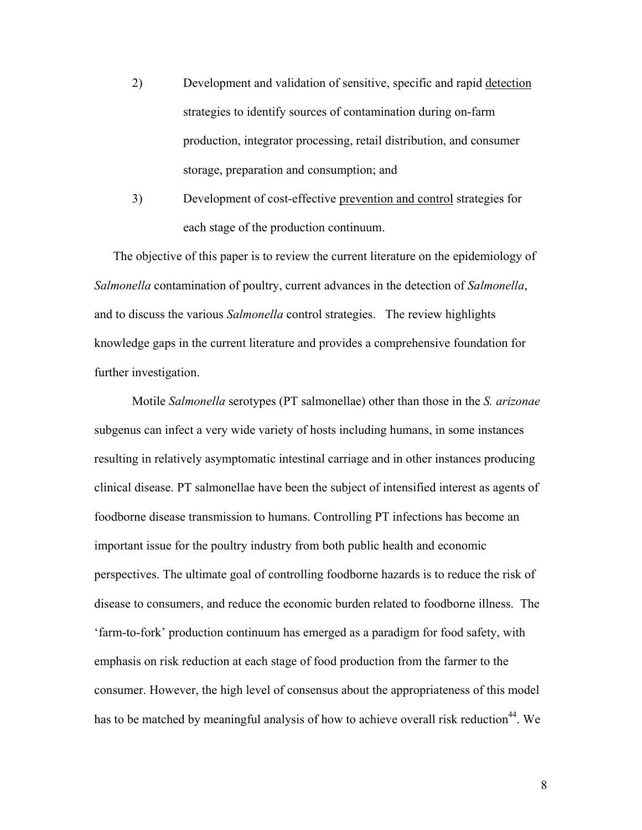- 2) Development and validation of sensitive, specific and rapid detection strategies to identify sources of contamination during on-farm production, integrator processing, retail distribution, and consumer storage, preparation and consumption; and
- 3) Development of cost-effective prevention and control strategies for each stage of the production continuum.

The objective of this paper is to review the current literature on the epidemiology of *Salmonella* contamination of poultry, current advances in the detection of *Salmonella*, and to discuss the various *Salmonella* control strategies.The review highlights knowledge gaps in the current literature and provides a comprehensive foundation for further investigation.

Motile *Salmonella* serotypes (PT salmonellae) other than those in the *S. arizonae* subgenus can infect a very wide variety of hosts including humans, in some instances resulting in relatively asymptomatic intestinal carriage and in other instances producing clinical disease. PT salmonellae have been the subject of intensified interest as agents of foodborne disease transmission to humans. Controlling PT infections has become an important issue for the poultry industry from both public health and economic perspectives. The ultimate goal of controlling foodborne hazards is to reduce the risk of disease to consumers, and reduce the economic burden related to foodborne illness. The 'farm-to-fork' production continuum has emerged as a paradigm for food safety, with emphasis on risk reduction at each stage of food production from the farmer to the consumer. However, the high level of consensus about the appropriateness of this model has to be matched by meaningful analysis of how to achieve overall risk reduction<sup>44</sup>. We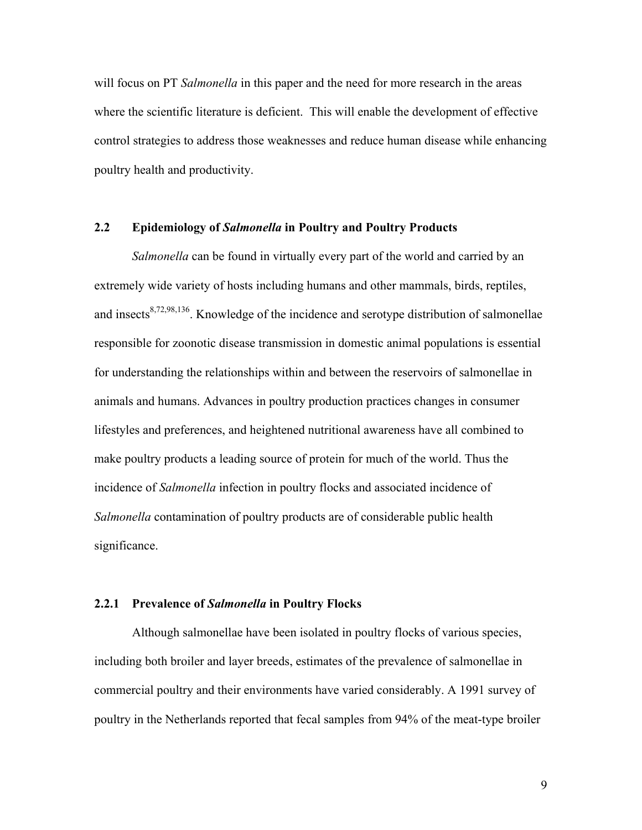will focus on PT *Salmonella* in this paper and the need for more research in the areas where the scientific literature is deficient. This will enable the development of effective control strategies to address those weaknesses and reduce human disease while enhancing poultry health and productivity.

#### **2.2 Epidemiology of** *Salmonella* **in Poultry and Poultry Products**

*Salmonella* can be found in virtually every part of the world and carried by an extremely wide variety of hosts including humans and other mammals, birds, reptiles, and insects<sup>8,72,98,136</sup>. Knowledge of the incidence and serotype distribution of salmonellae responsible for zoonotic disease transmission in domestic animal populations is essential for understanding the relationships within and between the reservoirs of salmonellae in animals and humans. Advances in poultry production practices changes in consumer lifestyles and preferences, and heightened nutritional awareness have all combined to make poultry products a leading source of protein for much of the world. Thus the incidence of *Salmonella* infection in poultry flocks and associated incidence of *Salmonella* contamination of poultry products are of considerable public health significance.

#### **2.2.1 Prevalence of** *Salmonella* **in Poultry Flocks**

Although salmonellae have been isolated in poultry flocks of various species, including both broiler and layer breeds, estimates of the prevalence of salmonellae in commercial poultry and their environments have varied considerably. A 1991 survey of poultry in the Netherlands reported that fecal samples from 94% of the meat-type broiler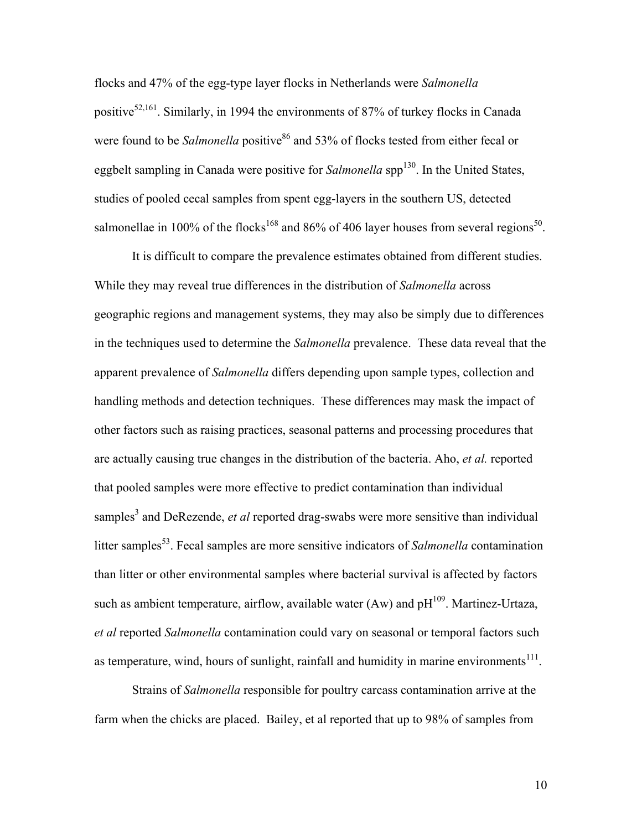flocks and 47% of the egg-type layer flocks in Netherlands were *Salmonella*  positive<sup>52,161</sup>. Similarly, in 1994 the environments of 87% of turkey flocks in Canada were found to be *Salmonella* positive<sup>86</sup> and 53% of flocks tested from either fecal or eggbelt sampling in Canada were positive for *Salmonella* spp<sup>130</sup>. In the United States, studies of pooled cecal samples from spent egg-layers in the southern US, detected salmonellae in 100% of the flocks<sup>168</sup> and 86% of 406 layer houses from several regions<sup>50</sup>.

It is difficult to compare the prevalence estimates obtained from different studies. While they may reveal true differences in the distribution of *Salmonella* across geographic regions and management systems, they may also be simply due to differences in the techniques used to determine the *Salmonella* prevalence. These data reveal that the apparent prevalence of *Salmonella* differs depending upon sample types, collection and handling methods and detection techniques. These differences may mask the impact of other factors such as raising practices, seasonal patterns and processing procedures that are actually causing true changes in the distribution of the bacteria. Aho, *et al.* reported that pooled samples were more effective to predict contamination than individual samples<sup>3</sup> and DeRezende, *et al* reported drag-swabs were more sensitive than individual litter samples<sup>53</sup>. Fecal samples are more sensitive indicators of *Salmonella* contamination than litter or other environmental samples where bacterial survival is affected by factors such as ambient temperature, airflow, available water (Aw) and  $pH^{109}$ . Martinez-Urtaza, *et al* reported *Salmonella* contamination could vary on seasonal or temporal factors such as temperature, wind, hours of sunlight, rainfall and humidity in marine environments<sup>111</sup>.

Strains of *Salmonella* responsible for poultry carcass contamination arrive at the farm when the chicks are placed. Bailey, et al reported that up to 98% of samples from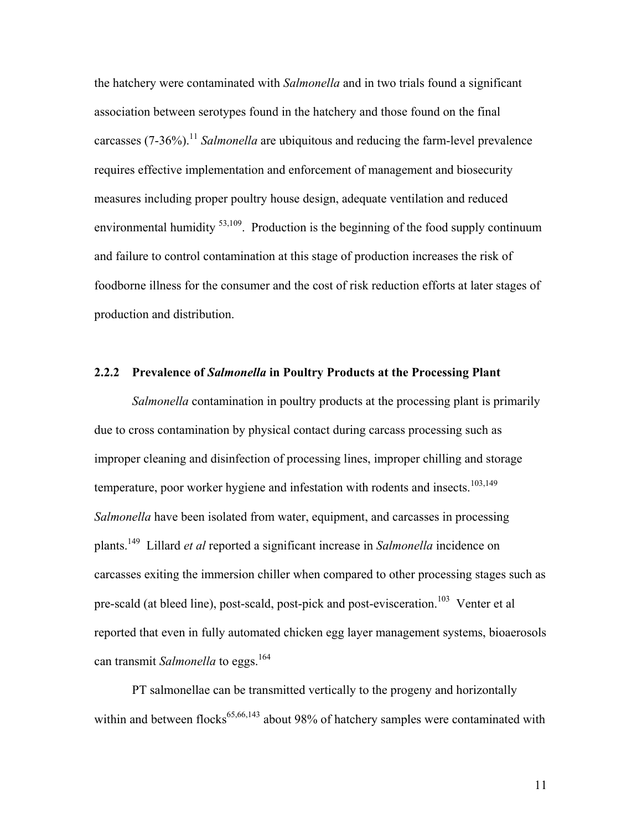the hatchery were contaminated with *Salmonella* and in two trials found a significant association between serotypes found in the hatchery and those found on the final carcasses (7-36%).<sup>11</sup> *Salmonella* are ubiquitous and reducing the farm-level prevalence requires effective implementation and enforcement of management and biosecurity measures including proper poultry house design, adequate ventilation and reduced environmental humidity <sup>53,109</sup>. Production is the beginning of the food supply continuum and failure to control contamination at this stage of production increases the risk of foodborne illness for the consumer and the cost of risk reduction efforts at later stages of production and distribution.

#### **2.2.2 Prevalence of** *Salmonella* **in Poultry Products at the Processing Plant**

*Salmonella* contamination in poultry products at the processing plant is primarily due to cross contamination by physical contact during carcass processing such as improper cleaning and disinfection of processing lines, improper chilling and storage temperature, poor worker hygiene and infestation with rodents and insects.<sup>103,149</sup> *Salmonella* have been isolated from water, equipment, and carcasses in processing plants.149 Lillard *et al* reported a significant increase in *Salmonella* incidence on carcasses exiting the immersion chiller when compared to other processing stages such as pre-scald (at bleed line), post-scald, post-pick and post-evisceration.<sup>103</sup> Venter et al reported that even in fully automated chicken egg layer management systems, bioaerosols can transmit *Salmonella* to eggs.<sup>164</sup>

PT salmonellae can be transmitted vertically to the progeny and horizontally within and between flocks $65,66,143$  about 98% of hatchery samples were contaminated with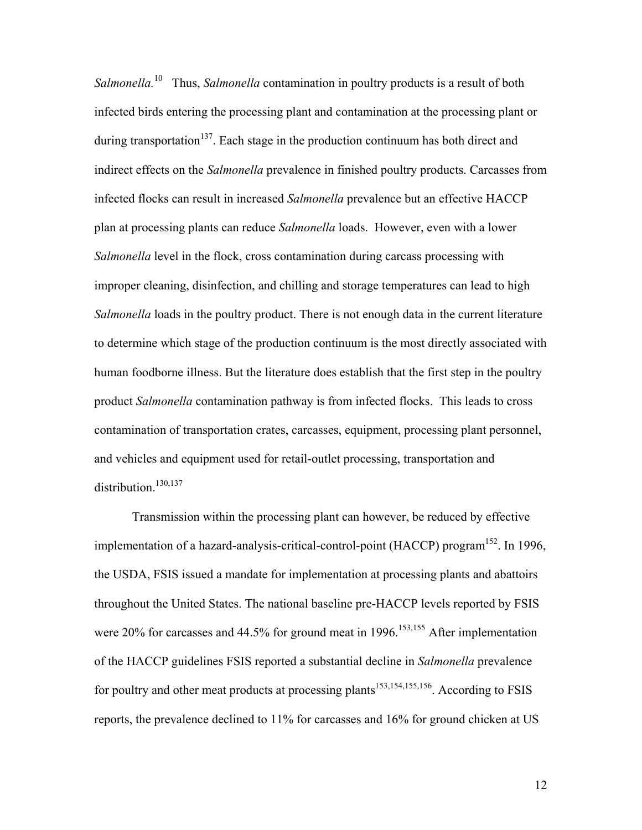*Salmonella.*10 Thus, *Salmonella* contamination in poultry products is a result of both infected birds entering the processing plant and contamination at the processing plant or during transportation<sup>137</sup>. Each stage in the production continuum has both direct and indirect effects on the *Salmonella* prevalence in finished poultry products. Carcasses from infected flocks can result in increased *Salmonella* prevalence but an effective HACCP plan at processing plants can reduce *Salmonella* loads. However, even with a lower *Salmonella* level in the flock, cross contamination during carcass processing with improper cleaning, disinfection, and chilling and storage temperatures can lead to high *Salmonella* loads in the poultry product. There is not enough data in the current literature to determine which stage of the production continuum is the most directly associated with human foodborne illness. But the literature does establish that the first step in the poultry product *Salmonella* contamination pathway is from infected flocks. This leads to cross contamination of transportation crates, carcasses, equipment, processing plant personnel, and vehicles and equipment used for retail-outlet processing, transportation and distribution.<sup>130,137</sup>

Transmission within the processing plant can however, be reduced by effective implementation of a hazard-analysis-critical-control-point (HACCP) program<sup>152</sup>. In 1996, the USDA, FSIS issued a mandate for implementation at processing plants and abattoirs throughout the United States. The national baseline pre-HACCP levels reported by FSIS were 20% for carcasses and 44.5% for ground meat in 1996.<sup>153,155</sup> After implementation of the HACCP guidelines FSIS reported a substantial decline in *Salmonella* prevalence for poultry and other meat products at processing plants<sup>153,154,155,156</sup>. According to FSIS reports, the prevalence declined to 11% for carcasses and 16% for ground chicken at US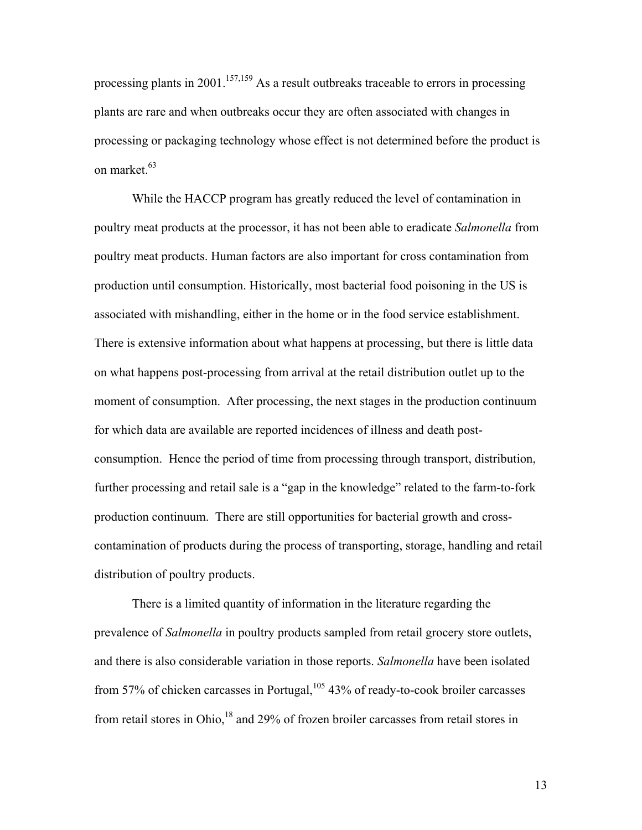processing plants in 2001.<sup>157,159</sup> As a result outbreaks traceable to errors in processing plants are rare and when outbreaks occur they are often associated with changes in processing or packaging technology whose effect is not determined before the product is on market.<sup>63</sup>

While the HACCP program has greatly reduced the level of contamination in poultry meat products at the processor, it has not been able to eradicate *Salmonella* from poultry meat products. Human factors are also important for cross contamination from production until consumption. Historically, most bacterial food poisoning in the US is associated with mishandling, either in the home or in the food service establishment. There is extensive information about what happens at processing, but there is little data on what happens post-processing from arrival at the retail distribution outlet up to the moment of consumption. After processing, the next stages in the production continuum for which data are available are reported incidences of illness and death postconsumption. Hence the period of time from processing through transport, distribution, further processing and retail sale is a "gap in the knowledge" related to the farm-to-fork production continuum. There are still opportunities for bacterial growth and crosscontamination of products during the process of transporting, storage, handling and retail distribution of poultry products.

There is a limited quantity of information in the literature regarding the prevalence of *Salmonella* in poultry products sampled from retail grocery store outlets, and there is also considerable variation in those reports. *Salmonella* have been isolated from 57% of chicken carcasses in Portugal,  $105$  43% of ready-to-cook broiler carcasses from retail stores in Ohio,<sup>18</sup> and 29% of frozen broiler carcasses from retail stores in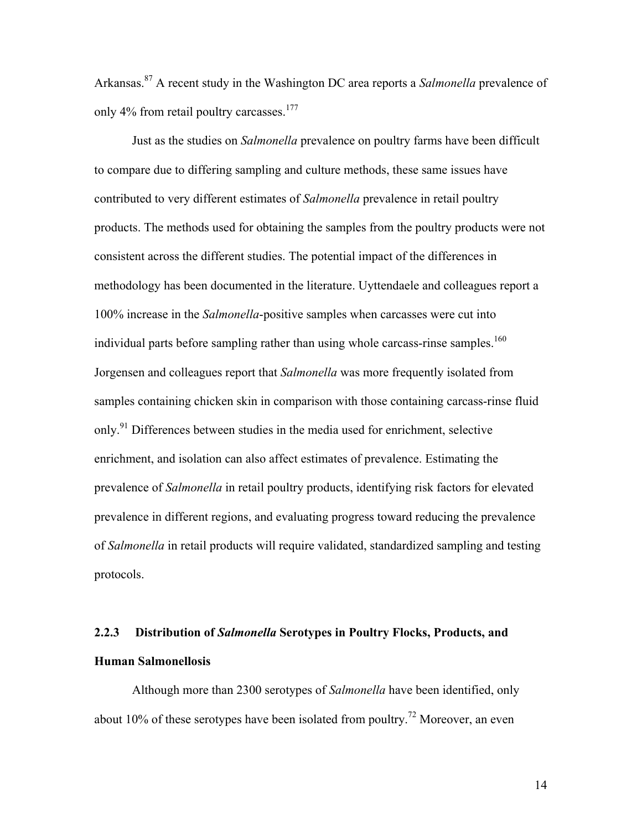Arkansas.87 A recent study in the Washington DC area reports a *Salmonella* prevalence of only 4% from retail poultry carcasses.<sup>177</sup>

Just as the studies on *Salmonella* prevalence on poultry farms have been difficult to compare due to differing sampling and culture methods, these same issues have contributed to very different estimates of *Salmonella* prevalence in retail poultry products. The methods used for obtaining the samples from the poultry products were not consistent across the different studies. The potential impact of the differences in methodology has been documented in the literature. Uyttendaele and colleagues report a 100% increase in the *Salmonella*-positive samples when carcasses were cut into individual parts before sampling rather than using whole carcass-rinse samples.<sup>160</sup> Jorgensen and colleagues report that *Salmonella* was more frequently isolated from samples containing chicken skin in comparison with those containing carcass-rinse fluid only.<sup>91</sup> Differences between studies in the media used for enrichment, selective enrichment, and isolation can also affect estimates of prevalence. Estimating the prevalence of *Salmonella* in retail poultry products, identifying risk factors for elevated prevalence in different regions, and evaluating progress toward reducing the prevalence of *Salmonella* in retail products will require validated, standardized sampling and testing protocols.

# **2.2.3 Distribution of** *Salmonella* **Serotypes in Poultry Flocks, Products, and Human Salmonellosis**

Although more than 2300 serotypes of *Salmonella* have been identified, only about 10% of these serotypes have been isolated from poultry.<sup>72</sup> Moreover, an even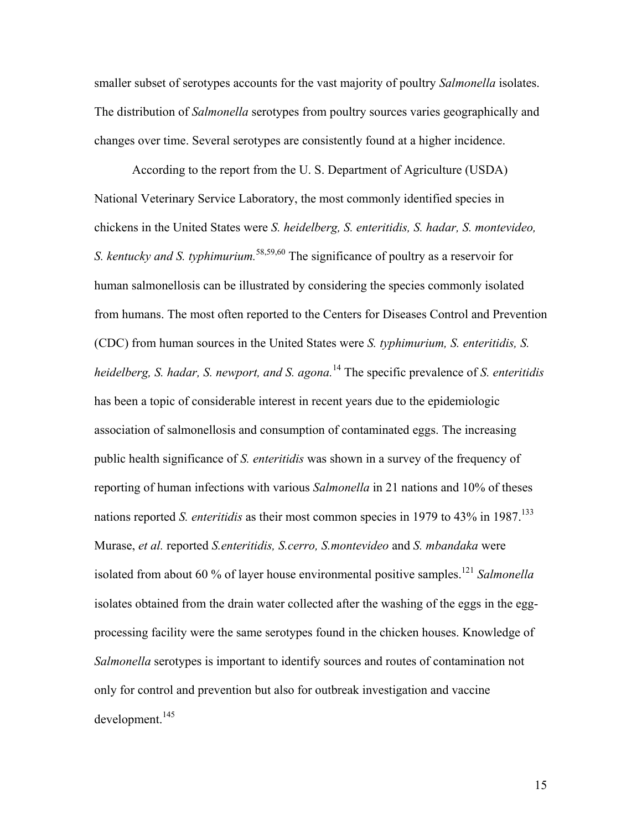smaller subset of serotypes accounts for the vast majority of poultry *Salmonella* isolates. The distribution of *Salmonella* serotypes from poultry sources varies geographically and changes over time. Several serotypes are consistently found at a higher incidence.

According to the report from the U. S. Department of Agriculture (USDA) National Veterinary Service Laboratory, the most commonly identified species in chickens in the United States were *S. heidelberg, S. enteritidis, S. hadar, S. montevideo, S. kentucky and S. typhimurium.*58,59,60 The significance of poultry as a reservoir for human salmonellosis can be illustrated by considering the species commonly isolated from humans. The most often reported to the Centers for Diseases Control and Prevention (CDC) from human sources in the United States were *S. typhimurium, S. enteritidis, S. heidelberg, S. hadar, S. newport, and S. agona.*<sup>14</sup> The specific prevalence of *S. enteritidis* has been a topic of considerable interest in recent years due to the epidemiologic association of salmonellosis and consumption of contaminated eggs. The increasing public health significance of *S. enteritidis* was shown in a survey of the frequency of reporting of human infections with various *Salmonella* in 21 nations and 10% of theses nations reported *S. enteritidis* as their most common species in 1979 to 43% in 1987.<sup>133</sup> Murase, *et al.* reported *S.enteritidis, S.cerro, S.montevideo* and *S. mbandaka* were isolated from about 60 % of layer house environmental positive samples.<sup>121</sup> *Salmonella* isolates obtained from the drain water collected after the washing of the eggs in the eggprocessing facility were the same serotypes found in the chicken houses. Knowledge of *Salmonella* serotypes is important to identify sources and routes of contamination not only for control and prevention but also for outbreak investigation and vaccine  $d$ evelopment.<sup>145</sup>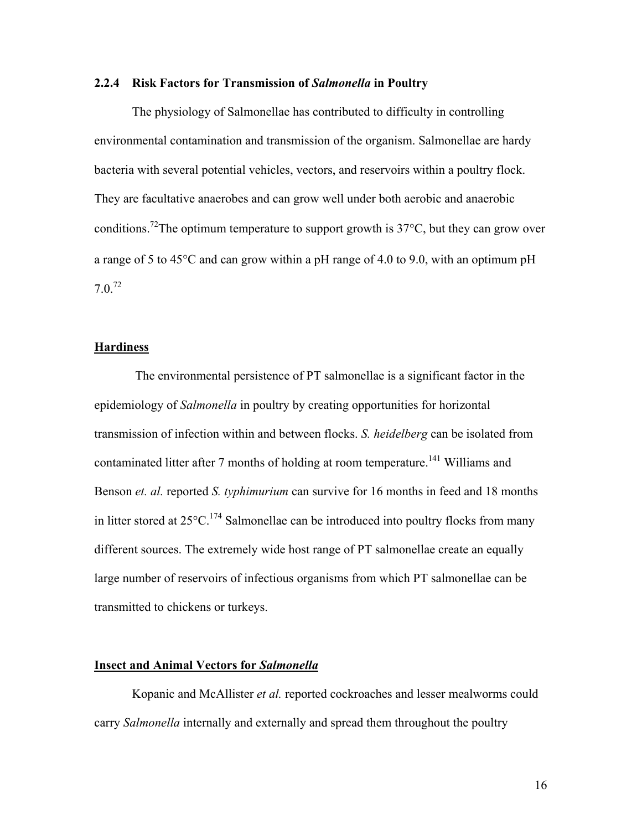#### **2.2.4 Risk Factors for Transmission of** *Salmonella* **in Poultry**

The physiology of Salmonellae has contributed to difficulty in controlling environmental contamination and transmission of the organism. Salmonellae are hardy bacteria with several potential vehicles, vectors, and reservoirs within a poultry flock. They are facultative anaerobes and can grow well under both aerobic and anaerobic conditions.<sup>72</sup>The optimum temperature to support growth is  $37^{\circ}$ C, but they can grow over a range of 5 to 45°C and can grow within a pH range of 4.0 to 9.0, with an optimum pH  $7.0.^{72}$ 

#### **Hardiness**

 The environmental persistence of PT salmonellae is a significant factor in the epidemiology of *Salmonella* in poultry by creating opportunities for horizontal transmission of infection within and between flocks. *S. heidelberg* can be isolated from contaminated litter after 7 months of holding at room temperature.<sup>141</sup> Williams and Benson *et. al.* reported *S. typhimurium* can survive for 16 months in feed and 18 months in litter stored at  $25^{\circ}$ C.<sup>174</sup> Salmonellae can be introduced into poultry flocks from many different sources. The extremely wide host range of PT salmonellae create an equally large number of reservoirs of infectious organisms from which PT salmonellae can be transmitted to chickens or turkeys.

#### **Insect and Animal Vectors for** *Salmonella*

Kopanic and McAllister *et al.* reported cockroaches and lesser mealworms could carry *Salmonella* internally and externally and spread them throughout the poultry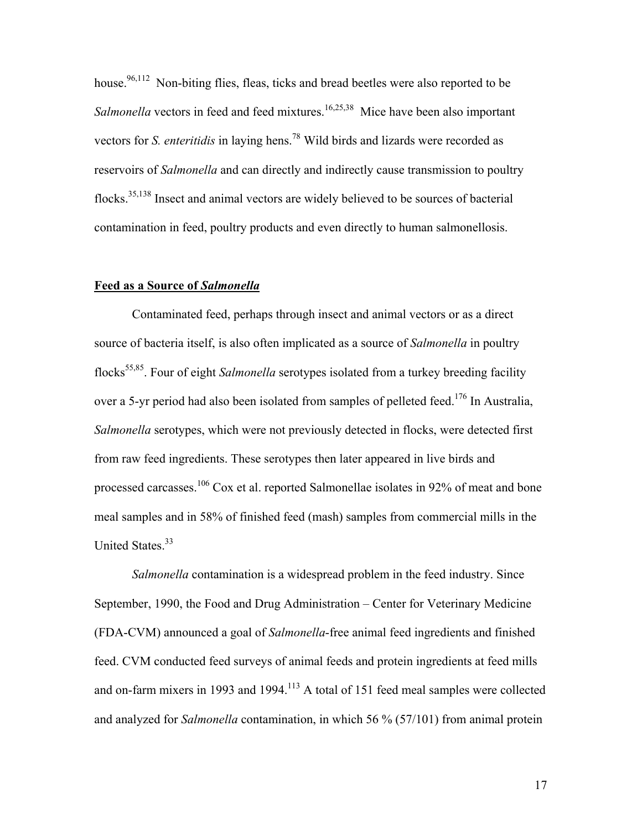house.<sup>96,112</sup> Non-biting flies, fleas, ticks and bread beetles were also reported to be Salmonella vectors in feed and feed mixtures.<sup>16,25,38</sup> Mice have been also important vectors for *S. enteritidis* in laying hens.78 Wild birds and lizards were recorded as reservoirs of *Salmonella* and can directly and indirectly cause transmission to poultry flocks.<sup>35,138</sup> Insect and animal vectors are widely believed to be sources of bacterial contamination in feed, poultry products and even directly to human salmonellosis.

### **Feed as a Source of** *Salmonella*

Contaminated feed, perhaps through insect and animal vectors or as a direct source of bacteria itself, is also often implicated as a source of *Salmonella* in poultry flocks<sup>55,85</sup>. Four of eight *Salmonella* serotypes isolated from a turkey breeding facility over a 5-yr period had also been isolated from samples of pelleted feed.<sup>176</sup> In Australia, *Salmonella* serotypes, which were not previously detected in flocks, were detected first from raw feed ingredients. These serotypes then later appeared in live birds and processed carcasses.<sup>106</sup> Cox et al. reported Salmonellae isolates in 92% of meat and bone meal samples and in 58% of finished feed (mash) samples from commercial mills in the United States.<sup>33</sup>

*Salmonella* contamination is a widespread problem in the feed industry. Since September, 1990, the Food and Drug Administration – Center for Veterinary Medicine (FDA-CVM) announced a goal of *Salmonella*-free animal feed ingredients and finished feed. CVM conducted feed surveys of animal feeds and protein ingredients at feed mills and on-farm mixers in 1993 and 1994.<sup>113</sup> A total of 151 feed meal samples were collected and analyzed for *Salmonella* contamination, in which 56 % (57/101) from animal protein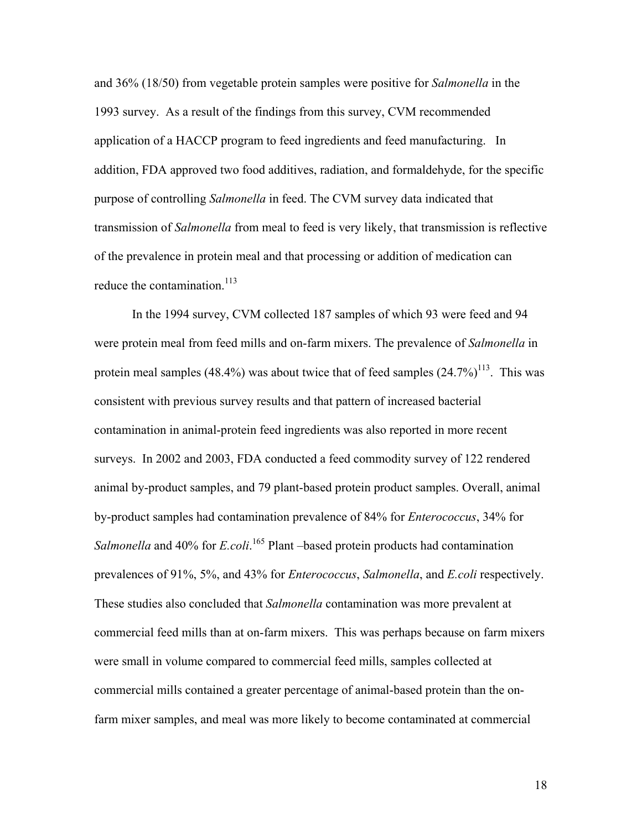and 36% (18/50) from vegetable protein samples were positive for *Salmonella* in the 1993 survey. As a result of the findings from this survey, CVM recommended application of a HACCP program to feed ingredients and feed manufacturing. In addition, FDA approved two food additives, radiation, and formaldehyde, for the specific purpose of controlling *Salmonella* in feed. The CVM survey data indicated that transmission of *Salmonella* from meal to feed is very likely, that transmission is reflective of the prevalence in protein meal and that processing or addition of medication can reduce the contamination.<sup>113</sup>

In the 1994 survey, CVM collected 187 samples of which 93 were feed and 94 were protein meal from feed mills and on-farm mixers. The prevalence of *Salmonella* in protein meal samples  $(48.4\%)$  was about twice that of feed samples  $(24.7\%)^{113}$ . This was consistent with previous survey results and that pattern of increased bacterial contamination in animal-protein feed ingredients was also reported in more recent surveys. In 2002 and 2003, FDA conducted a feed commodity survey of 122 rendered animal by-product samples, and 79 plant-based protein product samples. Overall, animal by-product samples had contamination prevalence of 84% for *Enterococcus*, 34% for Salmonella and 40% for *E.coli.*<sup>165</sup> Plant –based protein products had contamination prevalences of 91%, 5%, and 43% for *Enterococcus*, *Salmonella*, and *E.coli* respectively. These studies also concluded that *Salmonella* contamination was more prevalent at commercial feed mills than at on-farm mixers. This was perhaps because on farm mixers were small in volume compared to commercial feed mills, samples collected at commercial mills contained a greater percentage of animal-based protein than the onfarm mixer samples, and meal was more likely to become contaminated at commercial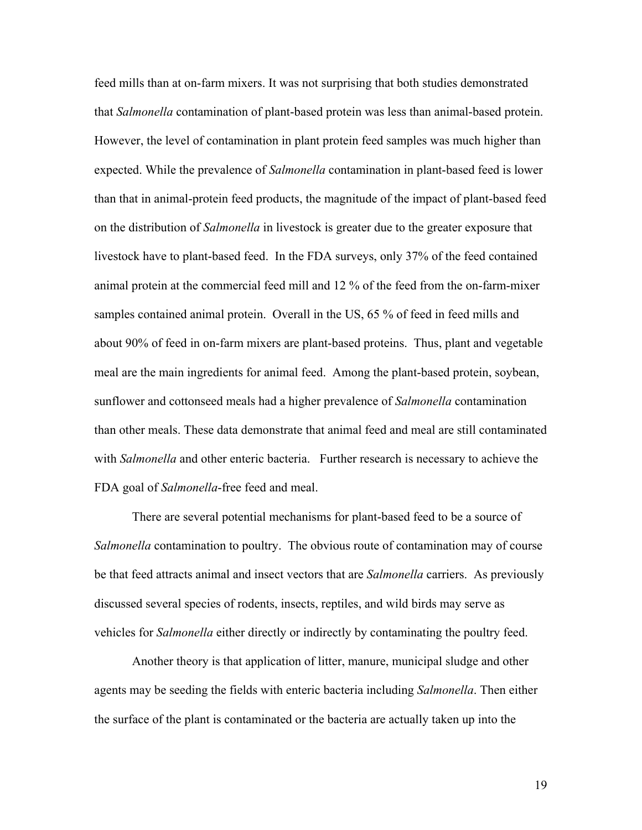feed mills than at on-farm mixers. It was not surprising that both studies demonstrated that *Salmonella* contamination of plant-based protein was less than animal-based protein. However, the level of contamination in plant protein feed samples was much higher than expected. While the prevalence of *Salmonella* contamination in plant-based feed is lower than that in animal-protein feed products, the magnitude of the impact of plant-based feed on the distribution of *Salmonella* in livestock is greater due to the greater exposure that livestock have to plant-based feed. In the FDA surveys, only 37% of the feed contained animal protein at the commercial feed mill and 12 % of the feed from the on-farm-mixer samples contained animal protein. Overall in the US, 65 % of feed in feed mills and about 90% of feed in on-farm mixers are plant-based proteins. Thus, plant and vegetable meal are the main ingredients for animal feed. Among the plant-based protein, soybean, sunflower and cottonseed meals had a higher prevalence of *Salmonella* contamination than other meals. These data demonstrate that animal feed and meal are still contaminated with *Salmonella* and other enteric bacteria. Further research is necessary to achieve the FDA goal of *Salmonella*-free feed and meal.

There are several potential mechanisms for plant-based feed to be a source of *Salmonella* contamination to poultry. The obvious route of contamination may of course be that feed attracts animal and insect vectors that are *Salmonella* carriers. As previously discussed several species of rodents, insects, reptiles, and wild birds may serve as vehicles for *Salmonella* either directly or indirectly by contaminating the poultry feed.

Another theory is that application of litter, manure, municipal sludge and other agents may be seeding the fields with enteric bacteria including *Salmonella*. Then either the surface of the plant is contaminated or the bacteria are actually taken up into the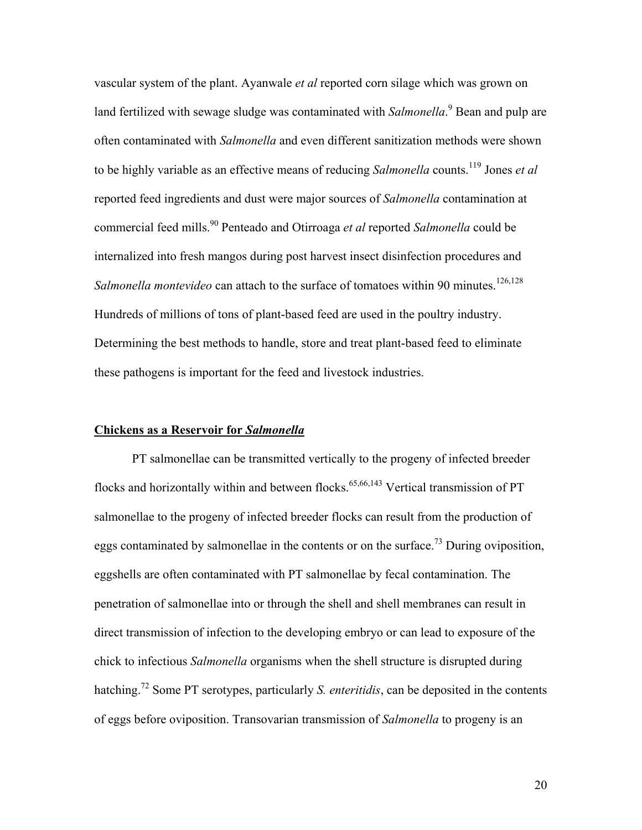vascular system of the plant. Ayanwale *et al* reported corn silage which was grown on land fertilized with sewage sludge was contaminated with *Salmonella*.<sup>9</sup> Bean and pulp are often contaminated with *Salmonella* and even different sanitization methods were shown to be highly variable as an effective means of reducing *Salmonella* counts.119 Jones *et al* reported feed ingredients and dust were major sources of *Salmonella* contamination at commercial feed mills.90 Penteado and Otirroaga *et al* reported *Salmonella* could be internalized into fresh mangos during post harvest insect disinfection procedures and *Salmonella montevideo* can attach to the surface of tomatoes within 90 minutes.<sup>126,128</sup> Hundreds of millions of tons of plant-based feed are used in the poultry industry. Determining the best methods to handle, store and treat plant-based feed to eliminate these pathogens is important for the feed and livestock industries.

#### **Chickens as a Reservoir for** *Salmonella*

PT salmonellae can be transmitted vertically to the progeny of infected breeder flocks and horizontally within and between flocks.  $65,66,143$  Vertical transmission of PT salmonellae to the progeny of infected breeder flocks can result from the production of eggs contaminated by salmonellae in the contents or on the surface.<sup>73</sup> During oviposition, eggshells are often contaminated with PT salmonellae by fecal contamination. The penetration of salmonellae into or through the shell and shell membranes can result in direct transmission of infection to the developing embryo or can lead to exposure of the chick to infectious *Salmonella* organisms when the shell structure is disrupted during hatching.72 Some PT serotypes, particularly *S. enteritidis*, can be deposited in the contents of eggs before oviposition. Transovarian transmission of *Salmonella* to progeny is an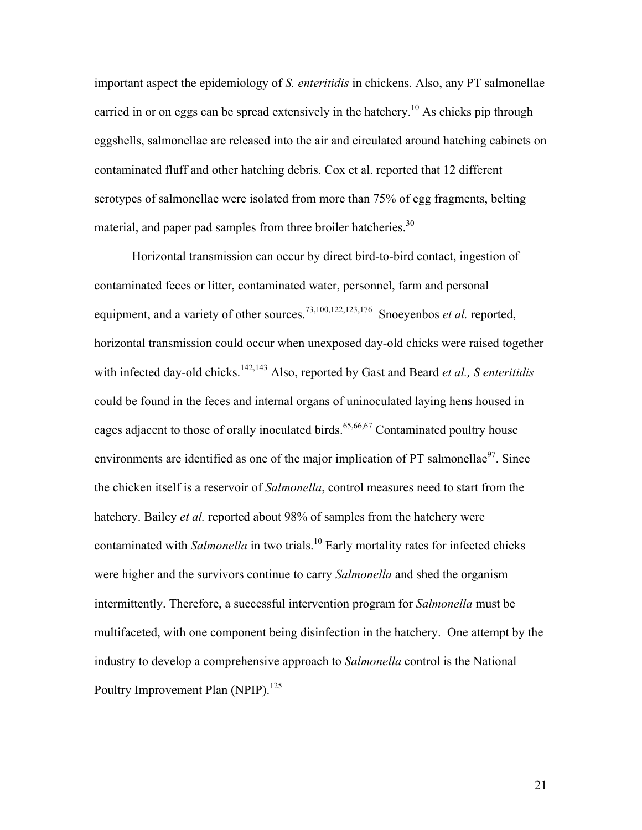important aspect the epidemiology of *S. enteritidis* in chickens. Also, any PT salmonellae carried in or on eggs can be spread extensively in the hatchery.<sup>10</sup> As chicks pip through eggshells, salmonellae are released into the air and circulated around hatching cabinets on contaminated fluff and other hatching debris. Cox et al. reported that 12 different serotypes of salmonellae were isolated from more than 75% of egg fragments, belting material, and paper pad samples from three broiler hatcheries.<sup>30</sup>

Horizontal transmission can occur by direct bird-to-bird contact, ingestion of contaminated feces or litter, contaminated water, personnel, farm and personal equipment, and a variety of other sources.<sup>73,100,122,123,176</sup> Snoeyenbos *et al.* reported, horizontal transmission could occur when unexposed day-old chicks were raised together with infected day-old chicks.<sup>142,143</sup> Also, reported by Gast and Beard *et al., S enteritidis* could be found in the feces and internal organs of uninoculated laying hens housed in cages adjacent to those of orally inoculated birds.<sup>65,66,67</sup> Contaminated poultry house environments are identified as one of the major implication of PT salmonellae $97$ . Since the chicken itself is a reservoir of *Salmonella*, control measures need to start from the hatchery. Bailey *et al.* reported about 98% of samples from the hatchery were contaminated with *Salmonella* in two trials.<sup>10</sup> Early mortality rates for infected chicks were higher and the survivors continue to carry *Salmonella* and shed the organism intermittently. Therefore, a successful intervention program for *Salmonella* must be multifaceted, with one component being disinfection in the hatchery. One attempt by the industry to develop a comprehensive approach to *Salmonella* control is the National Poultry Improvement Plan (NPIP).<sup>125</sup>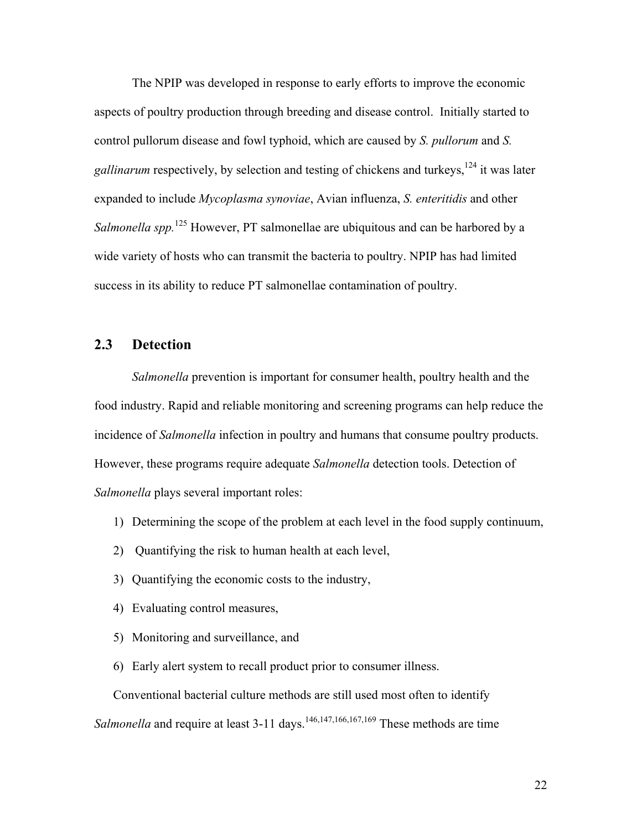The NPIP was developed in response to early efforts to improve the economic aspects of poultry production through breeding and disease control. Initially started to control pullorum disease and fowl typhoid, which are caused by *S. pullorum* and *S.*  gallinarum respectively, by selection and testing of chickens and turkeys,<sup>124</sup> it was later expanded to include *Mycoplasma synoviae*, Avian influenza, *S. enteritidis* and other *Salmonella spp.*125 However, PT salmonellae are ubiquitous and can be harbored by a wide variety of hosts who can transmit the bacteria to poultry. NPIP has had limited success in its ability to reduce PT salmonellae contamination of poultry.

# **2.3 Detection**

*Salmonella* prevention is important for consumer health, poultry health and the food industry. Rapid and reliable monitoring and screening programs can help reduce the incidence of *Salmonella* infection in poultry and humans that consume poultry products. However, these programs require adequate *Salmonella* detection tools. Detection of *Salmonella* plays several important roles:

- 1) Determining the scope of the problem at each level in the food supply continuum,
- 2) Quantifying the risk to human health at each level,
- 3) Quantifying the economic costs to the industry,
- 4) Evaluating control measures,
- 5) Monitoring and surveillance, and
- 6) Early alert system to recall product prior to consumer illness.

Conventional bacterial culture methods are still used most often to identify Salmonella and require at least 3-11 days.<sup>146,147,166,167,169</sup> These methods are time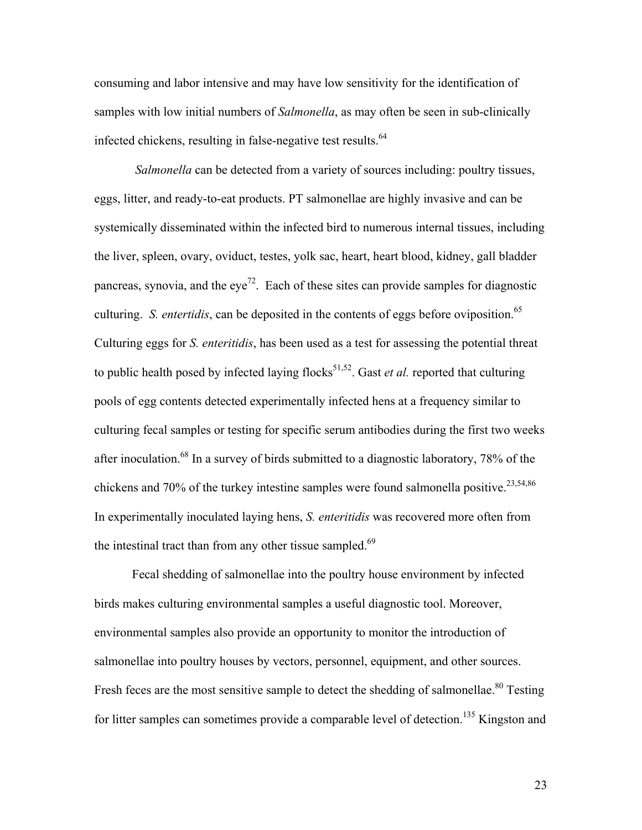consuming and labor intensive and may have low sensitivity for the identification of samples with low initial numbers of *Salmonella*, as may often be seen in sub-clinically infected chickens, resulting in false-negative test results.<sup>64</sup>

 *Salmonella* can be detected from a variety of sources including: poultry tissues, eggs, litter, and ready-to-eat products. PT salmonellae are highly invasive and can be systemically disseminated within the infected bird to numerous internal tissues, including the liver, spleen, ovary, oviduct, testes, yolk sac, heart, heart blood, kidney, gall bladder pancreas, synovia, and the eye<sup>72</sup>. Each of these sites can provide samples for diagnostic culturing. *S. entertidis*, can be deposited in the contents of eggs before oviposition.<sup>65</sup> Culturing eggs for *S. enteritidis*, has been used as a test for assessing the potential threat to public health posed by infected laying flocks<sup>51,52</sup>. Gast *et al.* reported that culturing pools of egg contents detected experimentally infected hens at a frequency similar to culturing fecal samples or testing for specific serum antibodies during the first two weeks after inoculation.68 In a survey of birds submitted to a diagnostic laboratory, 78% of the chickens and 70% of the turkey intestine samples were found salmonella positive.<sup>23,54,86</sup> In experimentally inoculated laying hens, *S. enteritidis* was recovered more often from the intestinal tract than from any other tissue sampled. $69$ 

Fecal shedding of salmonellae into the poultry house environment by infected birds makes culturing environmental samples a useful diagnostic tool. Moreover, environmental samples also provide an opportunity to monitor the introduction of salmonellae into poultry houses by vectors, personnel, equipment, and other sources. Fresh feces are the most sensitive sample to detect the shedding of salmonellae.<sup>80</sup> Testing for litter samples can sometimes provide a comparable level of detection.<sup>135</sup> Kingston and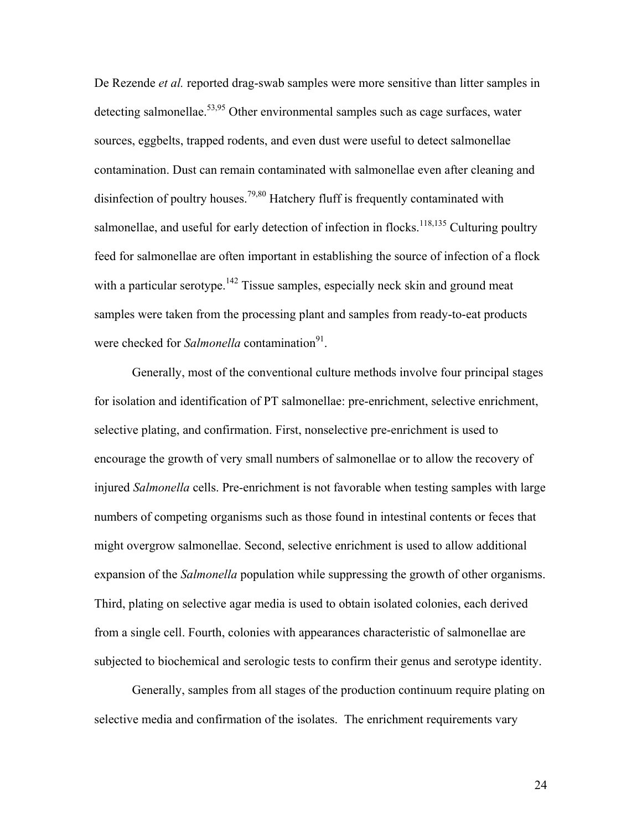De Rezende *et al.* reported drag-swab samples were more sensitive than litter samples in detecting salmonellae.<sup>53,95</sup> Other environmental samples such as cage surfaces, water sources, eggbelts, trapped rodents, and even dust were useful to detect salmonellae contamination. Dust can remain contaminated with salmonellae even after cleaning and disinfection of poultry houses.<sup>79,80</sup> Hatchery fluff is frequently contaminated with salmonellae, and useful for early detection of infection in flocks.  $118,135$  Culturing poultry feed for salmonellae are often important in establishing the source of infection of a flock with a particular serotype.<sup>142</sup> Tissue samples, especially neck skin and ground meat samples were taken from the processing plant and samples from ready-to-eat products were checked for *Salmonella* contamination<sup>91</sup>.

Generally, most of the conventional culture methods involve four principal stages for isolation and identification of PT salmonellae: pre-enrichment, selective enrichment, selective plating, and confirmation. First, nonselective pre-enrichment is used to encourage the growth of very small numbers of salmonellae or to allow the recovery of injured *Salmonella* cells. Pre-enrichment is not favorable when testing samples with large numbers of competing organisms such as those found in intestinal contents or feces that might overgrow salmonellae. Second, selective enrichment is used to allow additional expansion of the *Salmonella* population while suppressing the growth of other organisms. Third, plating on selective agar media is used to obtain isolated colonies, each derived from a single cell. Fourth, colonies with appearances characteristic of salmonellae are subjected to biochemical and serologic tests to confirm their genus and serotype identity.

Generally, samples from all stages of the production continuum require plating on selective media and confirmation of the isolates. The enrichment requirements vary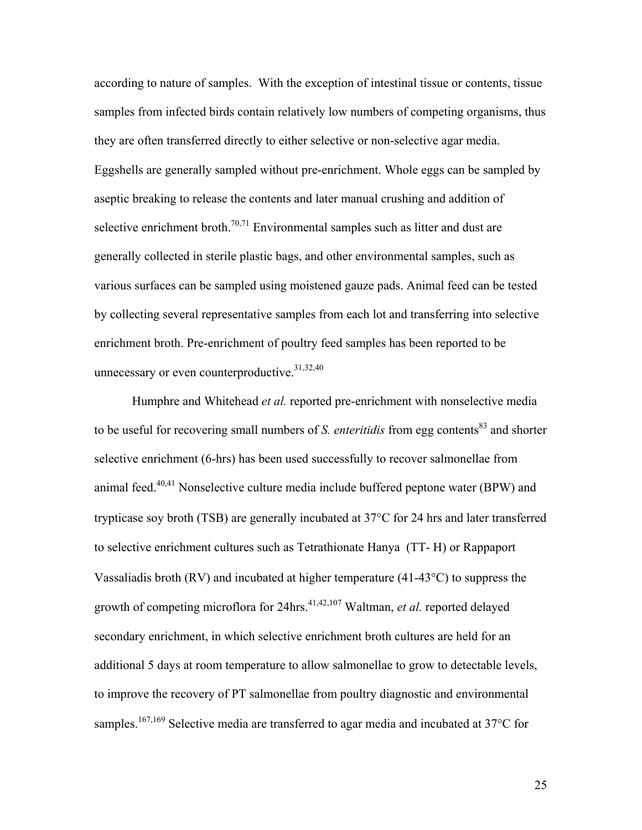according to nature of samples. With the exception of intestinal tissue or contents, tissue samples from infected birds contain relatively low numbers of competing organisms, thus they are often transferred directly to either selective or non-selective agar media. Eggshells are generally sampled without pre-enrichment. Whole eggs can be sampled by aseptic breaking to release the contents and later manual crushing and addition of selective enrichment broth.<sup>70,71</sup> Environmental samples such as litter and dust are generally collected in sterile plastic bags, and other environmental samples, such as various surfaces can be sampled using moistened gauze pads. Animal feed can be tested by collecting several representative samples from each lot and transferring into selective enrichment broth. Pre-enrichment of poultry feed samples has been reported to be unnecessary or even counterproductive.<sup>31,32,40</sup>

Humphre and Whitehead *et al.* reported pre-enrichment with nonselective media to be useful for recovering small numbers of *S. enteritidis* from egg contents<sup>83</sup> and shorter selective enrichment (6-hrs) has been used successfully to recover salmonellae from animal feed.<sup>40,41</sup> Nonselective culture media include buffered peptone water (BPW) and trypticase soy broth (TSB) are generally incubated at 37°C for 24 hrs and later transferred to selective enrichment cultures such as Tetrathionate Hanya (TT- H) or Rappaport Vassaliadis broth (RV) and incubated at higher temperature (41-43°C) to suppress the growth of competing microflora for 24hrs.<sup>41,42,107</sup> Waltman, *et al.* reported delayed secondary enrichment, in which selective enrichment broth cultures are held for an additional 5 days at room temperature to allow salmonellae to grow to detectable levels, to improve the recovery of PT salmonellae from poultry diagnostic and environmental samples.<sup>167,169</sup> Selective media are transferred to agar media and incubated at 37 $\rm{^{\circ}C}$  for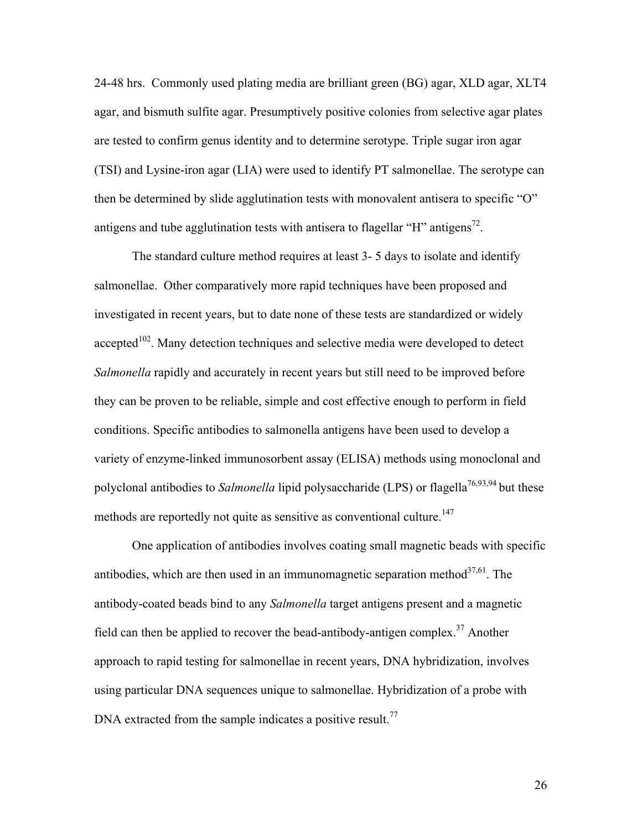24-48 hrs. Commonly used plating media are brilliant green (BG) agar, XLD agar, XLT4 agar, and bismuth sulfite agar. Presumptively positive colonies from selective agar plates are tested to confirm genus identity and to determine serotype. Triple sugar iron agar (TSI) and Lysine-iron agar (LIA) were used to identify PT salmonellae. The serotype can then be determined by slide agglutination tests with monovalent antisera to specific "O" antigens and tube agglutination tests with antisera to flagellar "H" antigens<sup>72</sup>.

The standard culture method requires at least 3- 5 days to isolate and identify salmonellae. Other comparatively more rapid techniques have been proposed and investigated in recent years, but to date none of these tests are standardized or widely accepted<sup>102</sup>. Many detection techniques and selective media were developed to detect *Salmonella* rapidly and accurately in recent years but still need to be improved before they can be proven to be reliable, simple and cost effective enough to perform in field conditions. Specific antibodies to salmonella antigens have been used to develop a variety of enzyme-linked immunosorbent assay (ELISA) methods using monoclonal and polyclonal antibodies to *Salmonella* lipid polysaccharide (LPS) or flagella<sup>76,93,94</sup> but these methods are reportedly not quite as sensitive as conventional culture.<sup>147</sup>

One application of antibodies involves coating small magnetic beads with specific antibodies, which are then used in an immunomagnetic separation method $^{37,61}$ . The antibody-coated beads bind to any *Salmonella* target antigens present and a magnetic field can then be applied to recover the bead-antibody-antigen complex.<sup>37</sup> Another approach to rapid testing for salmonellae in recent years, DNA hybridization, involves using particular DNA sequences unique to salmonellae. Hybridization of a probe with DNA extracted from the sample indicates a positive result.<sup>77</sup>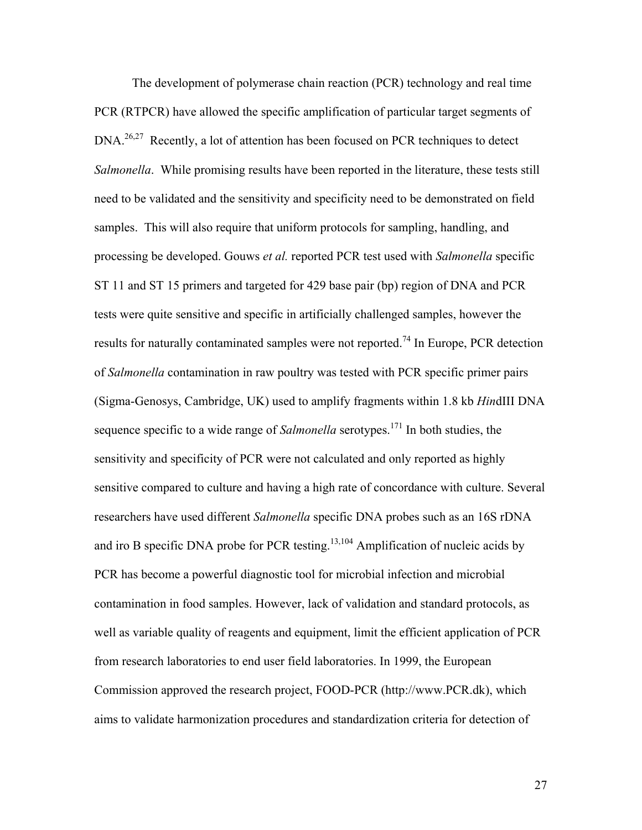The development of polymerase chain reaction (PCR) technology and real time PCR (RTPCR) have allowed the specific amplification of particular target segments of DNA.<sup>26,27</sup> Recently, a lot of attention has been focused on PCR techniques to detect *Salmonella*. While promising results have been reported in the literature, these tests still need to be validated and the sensitivity and specificity need to be demonstrated on field samples. This will also require that uniform protocols for sampling, handling, and processing be developed. Gouws *et al.* reported PCR test used with *Salmonella* specific ST 11 and ST 15 primers and targeted for 429 base pair (bp) region of DNA and PCR tests were quite sensitive and specific in artificially challenged samples, however the results for naturally contaminated samples were not reported.<sup>74</sup> In Europe, PCR detection of *Salmonella* contamination in raw poultry was tested with PCR specific primer pairs (Sigma-Genosys, Cambridge, UK) used to amplify fragments within 1.8 kb *Hin*dIII DNA sequence specific to a wide range of *Salmonella* serotypes.<sup>171</sup> In both studies, the sensitivity and specificity of PCR were not calculated and only reported as highly sensitive compared to culture and having a high rate of concordance with culture. Several researchers have used different *Salmonella* specific DNA probes such as an 16S rDNA and iro B specific DNA probe for PCR testing.<sup>13,104</sup> Amplification of nucleic acids by PCR has become a powerful diagnostic tool for microbial infection and microbial contamination in food samples. However, lack of validation and standard protocols, as well as variable quality of reagents and equipment, limit the efficient application of PCR from research laboratories to end user field laboratories. In 1999, the European Commission approved the research project, FOOD-PCR (http://www.PCR.dk), which aims to validate harmonization procedures and standardization criteria for detection of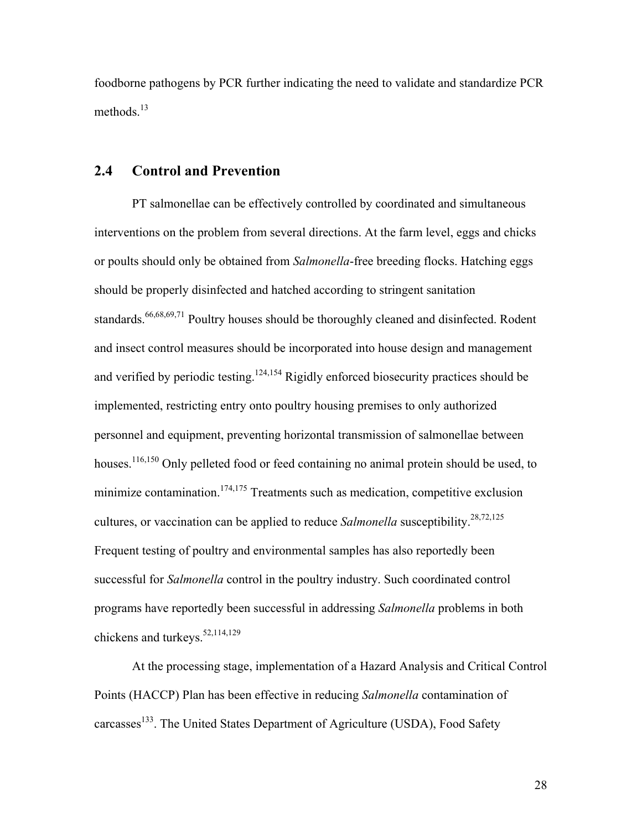foodborne pathogens by PCR further indicating the need to validate and standardize PCR methods.<sup>13</sup>

# **2.4 Control and Prevention**

PT salmonellae can be effectively controlled by coordinated and simultaneous interventions on the problem from several directions. At the farm level, eggs and chicks or poults should only be obtained from *Salmonella*-free breeding flocks. Hatching eggs should be properly disinfected and hatched according to stringent sanitation standards.<sup>66,68,69,71</sup> Poultry houses should be thoroughly cleaned and disinfected. Rodent and insect control measures should be incorporated into house design and management and verified by periodic testing.<sup>124,154</sup> Rigidly enforced biosecurity practices should be implemented, restricting entry onto poultry housing premises to only authorized personnel and equipment, preventing horizontal transmission of salmonellae between houses.<sup>116,150</sup> Only pelleted food or feed containing no animal protein should be used, to minimize contamination.<sup>174,175</sup> Treatments such as medication, competitive exclusion cultures, or vaccination can be applied to reduce *Salmonella* susceptibility.<sup>28,72,125</sup> Frequent testing of poultry and environmental samples has also reportedly been successful for *Salmonella* control in the poultry industry. Such coordinated control programs have reportedly been successful in addressing *Salmonella* problems in both chickens and turkeys.<sup>52,114,129</sup>

At the processing stage, implementation of a Hazard Analysis and Critical Control Points (HACCP) Plan has been effective in reducing *Salmonella* contamination of carcasses<sup>133</sup>. The United States Department of Agriculture (USDA), Food Safety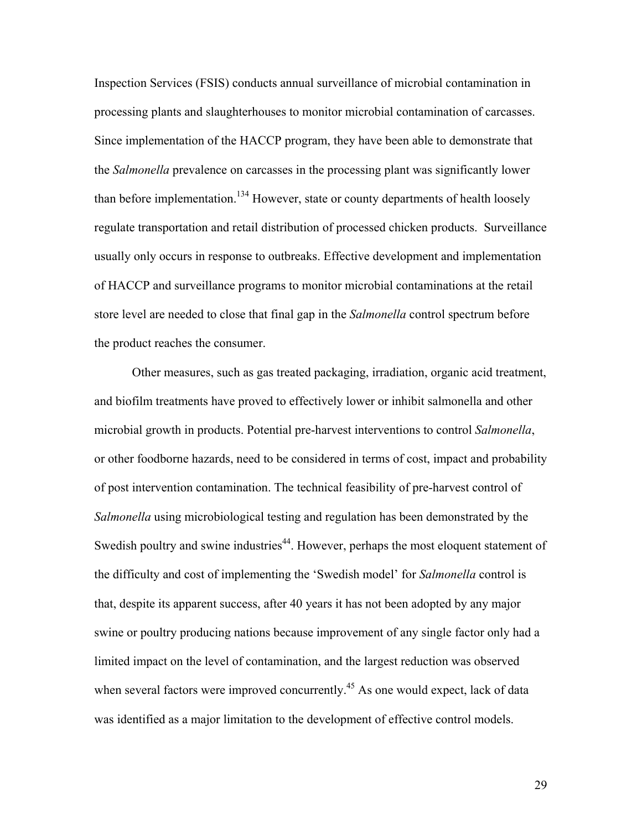Inspection Services (FSIS) conducts annual surveillance of microbial contamination in processing plants and slaughterhouses to monitor microbial contamination of carcasses. Since implementation of the HACCP program, they have been able to demonstrate that the *Salmonella* prevalence on carcasses in the processing plant was significantly lower than before implementation.<sup>134</sup> However, state or county departments of health loosely regulate transportation and retail distribution of processed chicken products. Surveillance usually only occurs in response to outbreaks. Effective development and implementation of HACCP and surveillance programs to monitor microbial contaminations at the retail store level are needed to close that final gap in the *Salmonella* control spectrum before the product reaches the consumer.

Other measures, such as gas treated packaging, irradiation, organic acid treatment, and biofilm treatments have proved to effectively lower or inhibit salmonella and other microbial growth in products. Potential pre-harvest interventions to control *Salmonella*, or other foodborne hazards, need to be considered in terms of cost, impact and probability of post intervention contamination. The technical feasibility of pre-harvest control of *Salmonella* using microbiological testing and regulation has been demonstrated by the Swedish poultry and swine industries<sup>44</sup>. However, perhaps the most eloquent statement of the difficulty and cost of implementing the 'Swedish model' for *Salmonella* control is that, despite its apparent success, after 40 years it has not been adopted by any major swine or poultry producing nations because improvement of any single factor only had a limited impact on the level of contamination, and the largest reduction was observed when several factors were improved concurrently.<sup>45</sup> As one would expect, lack of data was identified as a major limitation to the development of effective control models.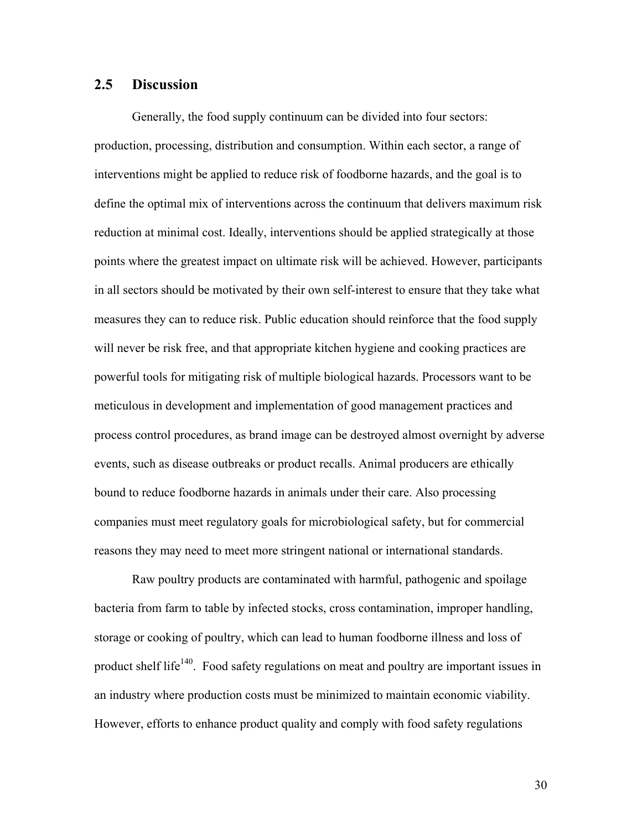#### **2.5 Discussion**

Generally, the food supply continuum can be divided into four sectors: production, processing, distribution and consumption. Within each sector, a range of interventions might be applied to reduce risk of foodborne hazards, and the goal is to define the optimal mix of interventions across the continuum that delivers maximum risk reduction at minimal cost. Ideally, interventions should be applied strategically at those points where the greatest impact on ultimate risk will be achieved. However, participants in all sectors should be motivated by their own self-interest to ensure that they take what measures they can to reduce risk. Public education should reinforce that the food supply will never be risk free, and that appropriate kitchen hygiene and cooking practices are powerful tools for mitigating risk of multiple biological hazards. Processors want to be meticulous in development and implementation of good management practices and process control procedures, as brand image can be destroyed almost overnight by adverse events, such as disease outbreaks or product recalls. Animal producers are ethically bound to reduce foodborne hazards in animals under their care. Also processing companies must meet regulatory goals for microbiological safety, but for commercial reasons they may need to meet more stringent national or international standards.

Raw poultry products are contaminated with harmful, pathogenic and spoilage bacteria from farm to table by infected stocks, cross contamination, improper handling, storage or cooking of poultry, which can lead to human foodborne illness and loss of product shelf life<sup>140</sup>. Food safety regulations on meat and poultry are important issues in an industry where production costs must be minimized to maintain economic viability. However, efforts to enhance product quality and comply with food safety regulations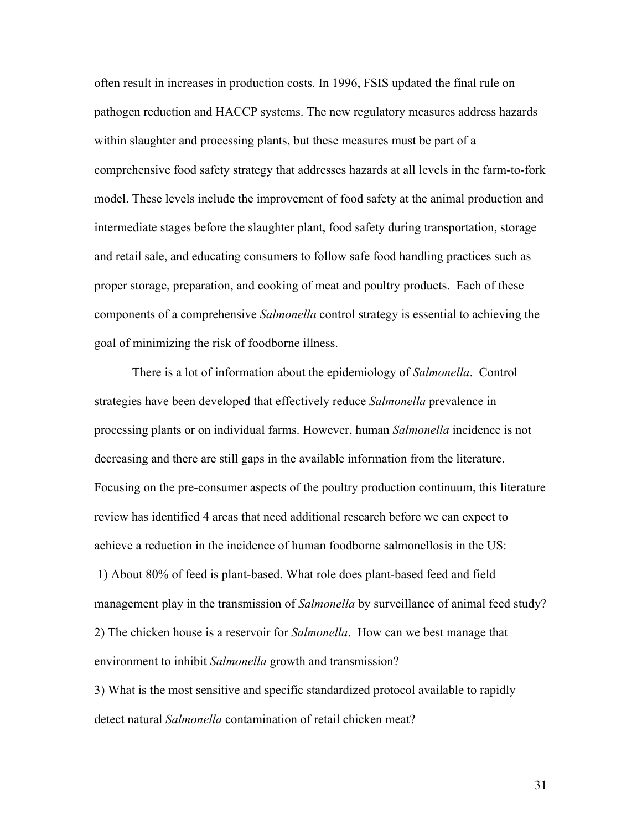often result in increases in production costs. In 1996, FSIS updated the final rule on pathogen reduction and HACCP systems. The new regulatory measures address hazards within slaughter and processing plants, but these measures must be part of a comprehensive food safety strategy that addresses hazards at all levels in the farm-to-fork model. These levels include the improvement of food safety at the animal production and intermediate stages before the slaughter plant, food safety during transportation, storage and retail sale, and educating consumers to follow safe food handling practices such as proper storage, preparation, and cooking of meat and poultry products. Each of these components of a comprehensive *Salmonella* control strategy is essential to achieving the goal of minimizing the risk of foodborne illness.

There is a lot of information about the epidemiology of *Salmonella*. Control strategies have been developed that effectively reduce *Salmonella* prevalence in processing plants or on individual farms. However, human *Salmonella* incidence is not decreasing and there are still gaps in the available information from the literature. Focusing on the pre-consumer aspects of the poultry production continuum, this literature review has identified 4 areas that need additional research before we can expect to achieve a reduction in the incidence of human foodborne salmonellosis in the US: 1) About 80% of feed is plant-based. What role does plant-based feed and field management play in the transmission of *Salmonella* by surveillance of animal feed study? 2) The chicken house is a reservoir for *Salmonella*. How can we best manage that environment to inhibit *Salmonella* growth and transmission?

3) What is the most sensitive and specific standardized protocol available to rapidly detect natural *Salmonella* contamination of retail chicken meat?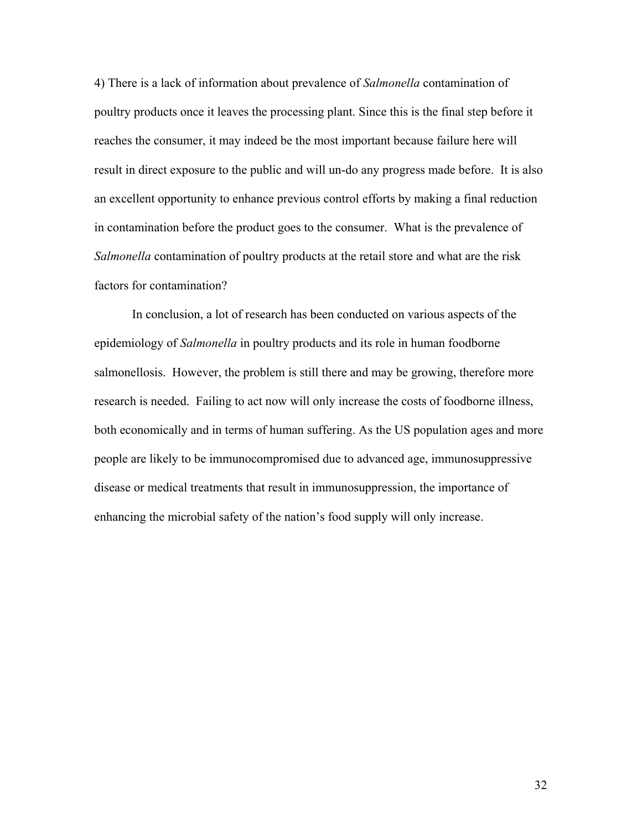4) There is a lack of information about prevalence of *Salmonella* contamination of poultry products once it leaves the processing plant. Since this is the final step before it reaches the consumer, it may indeed be the most important because failure here will result in direct exposure to the public and will un-do any progress made before. It is also an excellent opportunity to enhance previous control efforts by making a final reduction in contamination before the product goes to the consumer. What is the prevalence of *Salmonella* contamination of poultry products at the retail store and what are the risk factors for contamination?

In conclusion, a lot of research has been conducted on various aspects of the epidemiology of *Salmonella* in poultry products and its role in human foodborne salmonellosis. However, the problem is still there and may be growing, therefore more research is needed. Failing to act now will only increase the costs of foodborne illness, both economically and in terms of human suffering. As the US population ages and more people are likely to be immunocompromised due to advanced age, immunosuppressive disease or medical treatments that result in immunosuppression, the importance of enhancing the microbial safety of the nation's food supply will only increase.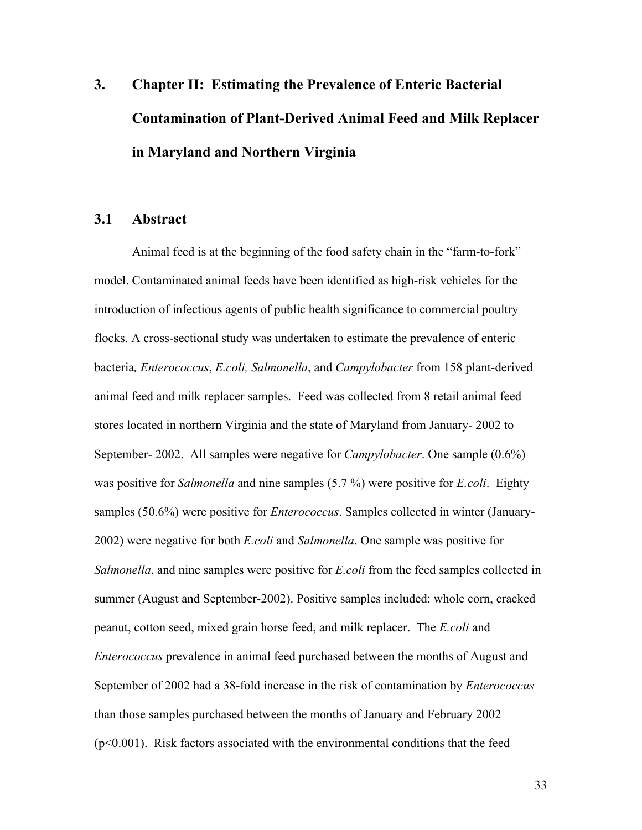# **3. Chapter II: Estimating the Prevalence of Enteric Bacterial Contamination of Plant-Derived Animal Feed and Milk Replacer in Maryland and Northern Virginia**

# **3.1 Abstract**

Animal feed is at the beginning of the food safety chain in the "farm-to-fork" model. Contaminated animal feeds have been identified as high-risk vehicles for the introduction of infectious agents of public health significance to commercial poultry flocks. A cross-sectional study was undertaken to estimate the prevalence of enteric bacteria*, Enterococcus*, *E.coli, Salmonella*, and *Campylobacter* from 158 plant-derived animal feed and milk replacer samples. Feed was collected from 8 retail animal feed stores located in northern Virginia and the state of Maryland from January- 2002 to September- 2002. All samples were negative for *Campylobacter*. One sample (0.6%) was positive for *Salmonella* and nine samples (5.7 %) were positive for *E.coli*. Eighty samples (50.6%) were positive for *Enterococcus*. Samples collected in winter (January-2002) were negative for both *E.coli* and *Salmonella*. One sample was positive for *Salmonella*, and nine samples were positive for *E.coli* from the feed samples collected in summer (August and September-2002). Positive samples included: whole corn, cracked peanut, cotton seed, mixed grain horse feed, and milk replacer. The *E.coli* and *Enterococcus* prevalence in animal feed purchased between the months of August and September of 2002 had a 38-fold increase in the risk of contamination by *Enterococcus* than those samples purchased between the months of January and February 2002 (p<0.001). Risk factors associated with the environmental conditions that the feed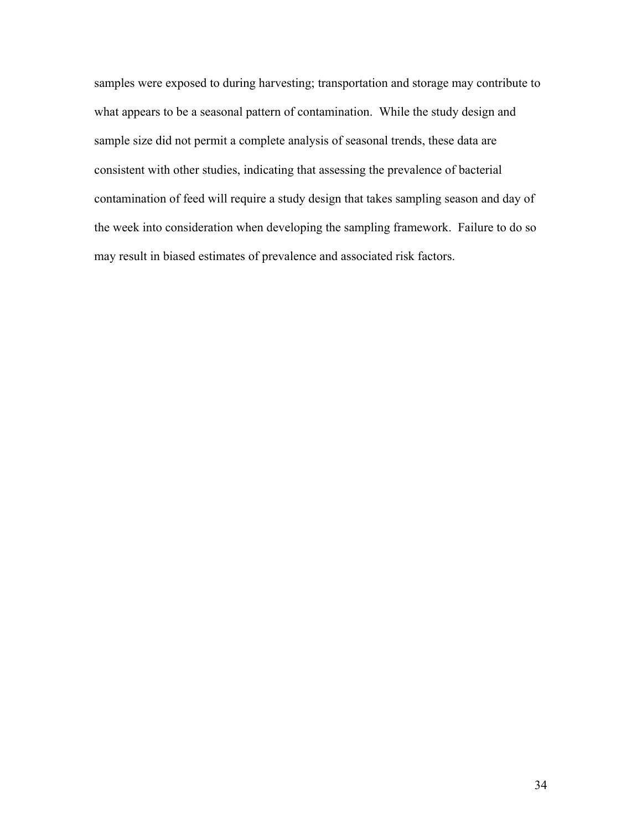samples were exposed to during harvesting; transportation and storage may contribute to what appears to be a seasonal pattern of contamination. While the study design and sample size did not permit a complete analysis of seasonal trends, these data are consistent with other studies, indicating that assessing the prevalence of bacterial contamination of feed will require a study design that takes sampling season and day of the week into consideration when developing the sampling framework. Failure to do so may result in biased estimates of prevalence and associated risk factors.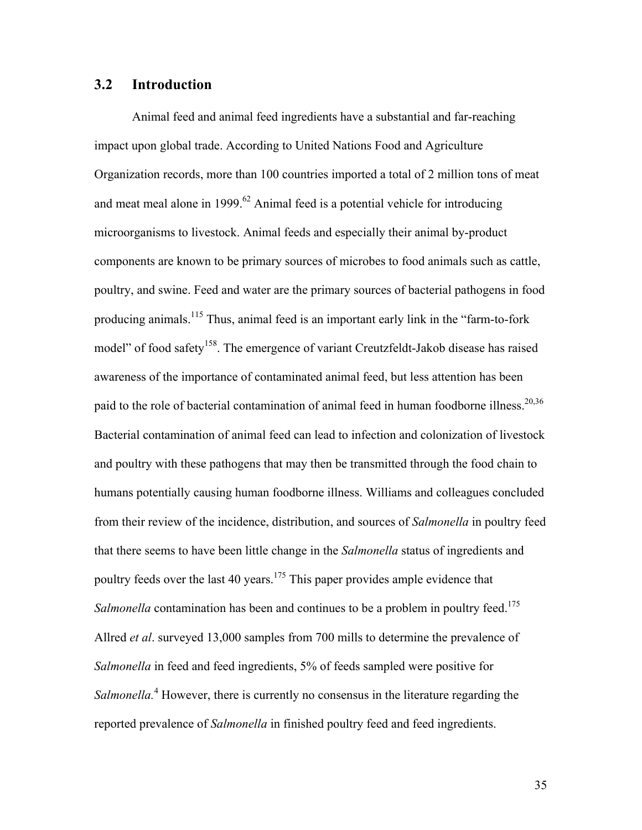#### **3.2 Introduction**

Animal feed and animal feed ingredients have a substantial and far-reaching impact upon global trade. According to United Nations Food and Agriculture Organization records, more than 100 countries imported a total of 2 million tons of meat and meat meal alone in 1999. $^{62}$  Animal feed is a potential vehicle for introducing microorganisms to livestock. Animal feeds and especially their animal by-product components are known to be primary sources of microbes to food animals such as cattle, poultry, and swine. Feed and water are the primary sources of bacterial pathogens in food producing animals.115 Thus, animal feed is an important early link in the "farm-to-fork model" of food safety<sup>158</sup>. The emergence of variant Creutzfeldt-Jakob disease has raised awareness of the importance of contaminated animal feed, but less attention has been paid to the role of bacterial contamination of animal feed in human foodborne illness.<sup>20,36</sup> Bacterial contamination of animal feed can lead to infection and colonization of livestock and poultry with these pathogens that may then be transmitted through the food chain to humans potentially causing human foodborne illness. Williams and colleagues concluded from their review of the incidence, distribution, and sources of *Salmonella* in poultry feed that there seems to have been little change in the *Salmonella* status of ingredients and poultry feeds over the last 40 years.<sup>175</sup> This paper provides ample evidence that *Salmonella* contamination has been and continues to be a problem in poultry feed.<sup>175</sup> Allred *et al*. surveyed 13,000 samples from 700 mills to determine the prevalence of *Salmonella* in feed and feed ingredients, 5% of feeds sampled were positive for Salmonella.<sup>4</sup> However, there is currently no consensus in the literature regarding the reported prevalence of *Salmonella* in finished poultry feed and feed ingredients.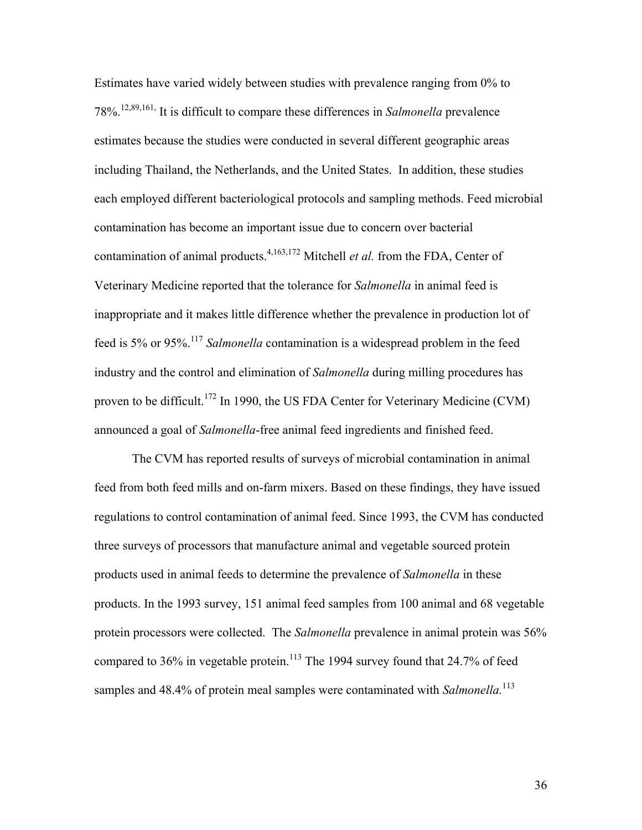Estimates have varied widely between studies with prevalence ranging from 0% to 78%.12,89,161, It is difficult to compare these differences in *Salmonella* prevalence estimates because the studies were conducted in several different geographic areas including Thailand, the Netherlands, and the United States. In addition, these studies each employed different bacteriological protocols and sampling methods. Feed microbial contamination has become an important issue due to concern over bacterial contamination of animal products.<sup>4,163,172</sup> Mitchell *et al.* from the FDA, Center of Veterinary Medicine reported that the tolerance for *Salmonella* in animal feed is inappropriate and it makes little difference whether the prevalence in production lot of feed is 5% or 95%.<sup>117</sup> *Salmonella* contamination is a widespread problem in the feed industry and the control and elimination of *Salmonella* during milling procedures has proven to be difficult.<sup>172</sup> In 1990, the US FDA Center for Veterinary Medicine (CVM) announced a goal of *Salmonella*-free animal feed ingredients and finished feed.

The CVM has reported results of surveys of microbial contamination in animal feed from both feed mills and on-farm mixers. Based on these findings, they have issued regulations to control contamination of animal feed. Since 1993, the CVM has conducted three surveys of processors that manufacture animal and vegetable sourced protein products used in animal feeds to determine the prevalence of *Salmonella* in these products. In the 1993 survey, 151 animal feed samples from 100 animal and 68 vegetable protein processors were collected. The *Salmonella* prevalence in animal protein was 56% compared to  $36\%$  in vegetable protein.<sup>113</sup> The 1994 survey found that 24.7% of feed samples and 48.4% of protein meal samples were contaminated with *Salmonella*.<sup>113</sup>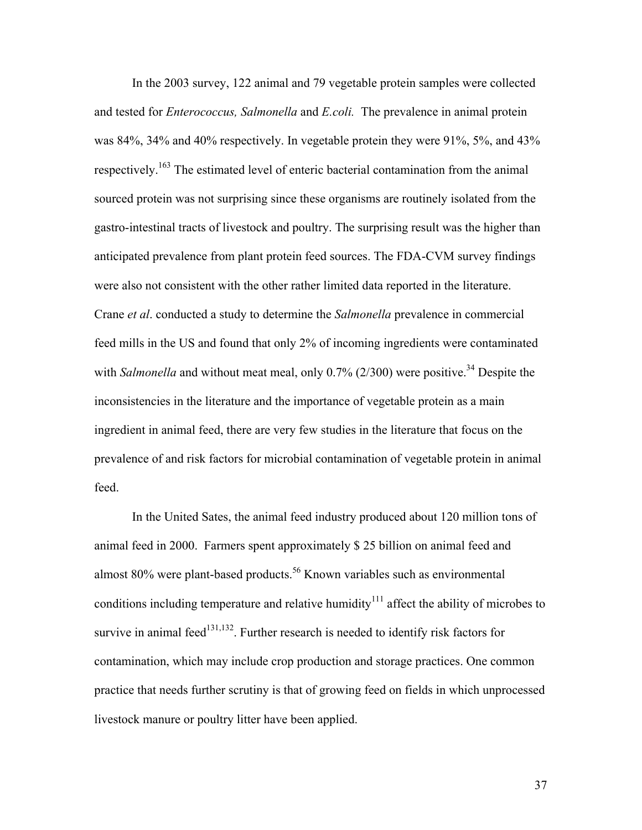In the 2003 survey, 122 animal and 79 vegetable protein samples were collected and tested for *Enterococcus, Salmonella* and *E.coli.* The prevalence in animal protein was 84%, 34% and 40% respectively. In vegetable protein they were 91%, 5%, and 43% respectively. 163 The estimated level of enteric bacterial contamination from the animal sourced protein was not surprising since these organisms are routinely isolated from the gastro-intestinal tracts of livestock and poultry. The surprising result was the higher than anticipated prevalence from plant protein feed sources. The FDA-CVM survey findings were also not consistent with the other rather limited data reported in the literature. Crane *et al*. conducted a study to determine the *Salmonella* prevalence in commercial feed mills in the US and found that only 2% of incoming ingredients were contaminated with *Salmonella* and without meat meal, only 0.7% (2/300) were positive.<sup>34</sup> Despite the inconsistencies in the literature and the importance of vegetable protein as a main ingredient in animal feed, there are very few studies in the literature that focus on the prevalence of and risk factors for microbial contamination of vegetable protein in animal feed.

In the United Sates, the animal feed industry produced about 120 million tons of animal feed in 2000. Farmers spent approximately \$ 25 billion on animal feed and almost 80% were plant-based products.<sup>56</sup> Known variables such as environmental conditions including temperature and relative humidity<sup> $111$ </sup> affect the ability of microbes to survive in animal feed $^{131,132}$ . Further research is needed to identify risk factors for contamination, which may include crop production and storage practices. One common practice that needs further scrutiny is that of growing feed on fields in which unprocessed livestock manure or poultry litter have been applied.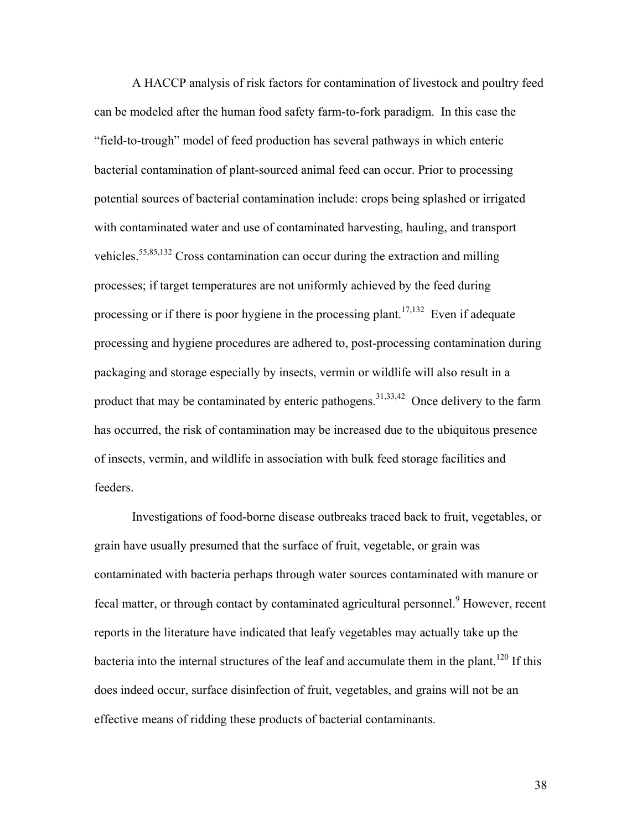A HACCP analysis of risk factors for contamination of livestock and poultry feed can be modeled after the human food safety farm-to-fork paradigm. In this case the "field-to-trough" model of feed production has several pathways in which enteric bacterial contamination of plant-sourced animal feed can occur. Prior to processing potential sources of bacterial contamination include: crops being splashed or irrigated with contaminated water and use of contaminated harvesting, hauling, and transport vehicles.55,85,132 Cross contamination can occur during the extraction and milling processes; if target temperatures are not uniformly achieved by the feed during processing or if there is poor hygiene in the processing plant.<sup>17,132</sup> Even if adequate processing and hygiene procedures are adhered to, post-processing contamination during packaging and storage especially by insects, vermin or wildlife will also result in a product that may be contaminated by enteric pathogens.  $31,33,42$  Once delivery to the farm has occurred, the risk of contamination may be increased due to the ubiquitous presence of insects, vermin, and wildlife in association with bulk feed storage facilities and feeders.

Investigations of food-borne disease outbreaks traced back to fruit, vegetables, or grain have usually presumed that the surface of fruit, vegetable, or grain was contaminated with bacteria perhaps through water sources contaminated with manure or fecal matter, or through contact by contaminated agricultural personnel.<sup>9</sup> However, recent reports in the literature have indicated that leafy vegetables may actually take up the bacteria into the internal structures of the leaf and accumulate them in the plant.<sup>120</sup> If this does indeed occur, surface disinfection of fruit, vegetables, and grains will not be an effective means of ridding these products of bacterial contaminants.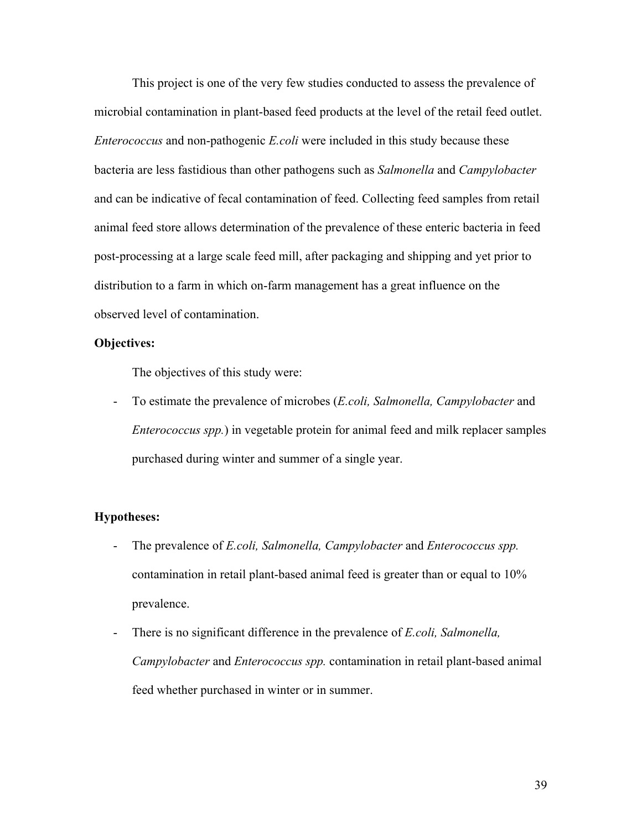This project is one of the very few studies conducted to assess the prevalence of microbial contamination in plant-based feed products at the level of the retail feed outlet. *Enterococcus* and non-pathogenic *E.coli* were included in this study because these bacteria are less fastidious than other pathogens such as *Salmonella* and *Campylobacter* and can be indicative of fecal contamination of feed. Collecting feed samples from retail animal feed store allows determination of the prevalence of these enteric bacteria in feed post-processing at a large scale feed mill, after packaging and shipping and yet prior to distribution to a farm in which on-farm management has a great influence on the observed level of contamination.

#### **Objectives:**

The objectives of this study were:

- To estimate the prevalence of microbes (*E.coli, Salmonella, Campylobacter* and *Enterococcus spp.*) in vegetable protein for animal feed and milk replacer samples purchased during winter and summer of a single year.

#### **Hypotheses:**

- The prevalence of *E.coli, Salmonella, Campylobacter* and *Enterococcus spp.* contamination in retail plant-based animal feed is greater than or equal to 10% prevalence.
- There is no significant difference in the prevalence of *E.coli, Salmonella, Campylobacter* and *Enterococcus spp.* contamination in retail plant-based animal feed whether purchased in winter or in summer.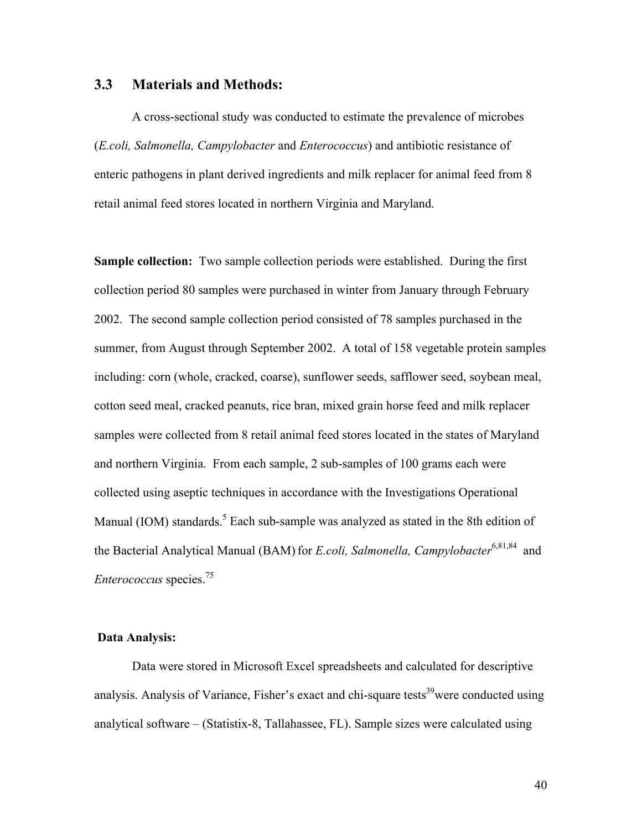#### **3.3 Materials and Methods:**

A cross-sectional study was conducted to estimate the prevalence of microbes (*E.coli, Salmonella, Campylobacter* and *Enterococcus*) and antibiotic resistance of enteric pathogens in plant derived ingredients and milk replacer for animal feed from 8 retail animal feed stores located in northern Virginia and Maryland.

**Sample collection:** Two sample collection periods were established. During the first collection period 80 samples were purchased in winter from January through February 2002. The second sample collection period consisted of 78 samples purchased in the summer, from August through September 2002. A total of 158 vegetable protein samples including: corn (whole, cracked, coarse), sunflower seeds, safflower seed, soybean meal, cotton seed meal, cracked peanuts, rice bran, mixed grain horse feed and milk replacer samples were collected from 8 retail animal feed stores located in the states of Maryland and northern Virginia. From each sample, 2 sub-samples of 100 grams each were collected using aseptic techniques in accordance with the Investigations Operational Manual (IOM) standards. $5$  Each sub-sample was analyzed as stated in the 8th edition of the Bacterial Analytical Manual (BAM) for *E.coli, Salmonella, Campylobacter*<sup>6,81,84</sup> and *Enterococcus* species.75

#### **Data Analysis:**

Data were stored in Microsoft Excel spreadsheets and calculated for descriptive analysis. Analysis of Variance, Fisher's exact and chi-square tests<sup>39</sup>were conducted using analytical software – (Statistix-8, Tallahassee, FL). Sample sizes were calculated using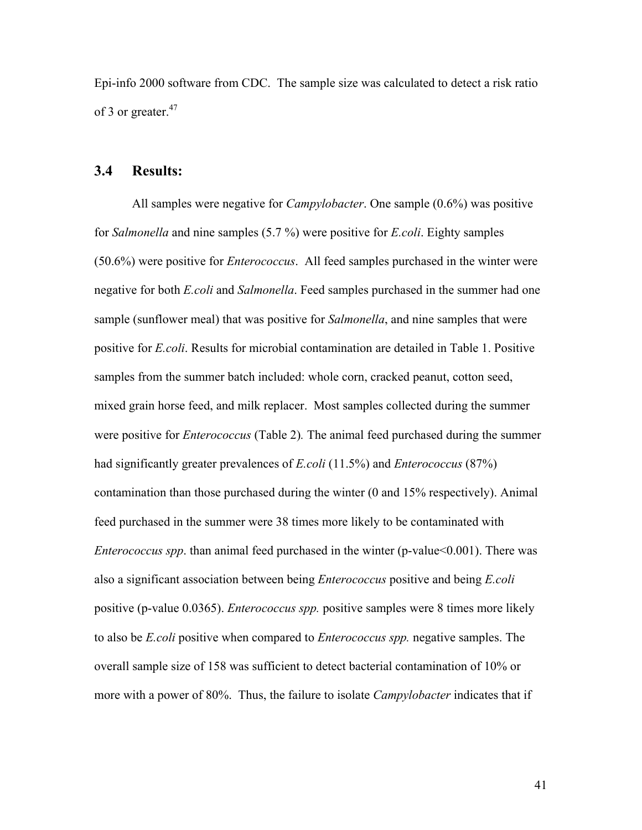Epi-info 2000 software from CDC. The sample size was calculated to detect a risk ratio of 3 or greater.<sup>47</sup>

# **3.4 Results:**

All samples were negative for *Campylobacter*. One sample (0.6%) was positive for *Salmonella* and nine samples (5.7 %) were positive for *E.coli*. Eighty samples (50.6%) were positive for *Enterococcus*. All feed samples purchased in the winter were negative for both *E.coli* and *Salmonella*. Feed samples purchased in the summer had one sample (sunflower meal) that was positive for *Salmonella*, and nine samples that were positive for *E.coli*. Results for microbial contamination are detailed in Table 1. Positive samples from the summer batch included: whole corn, cracked peanut, cotton seed, mixed grain horse feed, and milk replacer. Most samples collected during the summer were positive for *Enterococcus* (Table 2)*.* The animal feed purchased during the summer had significantly greater prevalences of *E.coli* (11.5%) and *Enterococcus* (87%) contamination than those purchased during the winter (0 and 15% respectively). Animal feed purchased in the summer were 38 times more likely to be contaminated with *Enterococcus spp.* than animal feed purchased in the winter (p-value < 0.001). There was also a significant association between being *Enterococcus* positive and being *E.coli* positive (p-value 0.0365). *Enterococcus spp.* positive samples were 8 times more likely to also be *E.coli* positive when compared to *Enterococcus spp.* negative samples. The overall sample size of 158 was sufficient to detect bacterial contamination of 10% or more with a power of 80%. Thus, the failure to isolate *Campylobacter* indicates that if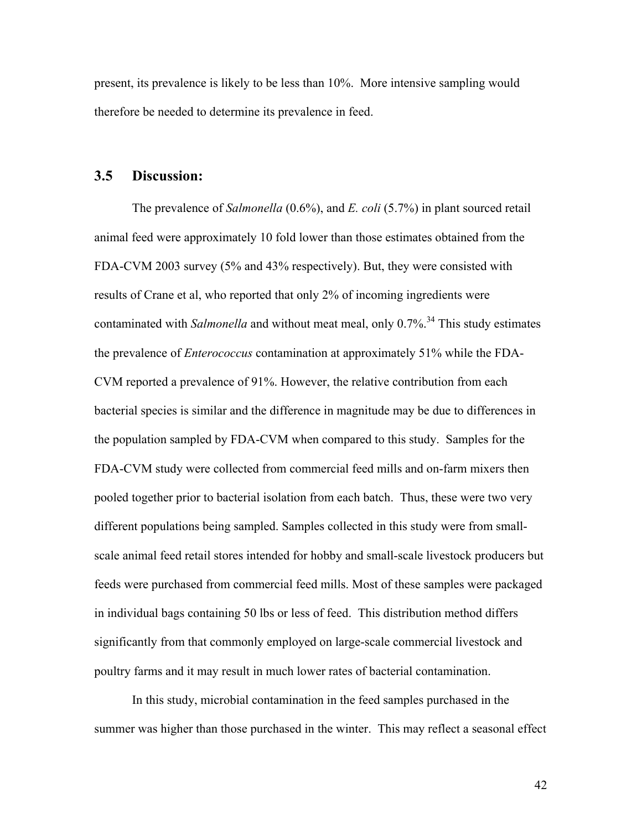present, its prevalence is likely to be less than 10%. More intensive sampling would therefore be needed to determine its prevalence in feed.

#### **3.5 Discussion:**

The prevalence of *Salmonella* (0.6%), and *E. coli* (5.7%) in plant sourced retail animal feed were approximately 10 fold lower than those estimates obtained from the FDA-CVM 2003 survey (5% and 43% respectively). But, they were consisted with results of Crane et al, who reported that only 2% of incoming ingredients were contaminated with *Salmonella* and without meat meal, only 0.7%<sup>34</sup>. This study estimates the prevalence of *Enterococcus* contamination at approximately 51% while the FDA-CVM reported a prevalence of 91%. However, the relative contribution from each bacterial species is similar and the difference in magnitude may be due to differences in the population sampled by FDA-CVM when compared to this study. Samples for the FDA-CVM study were collected from commercial feed mills and on-farm mixers then pooled together prior to bacterial isolation from each batch. Thus, these were two very different populations being sampled. Samples collected in this study were from smallscale animal feed retail stores intended for hobby and small-scale livestock producers but feeds were purchased from commercial feed mills. Most of these samples were packaged in individual bags containing 50 lbs or less of feed. This distribution method differs significantly from that commonly employed on large-scale commercial livestock and poultry farms and it may result in much lower rates of bacterial contamination.

In this study, microbial contamination in the feed samples purchased in the summer was higher than those purchased in the winter. This may reflect a seasonal effect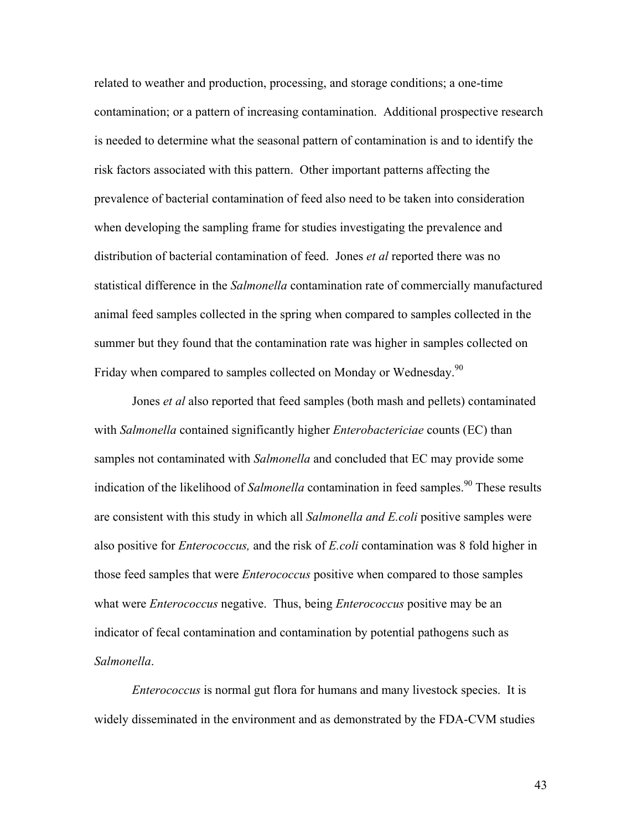related to weather and production, processing, and storage conditions; a one-time contamination; or a pattern of increasing contamination. Additional prospective research is needed to determine what the seasonal pattern of contamination is and to identify the risk factors associated with this pattern. Other important patterns affecting the prevalence of bacterial contamination of feed also need to be taken into consideration when developing the sampling frame for studies investigating the prevalence and distribution of bacterial contamination of feed. Jones *et al* reported there was no statistical difference in the *Salmonella* contamination rate of commercially manufactured animal feed samples collected in the spring when compared to samples collected in the summer but they found that the contamination rate was higher in samples collected on Friday when compared to samples collected on Monday or Wednesday.<sup>90</sup>

Jones *et al* also reported that feed samples (both mash and pellets) contaminated with *Salmonella* contained significantly higher *Enterobactericiae* counts (EC) than samples not contaminated with *Salmonella* and concluded that EC may provide some indication of the likelihood of *Salmonella* contamination in feed samples.<sup>90</sup> These results are consistent with this study in which all *Salmonella and E.coli* positive samples were also positive for *Enterococcus,* and the risk of *E.coli* contamination was 8 fold higher in those feed samples that were *Enterococcus* positive when compared to those samples what were *Enterococcus* negative. Thus, being *Enterococcus* positive may be an indicator of fecal contamination and contamination by potential pathogens such as *Salmonella*.

*Enterococcus* is normal gut flora for humans and many livestock species. It is widely disseminated in the environment and as demonstrated by the FDA-CVM studies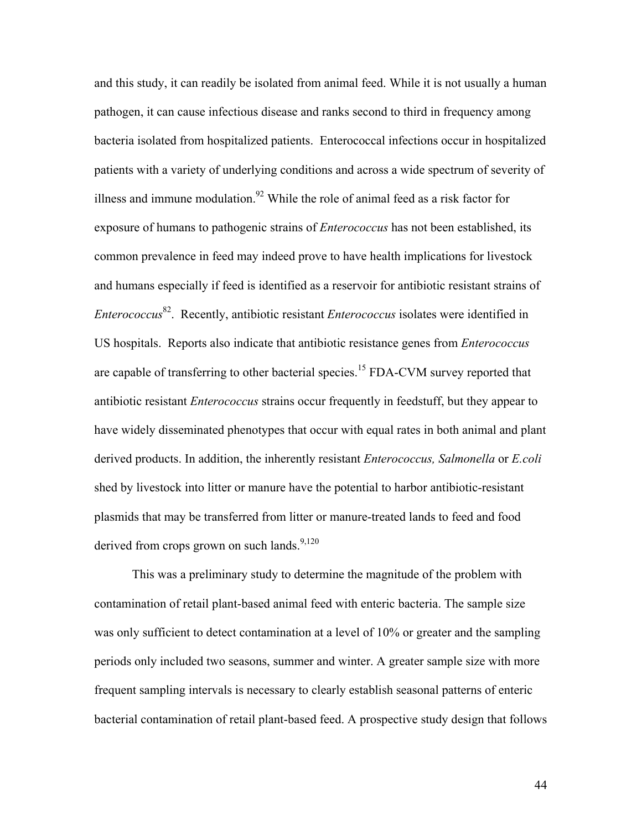and this study, it can readily be isolated from animal feed. While it is not usually a human pathogen, it can cause infectious disease and ranks second to third in frequency among bacteria isolated from hospitalized patients. Enterococcal infections occur in hospitalized patients with a variety of underlying conditions and across a wide spectrum of severity of illness and immune modulation.<sup>92</sup> While the role of animal feed as a risk factor for exposure of humans to pathogenic strains of *Enterococcus* has not been established, its common prevalence in feed may indeed prove to have health implications for livestock and humans especially if feed is identified as a reservoir for antibiotic resistant strains of *Enterococcus* 82. Recently, antibiotic resistant *Enterococcus* isolates were identified in US hospitals. Reports also indicate that antibiotic resistance genes from *Enterococcus* are capable of transferring to other bacterial species.<sup>15</sup> FDA-CVM survey reported that antibiotic resistant *Enterococcus* strains occur frequently in feedstuff, but they appear to have widely disseminated phenotypes that occur with equal rates in both animal and plant derived products. In addition, the inherently resistant *Enterococcus, Salmonella* or *E.coli*  shed by livestock into litter or manure have the potential to harbor antibiotic-resistant plasmids that may be transferred from litter or manure-treated lands to feed and food derived from crops grown on such lands.<sup>9,120</sup>

This was a preliminary study to determine the magnitude of the problem with contamination of retail plant-based animal feed with enteric bacteria. The sample size was only sufficient to detect contamination at a level of 10% or greater and the sampling periods only included two seasons, summer and winter. A greater sample size with more frequent sampling intervals is necessary to clearly establish seasonal patterns of enteric bacterial contamination of retail plant-based feed. A prospective study design that follows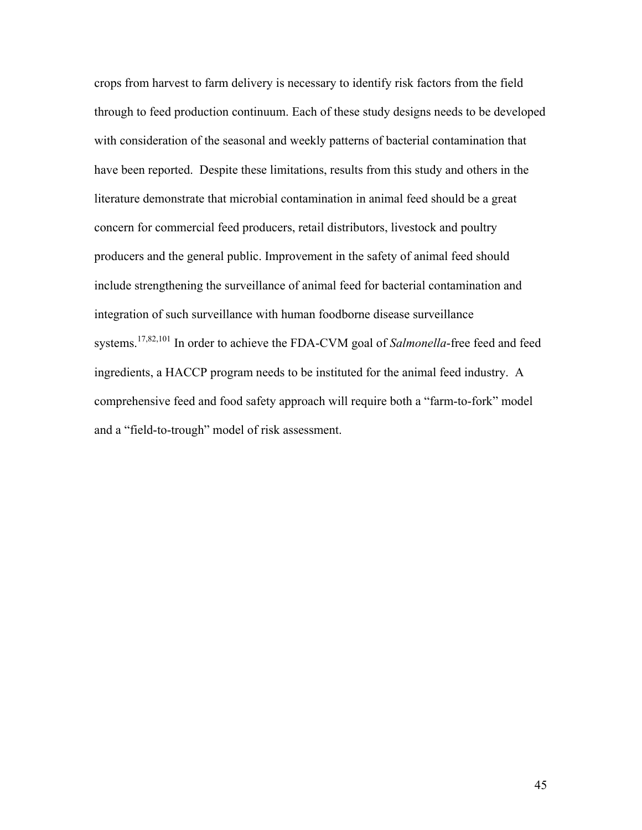crops from harvest to farm delivery is necessary to identify risk factors from the field through to feed production continuum. Each of these study designs needs to be developed with consideration of the seasonal and weekly patterns of bacterial contamination that have been reported. Despite these limitations, results from this study and others in the literature demonstrate that microbial contamination in animal feed should be a great concern for commercial feed producers, retail distributors, livestock and poultry producers and the general public. Improvement in the safety of animal feed should include strengthening the surveillance of animal feed for bacterial contamination and integration of such surveillance with human foodborne disease surveillance systems.17,82,101 In order to achieve the FDA-CVM goal of *Salmonella*-free feed and feed ingredients, a HACCP program needs to be instituted for the animal feed industry. A comprehensive feed and food safety approach will require both a "farm-to-fork" model and a "field-to-trough" model of risk assessment.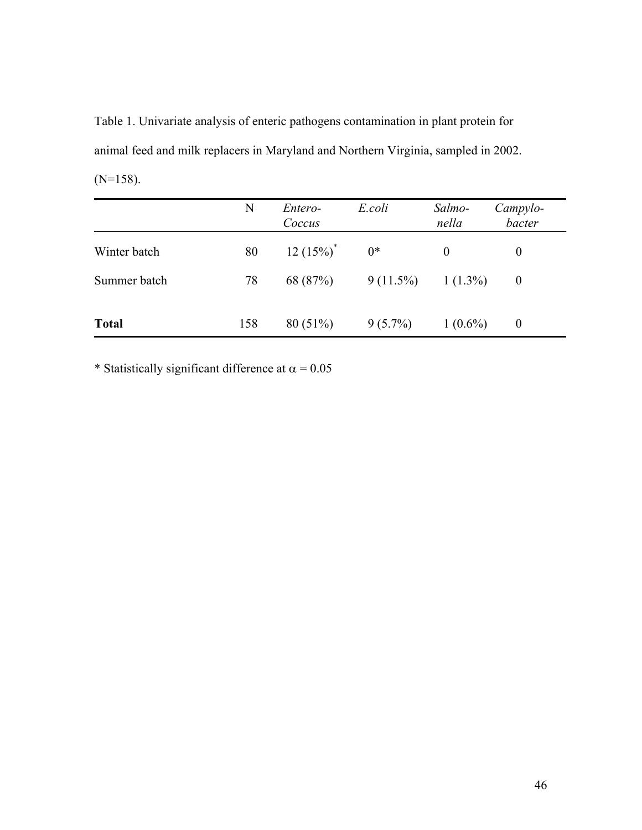Table 1. Univariate analysis of enteric pathogens contamination in plant protein for animal feed and milk replacers in Maryland and Northern Virginia, sampled in 2002.  $(N=158)$ .

|              | N   | Entero-<br>Coccus | E.coli      | Salmo-<br>nella | Campylo-<br>bacter |
|--------------|-----|-------------------|-------------|-----------------|--------------------|
| Winter batch | 80  | $12(15%)^*$       | $0*$        | $\Omega$        | $\theta$           |
| Summer batch | 78  | 68 (87%)          | $9(11.5\%)$ | $1(1.3\%)$      | $\theta$           |
| <b>Total</b> | 158 | $80(51\%)$        | $9(5.7\%)$  | $1(0.6\%)$      | $\theta$           |

\* Statistically significant difference at  $\alpha = 0.05$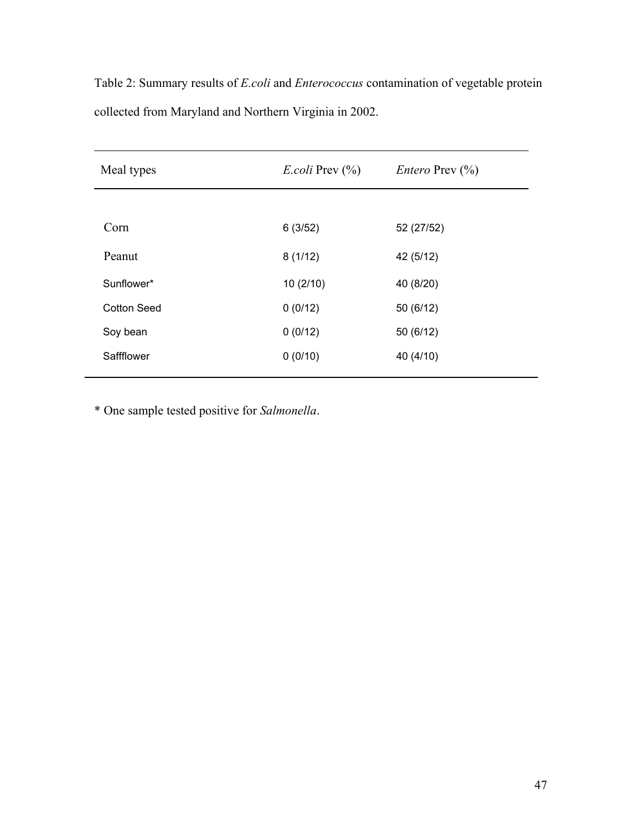| Meal types         | <i>E.coli</i> Prev $\left(\frac{9}{0}\right)$ | <i>Entero</i> Prev $\left(\frac{0}{0}\right)$ |  |
|--------------------|-----------------------------------------------|-----------------------------------------------|--|
|                    |                                               |                                               |  |
| Corn               | 6(3/52)                                       | 52 (27/52)                                    |  |
| Peanut             | 8(1/12)                                       | 42 (5/12)                                     |  |
| Sunflower*         | 10(2/10)                                      | 40 (8/20)                                     |  |
| <b>Cotton Seed</b> | 0(0/12)                                       | 50 (6/12)                                     |  |
| Soy bean           | 0(0/12)                                       | 50 (6/12)                                     |  |
| Saffflower         | 0(0/10)                                       | 40 (4/10)                                     |  |

Table 2: Summary results of *E.coli* and *Enterococcus* contamination of vegetable protein collected from Maryland and Northern Virginia in 2002.

\* One sample tested positive for *Salmonella*.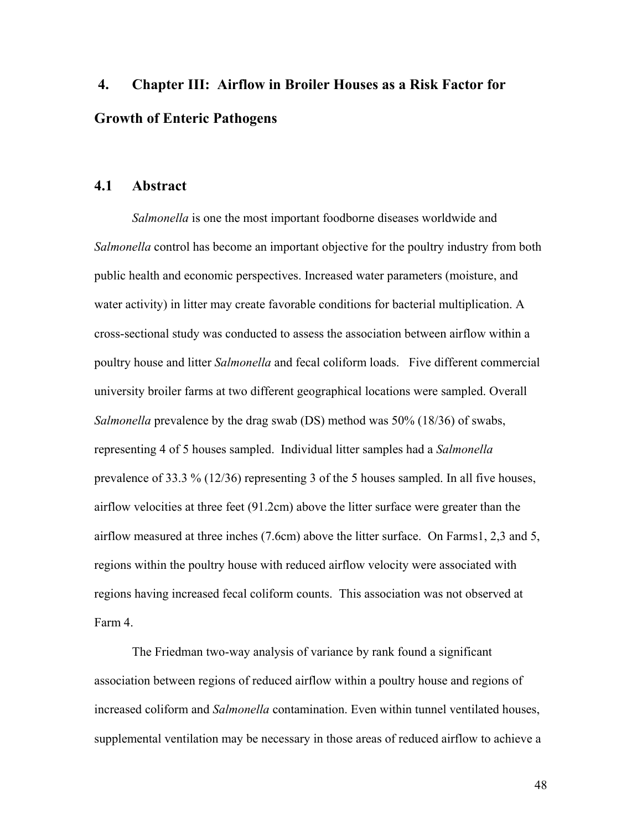# **4. Chapter III: Airflow in Broiler Houses as a Risk Factor for Growth of Enteric Pathogens**

#### **4.1 Abstract**

*Salmonella* is one the most important foodborne diseases worldwide and *Salmonella* control has become an important objective for the poultry industry from both public health and economic perspectives. Increased water parameters (moisture, and water activity) in litter may create favorable conditions for bacterial multiplication. A cross-sectional study was conducted to assess the association between airflow within a poultry house and litter *Salmonella* and fecal coliform loads. Five different commercial university broiler farms at two different geographical locations were sampled. Overall *Salmonella* prevalence by the drag swab (DS) method was 50% (18/36) of swabs, representing 4 of 5 houses sampled. Individual litter samples had a *Salmonella* prevalence of 33.3 % (12/36) representing 3 of the 5 houses sampled. In all five houses, airflow velocities at three feet (91.2cm) above the litter surface were greater than the airflow measured at three inches (7.6cm) above the litter surface. On Farms1, 2,3 and 5, regions within the poultry house with reduced airflow velocity were associated with regions having increased fecal coliform counts. This association was not observed at Farm 4.

The Friedman two-way analysis of variance by rank found a significant association between regions of reduced airflow within a poultry house and regions of increased coliform and *Salmonella* contamination. Even within tunnel ventilated houses, supplemental ventilation may be necessary in those areas of reduced airflow to achieve a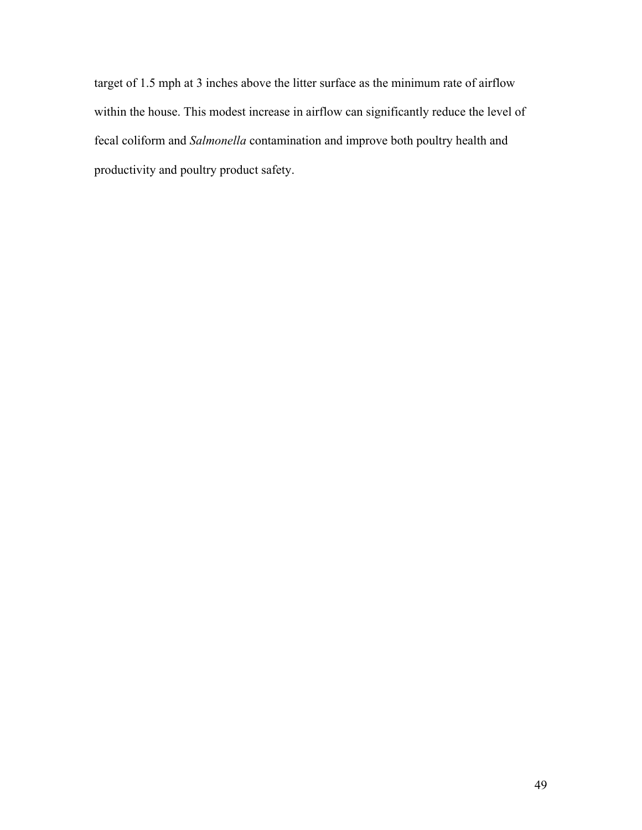target of 1.5 mph at 3 inches above the litter surface as the minimum rate of airflow within the house. This modest increase in airflow can significantly reduce the level of fecal coliform and *Salmonella* contamination and improve both poultry health and productivity and poultry product safety.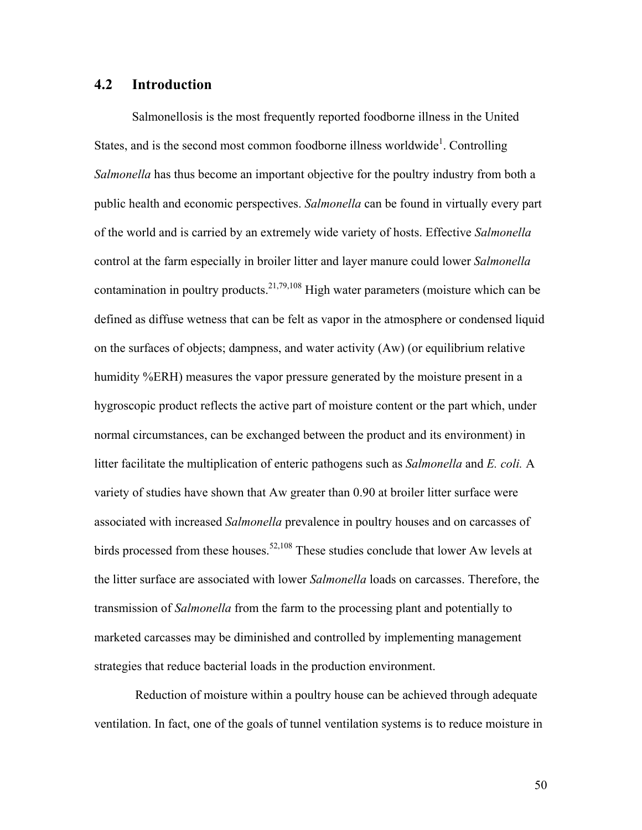### **4.2 Introduction**

Salmonellosis is the most frequently reported foodborne illness in the United States, and is the second most common foodborne illness worldwide<sup>1</sup>. Controlling *Salmonella* has thus become an important objective for the poultry industry from both a public health and economic perspectives. *Salmonella* can be found in virtually every part of the world and is carried by an extremely wide variety of hosts. Effective *Salmonella* control at the farm especially in broiler litter and layer manure could lower *Salmonella* contamination in poultry products.<sup>21,79,108</sup> High water parameters (moisture which can be defined as diffuse wetness that can be felt as vapor in the atmosphere or condensed liquid on the surfaces of objects; dampness, and water activity (Aw) (or equilibrium relative humidity %ERH) measures the vapor pressure generated by the moisture present in a hygroscopic product reflects the active part of moisture content or the part which, under normal circumstances, can be exchanged between the product and its environment) in litter facilitate the multiplication of enteric pathogens such as *Salmonella* and *E. coli.* A variety of studies have shown that Aw greater than 0.90 at broiler litter surface were associated with increased *Salmonella* prevalence in poultry houses and on carcasses of birds processed from these houses.<sup>52,108</sup> These studies conclude that lower Aw levels at the litter surface are associated with lower *Salmonella* loads on carcasses. Therefore, the transmission of *Salmonella* from the farm to the processing plant and potentially to marketed carcasses may be diminished and controlled by implementing management strategies that reduce bacterial loads in the production environment.

 Reduction of moisture within a poultry house can be achieved through adequate ventilation. In fact, one of the goals of tunnel ventilation systems is to reduce moisture in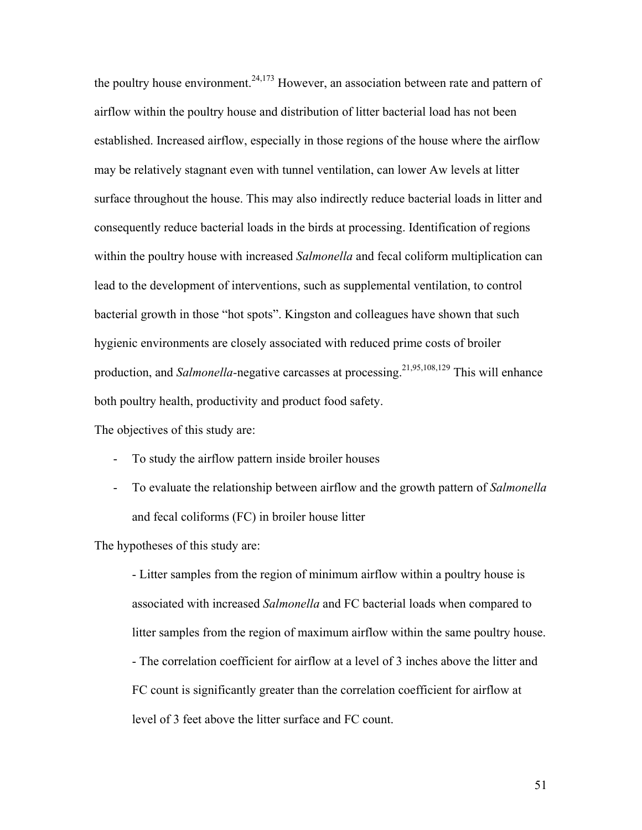the poultry house environment.<sup>24,173</sup> However, an association between rate and pattern of airflow within the poultry house and distribution of litter bacterial load has not been established. Increased airflow, especially in those regions of the house where the airflow may be relatively stagnant even with tunnel ventilation, can lower Aw levels at litter surface throughout the house. This may also indirectly reduce bacterial loads in litter and consequently reduce bacterial loads in the birds at processing. Identification of regions within the poultry house with increased *Salmonella* and fecal coliform multiplication can lead to the development of interventions, such as supplemental ventilation, to control bacterial growth in those "hot spots". Kingston and colleagues have shown that such hygienic environments are closely associated with reduced prime costs of broiler production, and *Salmonella*-negative carcasses at processing.<sup>21,95,108,129</sup> This will enhance both poultry health, productivity and product food safety.

The objectives of this study are:

- To study the airflow pattern inside broiler houses
- To evaluate the relationship between airflow and the growth pattern of *Salmonella* and fecal coliforms (FC) in broiler house litter

The hypotheses of this study are:

- Litter samples from the region of minimum airflow within a poultry house is associated with increased *Salmonella* and FC bacterial loads when compared to litter samples from the region of maximum airflow within the same poultry house. - The correlation coefficient for airflow at a level of 3 inches above the litter and FC count is significantly greater than the correlation coefficient for airflow at level of 3 feet above the litter surface and FC count.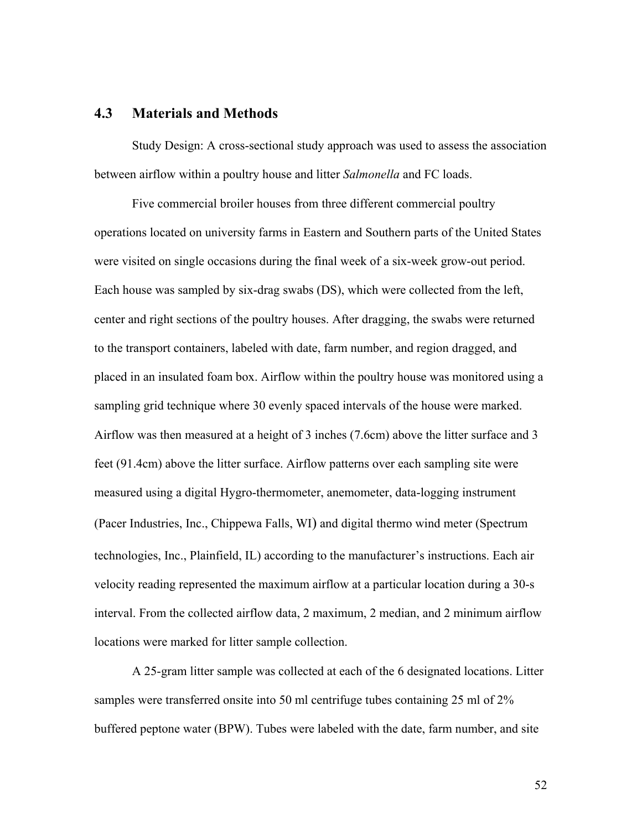# **4.3 Materials and Methods**

Study Design: A cross-sectional study approach was used to assess the association between airflow within a poultry house and litter *Salmonella* and FC loads.

Five commercial broiler houses from three different commercial poultry operations located on university farms in Eastern and Southern parts of the United States were visited on single occasions during the final week of a six-week grow-out period. Each house was sampled by six-drag swabs (DS), which were collected from the left, center and right sections of the poultry houses. After dragging, the swabs were returned to the transport containers, labeled with date, farm number, and region dragged, and placed in an insulated foam box. Airflow within the poultry house was monitored using a sampling grid technique where 30 evenly spaced intervals of the house were marked. Airflow was then measured at a height of 3 inches (7.6cm) above the litter surface and 3 feet (91.4cm) above the litter surface. Airflow patterns over each sampling site were measured using a digital Hygro-thermometer, anemometer, data-logging instrument (Pacer Industries, Inc., Chippewa Falls, WI) and digital thermo wind meter (Spectrum technologies, Inc., Plainfield, IL) according to the manufacturer's instructions. Each air velocity reading represented the maximum airflow at a particular location during a 30-s interval. From the collected airflow data, 2 maximum, 2 median, and 2 minimum airflow locations were marked for litter sample collection.

A 25-gram litter sample was collected at each of the 6 designated locations. Litter samples were transferred onsite into 50 ml centrifuge tubes containing 25 ml of 2% buffered peptone water (BPW). Tubes were labeled with the date, farm number, and site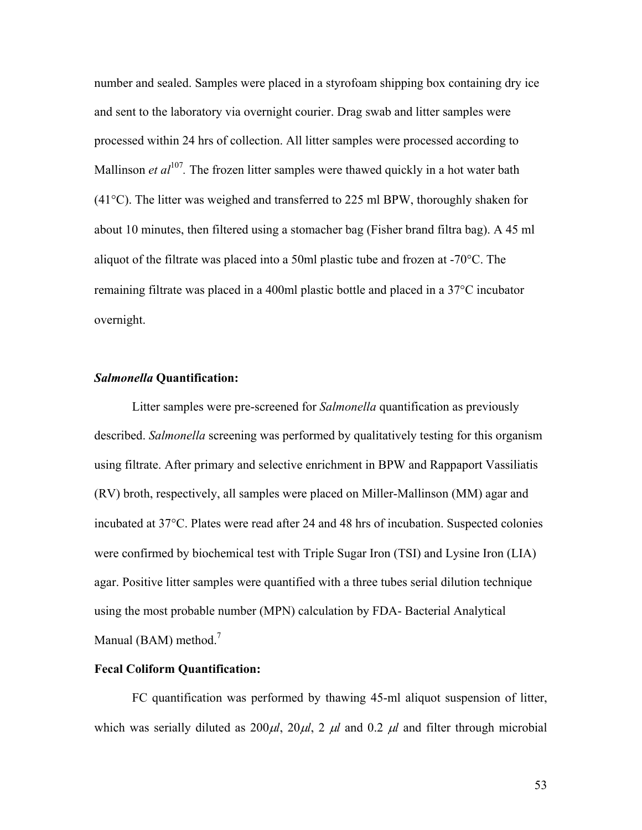number and sealed. Samples were placed in a styrofoam shipping box containing dry ice and sent to the laboratory via overnight courier. Drag swab and litter samples were processed within 24 hrs of collection. All litter samples were processed according to Mallinson *et al*<sup>107</sup>. The frozen litter samples were thawed quickly in a hot water bath  $(41^{\circ}$ C). The litter was weighed and transferred to 225 ml BPW, thoroughly shaken for about 10 minutes, then filtered using a stomacher bag (Fisher brand filtra bag). A 45 ml aliquot of the filtrate was placed into a 50ml plastic tube and frozen at -70°C. The remaining filtrate was placed in a 400ml plastic bottle and placed in a 37°C incubator overnight.

#### *Salmonella* **Quantification:**

Litter samples were pre-screened for *Salmonella* quantification as previously described. *Salmonella* screening was performed by qualitatively testing for this organism using filtrate. After primary and selective enrichment in BPW and Rappaport Vassiliatis (RV) broth, respectively, all samples were placed on Miller-Mallinson (MM) agar and incubated at 37°C. Plates were read after 24 and 48 hrs of incubation. Suspected colonies were confirmed by biochemical test with Triple Sugar Iron (TSI) and Lysine Iron (LIA) agar. Positive litter samples were quantified with a three tubes serial dilution technique using the most probable number (MPN) calculation by FDA- Bacterial Analytical Manual (BAM) method.<sup>7</sup>

#### **Fecal Coliform Quantification:**

FC quantification was performed by thawing 45-ml aliquot suspension of litter, which was serially diluted as  $200\mu l$ ,  $20\mu l$ ,  $2 \mu l$  and  $0.2 \mu l$  and filter through microbial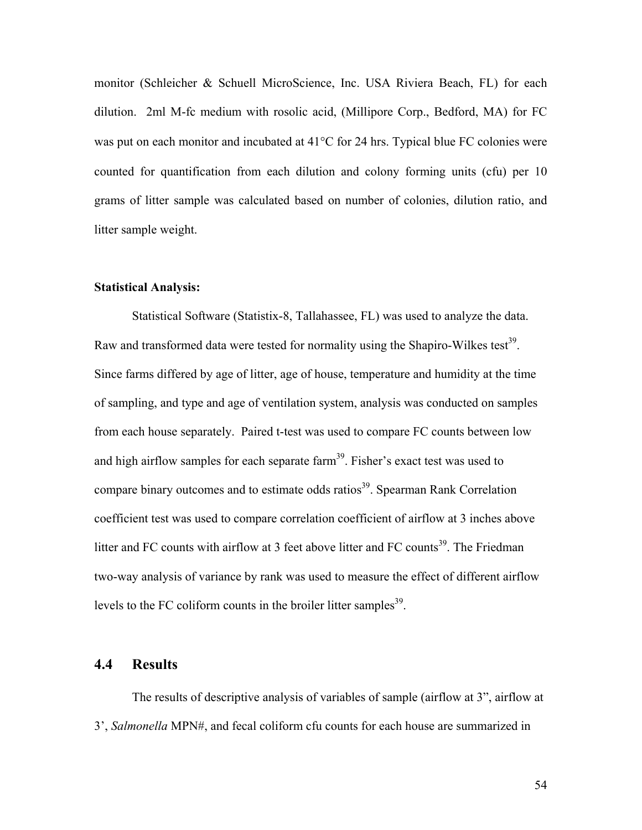monitor (Schleicher & Schuell MicroScience, Inc. USA Riviera Beach, FL) for each dilution. 2ml M-fc medium with rosolic acid, (Millipore Corp., Bedford, MA) for FC was put on each monitor and incubated at 41<sup>o</sup>C for 24 hrs. Typical blue FC colonies were counted for quantification from each dilution and colony forming units (cfu) per 10 grams of litter sample was calculated based on number of colonies, dilution ratio, and litter sample weight.

#### **Statistical Analysis:**

Statistical Software (Statistix-8, Tallahassee, FL) was used to analyze the data. Raw and transformed data were tested for normality using the Shapiro-Wilkes test<sup>39</sup>. Since farms differed by age of litter, age of house, temperature and humidity at the time of sampling, and type and age of ventilation system, analysis was conducted on samples from each house separately. Paired t-test was used to compare FC counts between low and high airflow samples for each separate farm<sup>39</sup>. Fisher's exact test was used to compare binary outcomes and to estimate odds ratios<sup>39</sup>. Spearman Rank Correlation coefficient test was used to compare correlation coefficient of airflow at 3 inches above litter and FC counts with airflow at 3 feet above litter and FC counts<sup>39</sup>. The Friedman two-way analysis of variance by rank was used to measure the effect of different airflow levels to the FC coliform counts in the broiler litter samples $^{39}$ .

# **4.4 Results**

The results of descriptive analysis of variables of sample (airflow at 3", airflow at 3', *Salmonella* MPN#, and fecal coliform cfu counts for each house are summarized in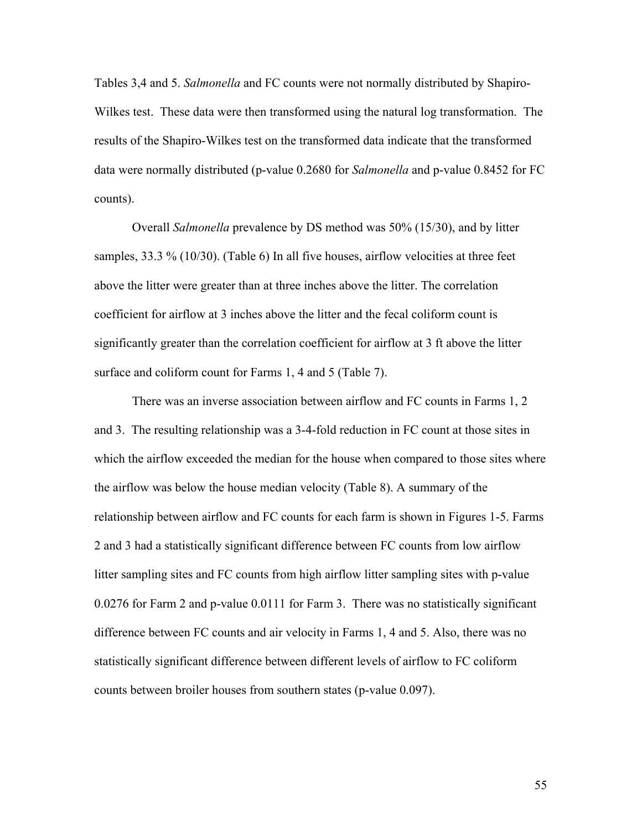Tables 3,4 and 5. *Salmonella* and FC counts were not normally distributed by Shapiro-Wilkes test. These data were then transformed using the natural log transformation. The results of the Shapiro-Wilkes test on the transformed data indicate that the transformed data were normally distributed (p-value 0.2680 for *Salmonella* and p-value 0.8452 for FC counts).

Overall *Salmonella* prevalence by DS method was 50% (15/30), and by litter samples, 33.3 % (10/30). (Table 6) In all five houses, airflow velocities at three feet above the litter were greater than at three inches above the litter. The correlation coefficient for airflow at 3 inches above the litter and the fecal coliform count is significantly greater than the correlation coefficient for airflow at 3 ft above the litter surface and coliform count for Farms 1, 4 and 5 (Table 7).

There was an inverse association between airflow and FC counts in Farms 1, 2 and 3. The resulting relationship was a 3-4-fold reduction in FC count at those sites in which the airflow exceeded the median for the house when compared to those sites where the airflow was below the house median velocity (Table 8). A summary of the relationship between airflow and FC counts for each farm is shown in Figures 1-5. Farms 2 and 3 had a statistically significant difference between FC counts from low airflow litter sampling sites and FC counts from high airflow litter sampling sites with p-value 0.0276 for Farm 2 and p-value 0.0111 for Farm 3. There was no statistically significant difference between FC counts and air velocity in Farms 1, 4 and 5. Also, there was no statistically significant difference between different levels of airflow to FC coliform counts between broiler houses from southern states (p-value 0.097).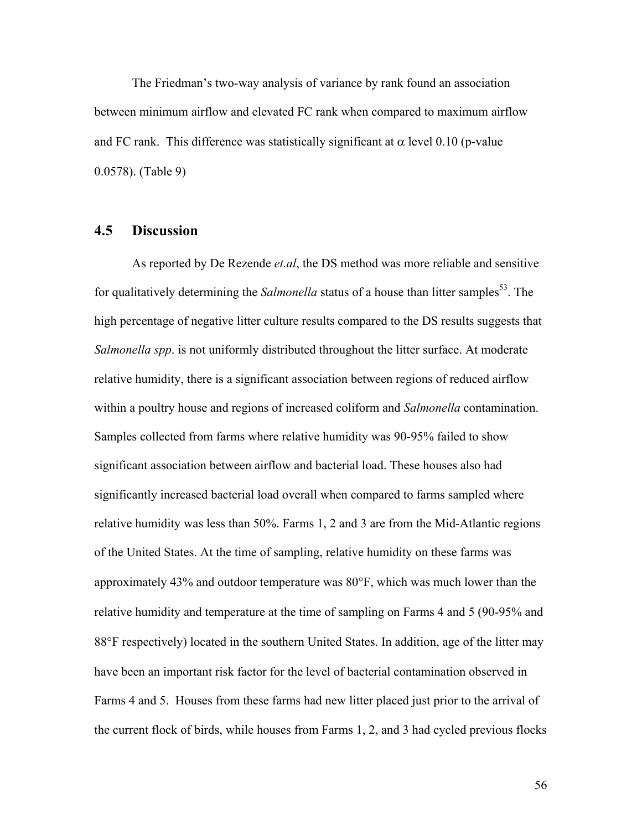The Friedman's two-way analysis of variance by rank found an association between minimum airflow and elevated FC rank when compared to maximum airflow and FC rank. This difference was statistically significant at  $\alpha$  level 0.10 (p-value 0.0578). (Table 9)

# **4.5 Discussion**

As reported by De Rezende *et.al*, the DS method was more reliable and sensitive for qualitatively determining the *Salmonella* status of a house than litter samples<sup>53</sup>. The high percentage of negative litter culture results compared to the DS results suggests that *Salmonella spp*. is not uniformly distributed throughout the litter surface. At moderate relative humidity, there is a significant association between regions of reduced airflow within a poultry house and regions of increased coliform and *Salmonella* contamination. Samples collected from farms where relative humidity was 90-95% failed to show significant association between airflow and bacterial load. These houses also had significantly increased bacterial load overall when compared to farms sampled where relative humidity was less than 50%. Farms 1, 2 and 3 are from the Mid-Atlantic regions of the United States. At the time of sampling, relative humidity on these farms was approximately 43% and outdoor temperature was 80°F, which was much lower than the relative humidity and temperature at the time of sampling on Farms 4 and 5 (90-95% and 88°F respectively) located in the southern United States. In addition, age of the litter may have been an important risk factor for the level of bacterial contamination observed in Farms 4 and 5. Houses from these farms had new litter placed just prior to the arrival of the current flock of birds, while houses from Farms 1, 2, and 3 had cycled previous flocks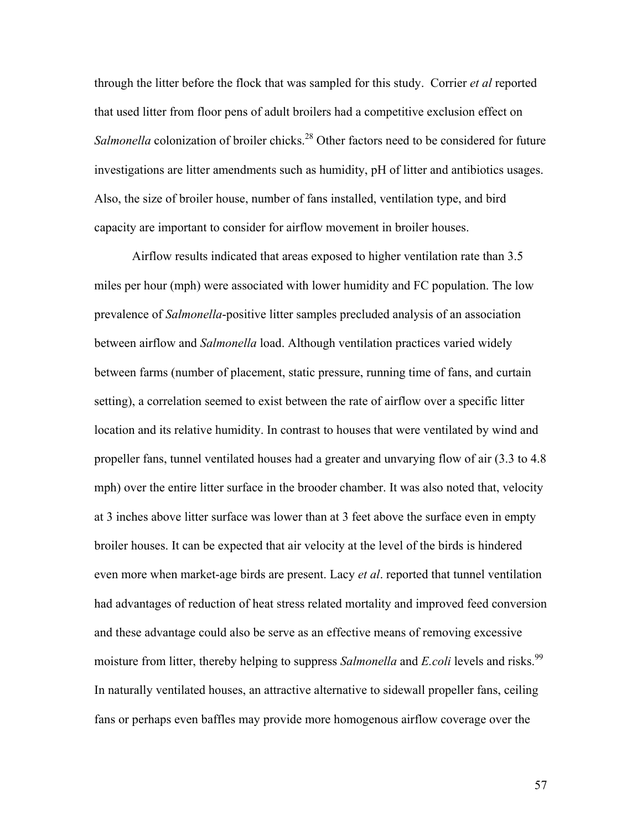through the litter before the flock that was sampled for this study. Corrier *et al* reported that used litter from floor pens of adult broilers had a competitive exclusion effect on *Salmonella* colonization of broiler chicks.<sup>28</sup> Other factors need to be considered for future investigations are litter amendments such as humidity, pH of litter and antibiotics usages. Also, the size of broiler house, number of fans installed, ventilation type, and bird capacity are important to consider for airflow movement in broiler houses.

Airflow results indicated that areas exposed to higher ventilation rate than 3.5 miles per hour (mph) were associated with lower humidity and FC population. The low prevalence of *Salmonella*-positive litter samples precluded analysis of an association between airflow and *Salmonella* load. Although ventilation practices varied widely between farms (number of placement, static pressure, running time of fans, and curtain setting), a correlation seemed to exist between the rate of airflow over a specific litter location and its relative humidity. In contrast to houses that were ventilated by wind and propeller fans, tunnel ventilated houses had a greater and unvarying flow of air (3.3 to 4.8 mph) over the entire litter surface in the brooder chamber. It was also noted that, velocity at 3 inches above litter surface was lower than at 3 feet above the surface even in empty broiler houses. It can be expected that air velocity at the level of the birds is hindered even more when market-age birds are present. Lacy *et al*. reported that tunnel ventilation had advantages of reduction of heat stress related mortality and improved feed conversion and these advantage could also be serve as an effective means of removing excessive moisture from litter, thereby helping to suppress *Salmonella* and *E.coli* levels and risks.<sup>99</sup> In naturally ventilated houses, an attractive alternative to sidewall propeller fans, ceiling fans or perhaps even baffles may provide more homogenous airflow coverage over the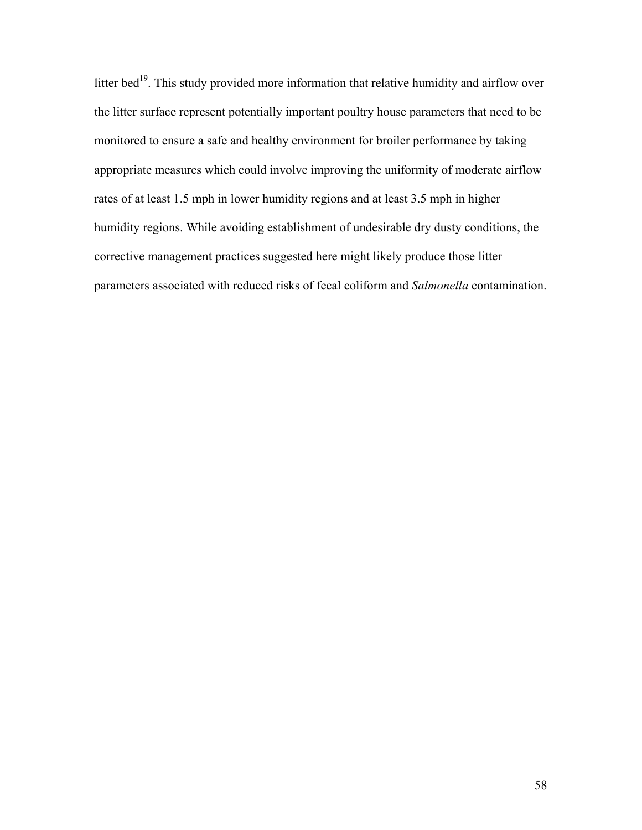litter bed<sup>19</sup>. This study provided more information that relative humidity and airflow over the litter surface represent potentially important poultry house parameters that need to be monitored to ensure a safe and healthy environment for broiler performance by taking appropriate measures which could involve improving the uniformity of moderate airflow rates of at least 1.5 mph in lower humidity regions and at least 3.5 mph in higher humidity regions. While avoiding establishment of undesirable dry dusty conditions, the corrective management practices suggested here might likely produce those litter parameters associated with reduced risks of fecal coliform and *Salmonella* contamination.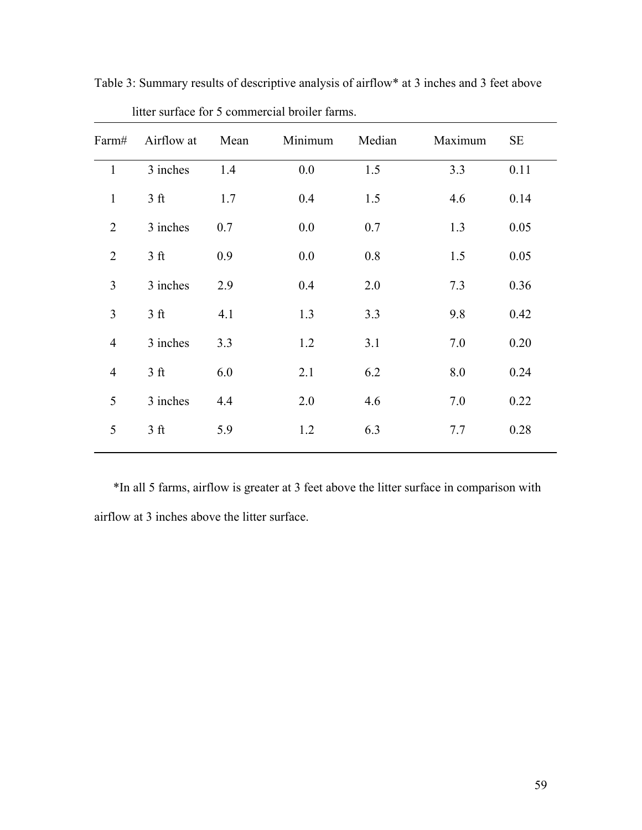| Farm#          | Airflow at     | Mean | Minimum | Median | Maximum | <b>SE</b> |
|----------------|----------------|------|---------|--------|---------|-----------|
| $\mathbf{1}$   | 3 inches       | 1.4  | 0.0     | 1.5    | 3.3     | 0.11      |
| $\mathbf{1}$   | 3 <sub>f</sub> | 1.7  | 0.4     | 1.5    | 4.6     | 0.14      |
| $\overline{2}$ | 3 inches       | 0.7  | 0.0     | 0.7    | 1.3     | 0.05      |
| $\overline{2}$ | 3 <sub>f</sub> | 0.9  | 0.0     | 0.8    | 1.5     | 0.05      |
| 3              | 3 inches       | 2.9  | 0.4     | 2.0    | 7.3     | 0.36      |
| 3              | 3 <sub>f</sub> | 4.1  | 1.3     | 3.3    | 9.8     | 0.42      |
| $\overline{4}$ | 3 inches       | 3.3  | 1.2     | 3.1    | 7.0     | 0.20      |
| 4              | 3 <sub>f</sub> | 6.0  | 2.1     | 6.2    | 8.0     | 0.24      |
| 5              | 3 inches       | 4.4  | 2.0     | 4.6    | 7.0     | 0.22      |
| 5              | 3 <sub>f</sub> | 5.9  | 1.2     | 6.3    | 7.7     | 0.28      |
|                |                |      |         |        |         |           |

Table 3: Summary results of descriptive analysis of airflow\* at 3 inches and 3 feet above litter surface for 5 commercial broiler farms.

\*In all 5 farms, airflow is greater at 3 feet above the litter surface in comparison with airflow at 3 inches above the litter surface.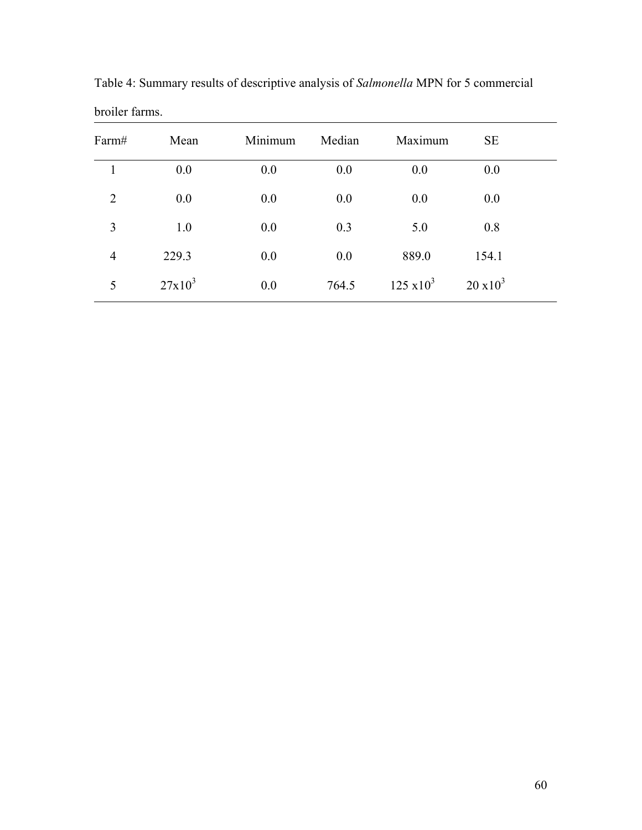| Farm#          | Mean      | Minimum | Median | Maximum           | <b>SE</b>        |  |
|----------------|-----------|---------|--------|-------------------|------------------|--|
| 1              | 0.0       | 0.0     | 0.0    | 0.0               | 0.0              |  |
| $\overline{2}$ | 0.0       | 0.0     | 0.0    | 0.0               | 0.0              |  |
| 3              | 1.0       | 0.0     | 0.3    | 5.0               | 0.8              |  |
| $\overline{4}$ | 229.3     | 0.0     | 0.0    | 889.0             | 154.1            |  |
| 5              | $27x10^3$ | 0.0     | 764.5  | $125 \times 10^3$ | $20 \times 10^3$ |  |

Table 4: Summary results of descriptive analysis of *Salmonella* MPN for 5 commercial broiler farms.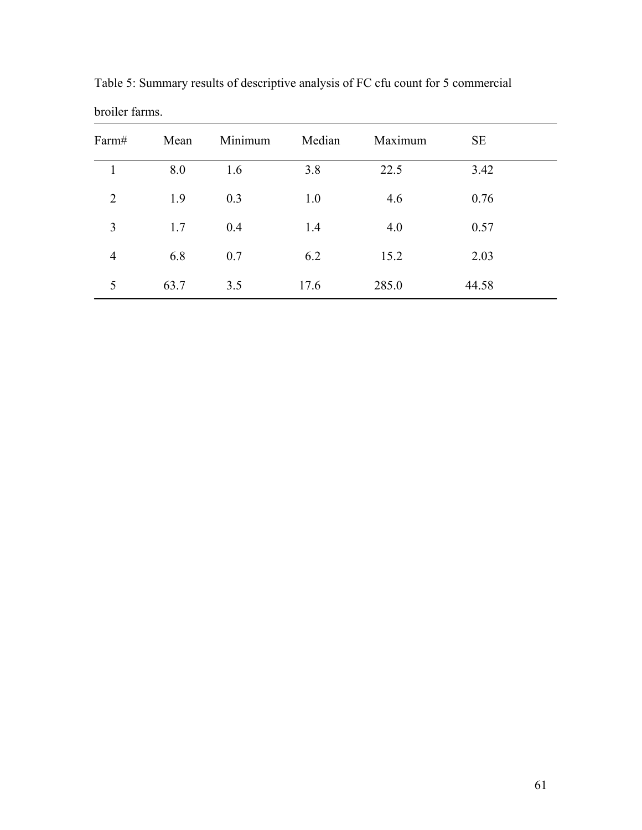| Farm#          | Mean | Minimum | Median | Maximum | <b>SE</b> |  |
|----------------|------|---------|--------|---------|-----------|--|
| 1              | 8.0  | 1.6     | 3.8    | 22.5    | 3.42      |  |
| $\overline{2}$ | 1.9  | 0.3     | 1.0    | 4.6     | 0.76      |  |
| 3              | 1.7  | 0.4     | 1.4    | 4.0     | 0.57      |  |
| $\overline{4}$ | 6.8  | 0.7     | 6.2    | 15.2    | 2.03      |  |
| 5              | 63.7 | 3.5     | 17.6   | 285.0   | 44.58     |  |

Table 5: Summary results of descriptive analysis of FC cfu count for 5 commercial broiler farms.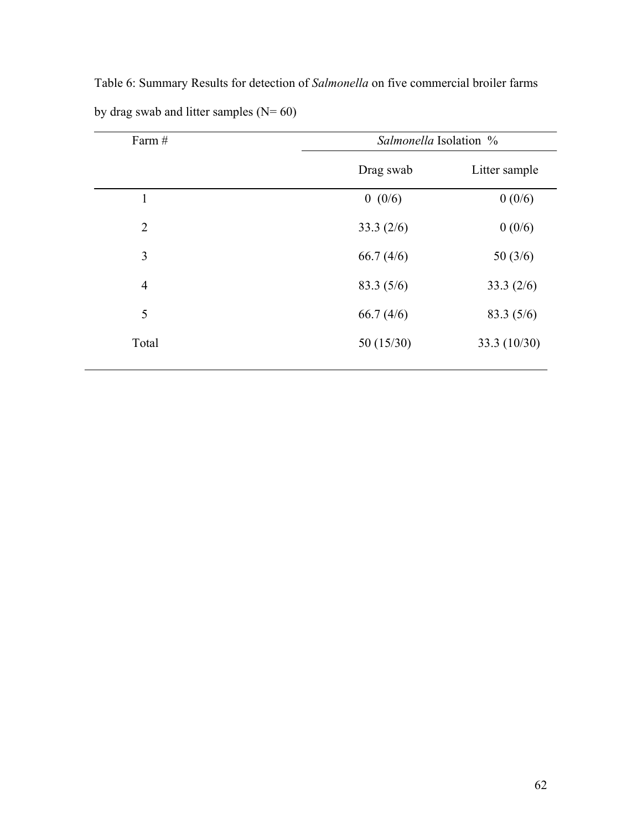|                                              | Table 6: Summary Results for detection of <i>Salmonella</i> on five commercial broiler farms |
|----------------------------------------------|----------------------------------------------------------------------------------------------|
| by drag swab and litter samples ( $N = 60$ ) |                                                                                              |
| $E_{\alpha r m}$ $\#$                        | $Salmouella$ Isolation $0/2$                                                                 |

| Farm #         | Salmonella Isolation % |                |  |
|----------------|------------------------|----------------|--|
|                | Drag swab              | Litter sample  |  |
| $\mathbf{1}$   | 0(0/6)                 | 0(0/6)         |  |
| $\overline{2}$ | 33.3 $(2/6)$           | 0(0/6)         |  |
| 3              | 66.7(4/6)              | 50(3/6)        |  |
| $\overline{4}$ | 83.3(5/6)              | 33.3 $(2/6)$   |  |
| 5              | 66.7(4/6)              | 83.3(5/6)      |  |
| Total          | 50 $(15/30)$           | 33.3 $(10/30)$ |  |
|                |                        |                |  |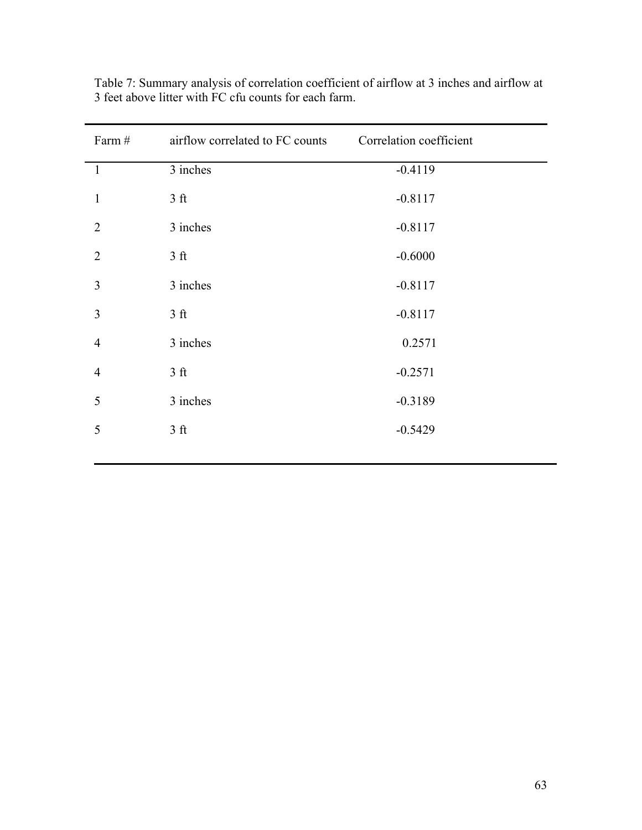| Farm #                  | airflow correlated to FC counts | Correlation coefficient |
|-------------------------|---------------------------------|-------------------------|
| $\overline{1}$          | 3 inches                        | $-0.4119$               |
| $\mathbf{1}$            | 3 <sub>f</sub>                  | $-0.8117$               |
| $\overline{2}$          | 3 inches                        | $-0.8117$               |
| $\overline{2}$          | 3 <sub>f</sub>                  | $-0.6000$               |
| $\overline{3}$          | 3 inches                        | $-0.8117$               |
| $\overline{\mathbf{3}}$ | 3 <sub>f</sub>                  | $-0.8117$               |
| $\overline{4}$          | 3 inches                        | 0.2571                  |
| $\overline{4}$          | 3 <sub>f</sub>                  | $-0.2571$               |
| 5                       | 3 inches                        | $-0.3189$               |
| 5                       | 3 <sub>f</sub>                  | $-0.5429$               |

Table 7: Summary analysis of correlation coefficient of airflow at 3 inches and airflow at 3 feet above litter with FC cfu counts for each farm.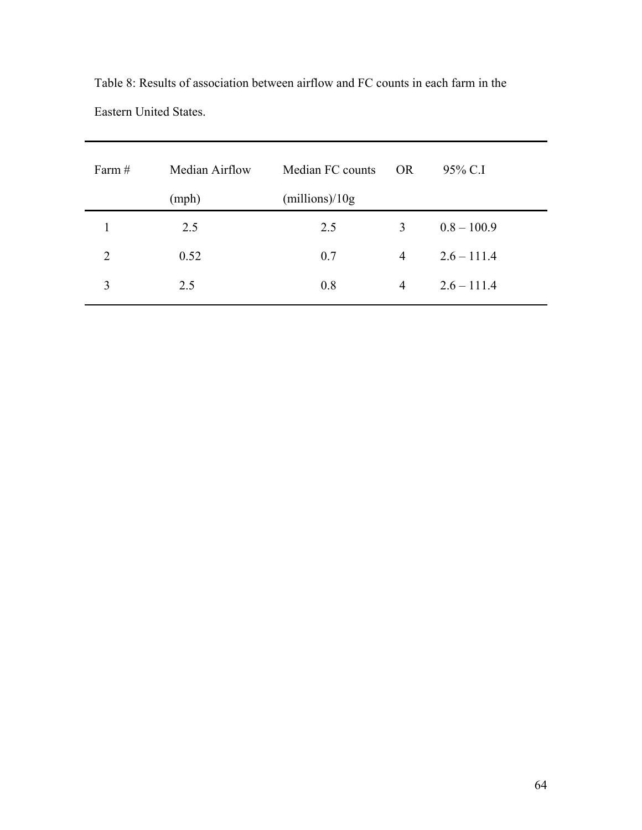| Farm $#$       | Median Airflow | Median FC counts | <b>OR</b>      | 95% C.I       |
|----------------|----------------|------------------|----------------|---------------|
|                | (mph)          | (millions)/10g   |                |               |
|                | 2.5            | 2.5              | 3              | $0.8 - 100.9$ |
| $\overline{2}$ | 0.52           | 0.7              | $\overline{4}$ | $2.6 - 111.4$ |
| 3              | 2.5            | 0.8              | $\overline{4}$ | $2.6 - 111.4$ |

Table 8: Results of association between airflow and FC counts in each farm in the Eastern United States.

 $\overline{a}$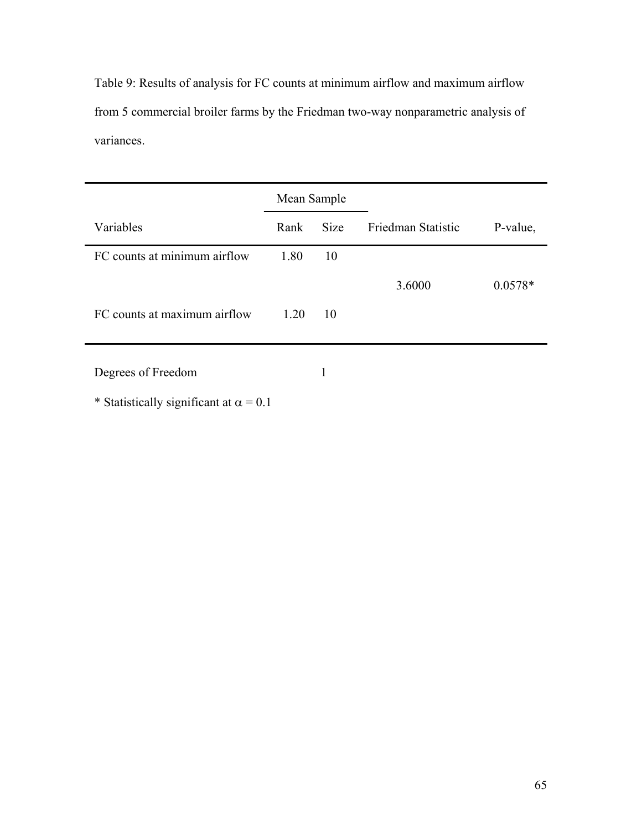Table 9: Results of analysis for FC counts at minimum airflow and maximum airflow from 5 commercial broiler farms by the Friedman two-way nonparametric analysis of variances.

|                              | Mean Sample |             |                    |           |
|------------------------------|-------------|-------------|--------------------|-----------|
| Variables                    | Rank        | <b>Size</b> | Friedman Statistic | P-value,  |
| FC counts at minimum airflow | 1.80        | 10          |                    |           |
|                              |             |             | 3.6000             | $0.0578*$ |
| FC counts at maximum airflow | 1.20        | 10          |                    |           |
| Degrees of Freedom           |             | 1           |                    |           |

\* Statistically significant at  $\alpha = 0.1$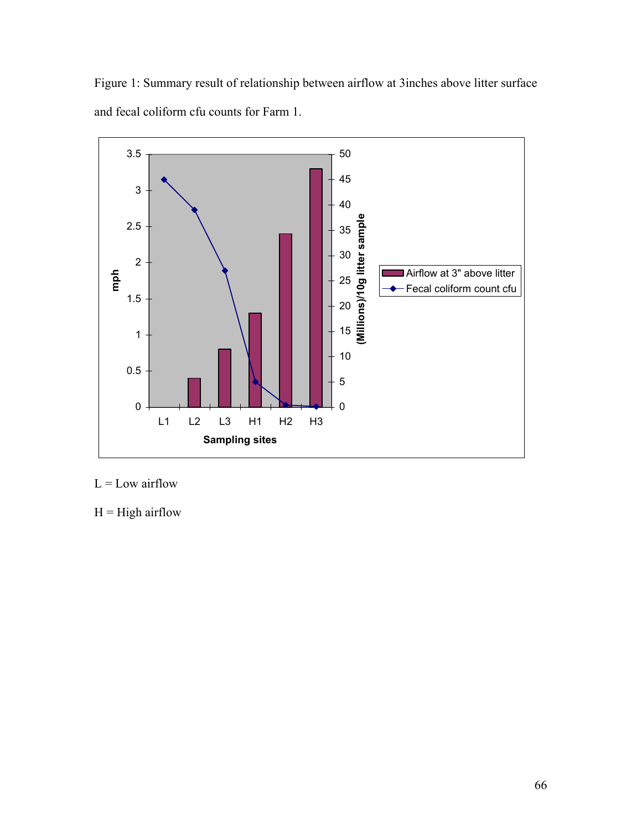Figure 1: Summary result of relationship between airflow at 3inches above litter surface and fecal coliform cfu counts for Farm 1.



 $L =$ Low airflow

 $H = High$  airflow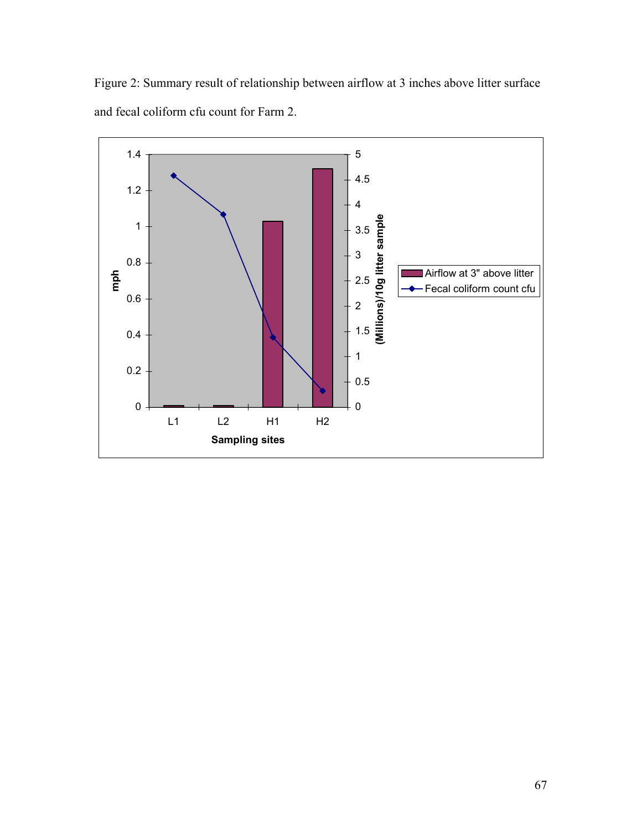Figure 2: Summary result of relationship between airflow at 3 inches above litter surface and fecal coliform cfu count for Farm 2.

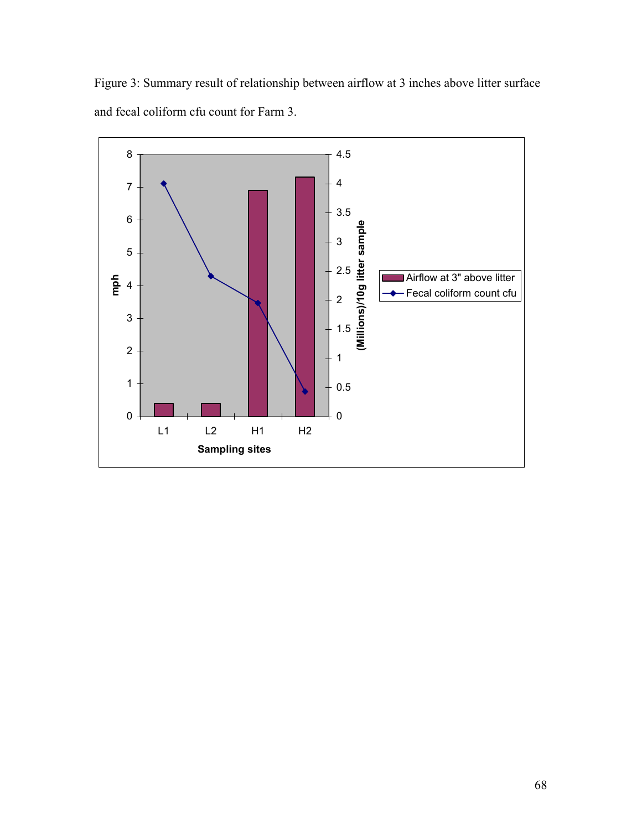Figure 3: Summary result of relationship between airflow at 3 inches above litter surface and fecal coliform cfu count for Farm 3.

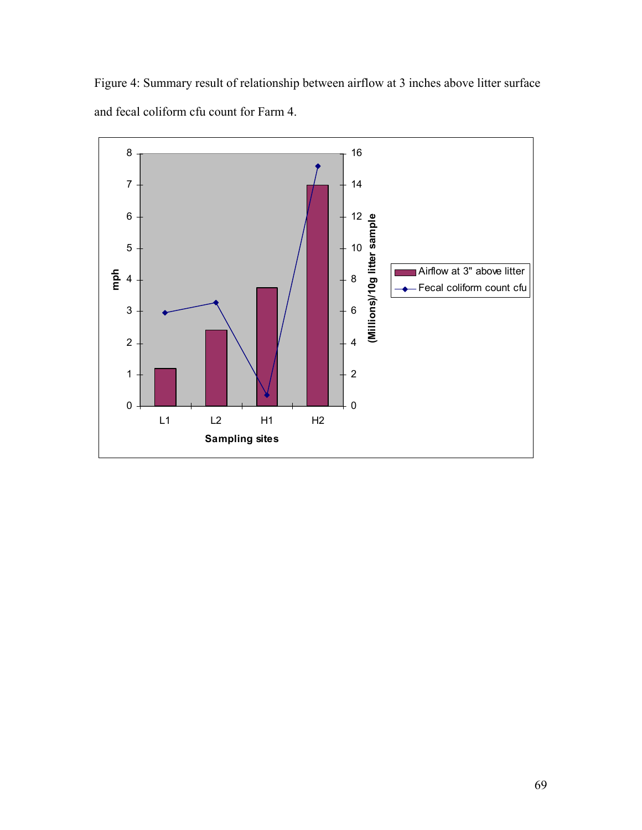Figure 4: Summary result of relationship between airflow at 3 inches above litter surface and fecal coliform cfu count for Farm 4.

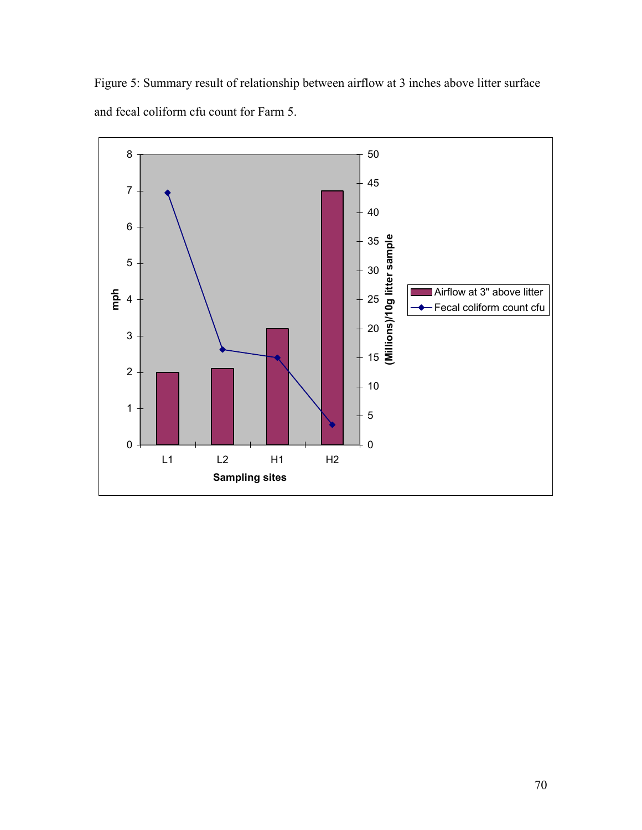Figure 5: Summary result of relationship between airflow at 3 inches above litter surface and fecal coliform cfu count for Farm 5.

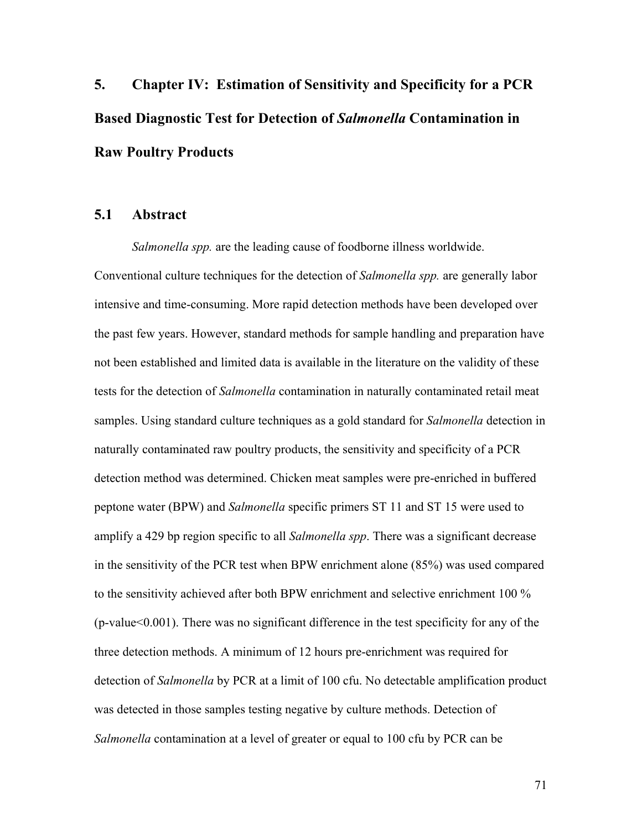**5. Chapter IV: Estimation of Sensitivity and Specificity for a PCR Based Diagnostic Test for Detection of** *Salmonella* **Contamination in Raw Poultry Products** 

## **5.1 Abstract**

 *Salmonella spp.* are the leading cause of foodborne illness worldwide. Conventional culture techniques for the detection of *Salmonella spp.* are generally labor intensive and time-consuming. More rapid detection methods have been developed over the past few years. However, standard methods for sample handling and preparation have not been established and limited data is available in the literature on the validity of these tests for the detection of *Salmonella* contamination in naturally contaminated retail meat samples. Using standard culture techniques as a gold standard for *Salmonella* detection in naturally contaminated raw poultry products, the sensitivity and specificity of a PCR detection method was determined. Chicken meat samples were pre-enriched in buffered peptone water (BPW) and *Salmonella* specific primers ST 11 and ST 15 were used to amplify a 429 bp region specific to all *Salmonella spp*. There was a significant decrease in the sensitivity of the PCR test when BPW enrichment alone (85%) was used compared to the sensitivity achieved after both BPW enrichment and selective enrichment 100 % (p-value<0.001). There was no significant difference in the test specificity for any of the three detection methods. A minimum of 12 hours pre-enrichment was required for detection of *Salmonella* by PCR at a limit of 100 cfu. No detectable amplification product was detected in those samples testing negative by culture methods. Detection of *Salmonella* contamination at a level of greater or equal to 100 cfu by PCR can be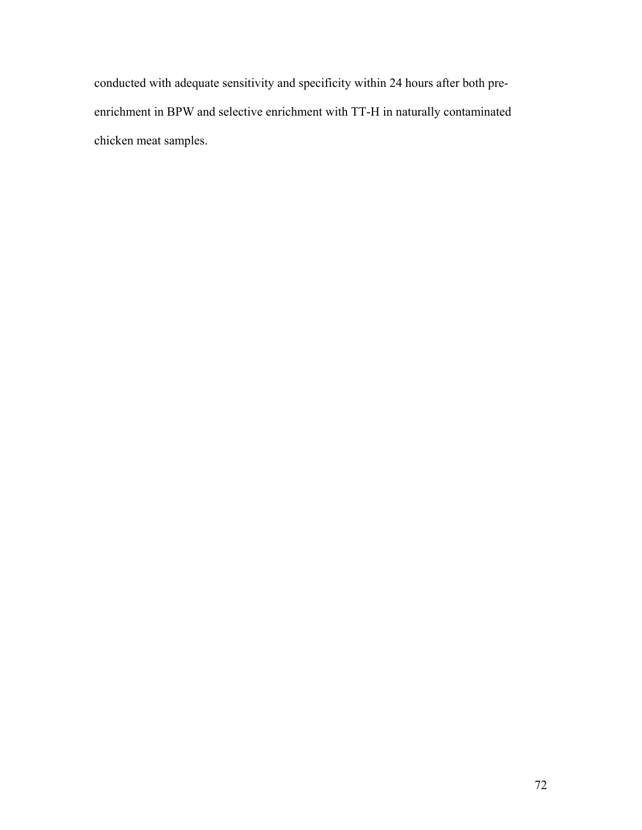conducted with adequate sensitivity and specificity within 24 hours after both preenrichment in BPW and selective enrichment with TT-H in naturally contaminated chicken meat samples.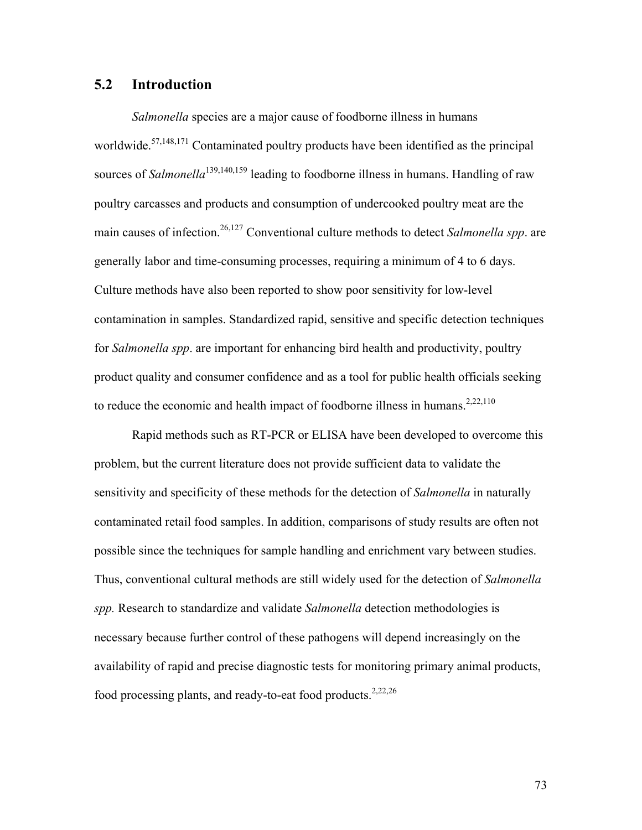## **5.2 Introduction**

*Salmonella* species are a major cause of foodborne illness in humans worldwide.<sup>57,148,171</sup> Contaminated poultry products have been identified as the principal sources of *Salmonella*<sup>139,140,159</sup> leading to foodborne illness in humans. Handling of raw poultry carcasses and products and consumption of undercooked poultry meat are the main causes of infection.<sup>26,127</sup> Conventional culture methods to detect *Salmonella spp*. are generally labor and time-consuming processes, requiring a minimum of 4 to 6 days. Culture methods have also been reported to show poor sensitivity for low-level contamination in samples. Standardized rapid, sensitive and specific detection techniques for *Salmonella spp*. are important for enhancing bird health and productivity, poultry product quality and consumer confidence and as a tool for public health officials seeking to reduce the economic and health impact of foodborne illness in humans.<sup>2,22,110</sup>

Rapid methods such as RT-PCR or ELISA have been developed to overcome this problem, but the current literature does not provide sufficient data to validate the sensitivity and specificity of these methods for the detection of *Salmonella* in naturally contaminated retail food samples. In addition, comparisons of study results are often not possible since the techniques for sample handling and enrichment vary between studies. Thus, conventional cultural methods are still widely used for the detection of *Salmonella spp.* Research to standardize and validate *Salmonella* detection methodologies is necessary because further control of these pathogens will depend increasingly on the availability of rapid and precise diagnostic tests for monitoring primary animal products, food processing plants, and ready-to-eat food products.<sup>2,22,26</sup>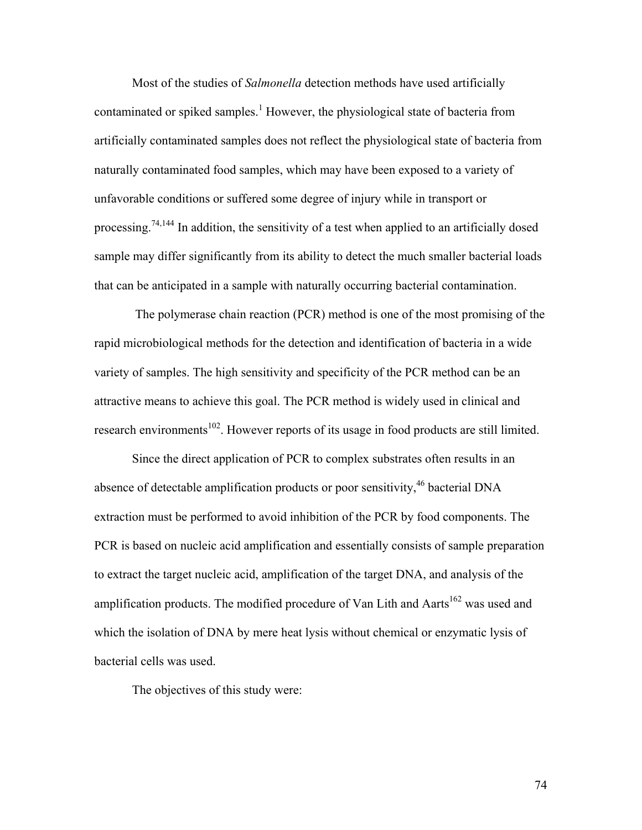Most of the studies of *Salmonella* detection methods have used artificially contaminated or spiked samples.<sup>1</sup> However, the physiological state of bacteria from artificially contaminated samples does not reflect the physiological state of bacteria from naturally contaminated food samples, which may have been exposed to a variety of unfavorable conditions or suffered some degree of injury while in transport or processing.74,144 In addition, the sensitivity of a test when applied to an artificially dosed sample may differ significantly from its ability to detect the much smaller bacterial loads that can be anticipated in a sample with naturally occurring bacterial contamination.

 The polymerase chain reaction (PCR) method is one of the most promising of the rapid microbiological methods for the detection and identification of bacteria in a wide variety of samples. The high sensitivity and specificity of the PCR method can be an attractive means to achieve this goal. The PCR method is widely used in clinical and research environments<sup>102</sup>. However reports of its usage in food products are still limited.

Since the direct application of PCR to complex substrates often results in an absence of detectable amplification products or poor sensitivity,<sup>46</sup> bacterial DNA extraction must be performed to avoid inhibition of the PCR by food components. The PCR is based on nucleic acid amplification and essentially consists of sample preparation to extract the target nucleic acid, amplification of the target DNA, and analysis of the amplification products. The modified procedure of Van Lith and Aarts<sup>162</sup> was used and which the isolation of DNA by mere heat lysis without chemical or enzymatic lysis of bacterial cells was used.

The objectives of this study were: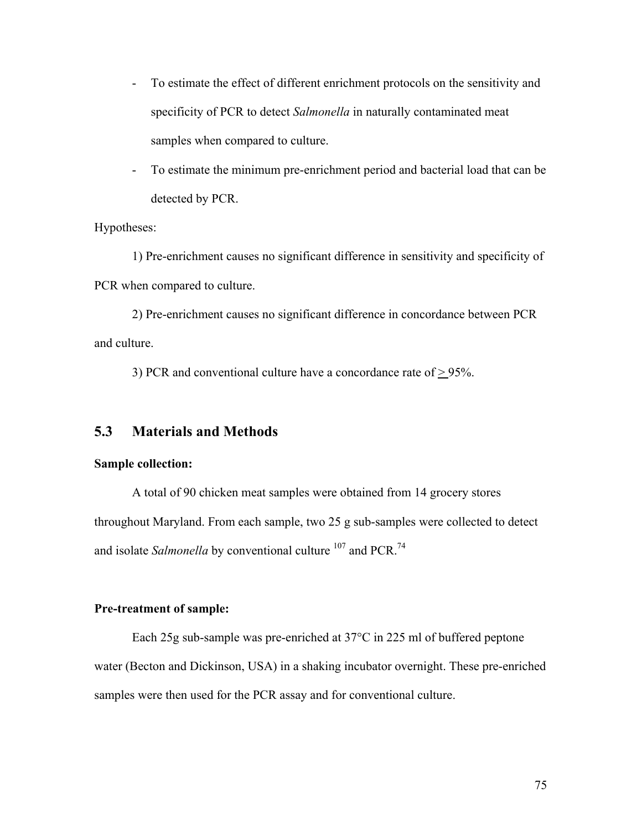- To estimate the effect of different enrichment protocols on the sensitivity and specificity of PCR to detect *Salmonella* in naturally contaminated meat samples when compared to culture.
- To estimate the minimum pre-enrichment period and bacterial load that can be detected by PCR.

Hypotheses:

1) Pre-enrichment causes no significant difference in sensitivity and specificity of PCR when compared to culture.

2) Pre-enrichment causes no significant difference in concordance between PCR and culture.

3) PCR and conventional culture have a concordance rate of  $\geq$  95%.

## **5.3 Materials and Methods**

#### **Sample collection:**

A total of 90 chicken meat samples were obtained from 14 grocery stores throughout Maryland. From each sample, two 25 g sub-samples were collected to detect and isolate *Salmonella* by conventional culture <sup>107</sup> and PCR.<sup>74</sup>

#### **Pre-treatment of sample:**

Each 25g sub-sample was pre-enriched at 37°C in 225 ml of buffered peptone water (Becton and Dickinson, USA) in a shaking incubator overnight. These pre-enriched samples were then used for the PCR assay and for conventional culture.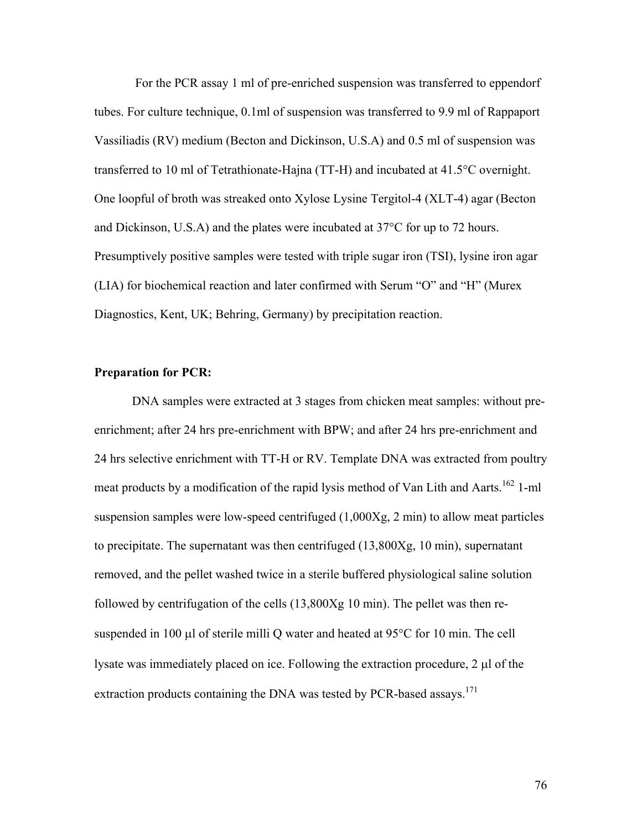For the PCR assay 1 ml of pre-enriched suspension was transferred to eppendorf tubes. For culture technique, 0.1ml of suspension was transferred to 9.9 ml of Rappaport Vassiliadis (RV) medium (Becton and Dickinson, U.S.A) and 0.5 ml of suspension was transferred to 10 ml of Tetrathionate-Hajna (TT-H) and incubated at 41.5°C overnight. One loopful of broth was streaked onto Xylose Lysine Tergitol-4 (XLT-4) agar (Becton and Dickinson, U.S.A) and the plates were incubated at 37°C for up to 72 hours. Presumptively positive samples were tested with triple sugar iron (TSI), lysine iron agar (LIA) for biochemical reaction and later confirmed with Serum "O" and "H" (Murex Diagnostics, Kent, UK; Behring, Germany) by precipitation reaction.

#### **Preparation for PCR:**

DNA samples were extracted at 3 stages from chicken meat samples: without preenrichment; after 24 hrs pre-enrichment with BPW; and after 24 hrs pre-enrichment and 24 hrs selective enrichment with TT-H or RV. Template DNA was extracted from poultry meat products by a modification of the rapid lysis method of Van Lith and Aarts.<sup>162</sup> 1-ml suspension samples were low-speed centrifuged (1,000Xg, 2 min) to allow meat particles to precipitate. The supernatant was then centrifuged (13,800Xg, 10 min), supernatant removed, and the pellet washed twice in a sterile buffered physiological saline solution followed by centrifugation of the cells (13,800Xg 10 min). The pellet was then resuspended in 100 µl of sterile milli Q water and heated at 95°C for 10 min. The cell lysate was immediately placed on ice. Following the extraction procedure, 2 µl of the extraction products containing the DNA was tested by PCR-based assays.<sup>171</sup>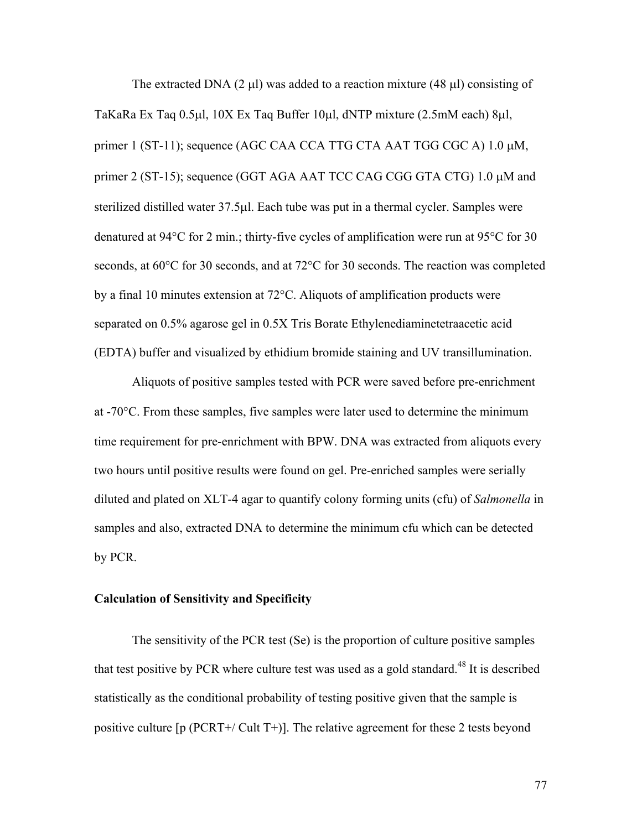The extracted DNA (2  $\mu$ l) was added to a reaction mixture (48  $\mu$ l) consisting of TaKaRa Ex Taq 0.5µl, 10X Ex Taq Buffer 10µl, dNTP mixture (2.5mM each) 8µl, primer 1 (ST-11); sequence (AGC CAA CCA TTG CTA AAT TGG CGC A) 1.0 µM, primer 2 (ST-15); sequence (GGT AGA AAT TCC CAG CGG GTA CTG) 1.0  $\mu$ M and sterilized distilled water 37.5µl. Each tube was put in a thermal cycler. Samples were denatured at 94°C for 2 min.; thirty-five cycles of amplification were run at 95°C for 30 seconds, at 60°C for 30 seconds, and at 72°C for 30 seconds. The reaction was completed by a final 10 minutes extension at 72°C. Aliquots of amplification products were separated on 0.5% agarose gel in 0.5X Tris Borate Ethylenediaminetetraacetic acid (EDTA) buffer and visualized by ethidium bromide staining and UV transillumination.

Aliquots of positive samples tested with PCR were saved before pre-enrichment at  $-70^{\circ}$ C. From these samples, five samples were later used to determine the minimum time requirement for pre-enrichment with BPW. DNA was extracted from aliquots every two hours until positive results were found on gel. Pre-enriched samples were serially diluted and plated on XLT-4 agar to quantify colony forming units (cfu) of *Salmonella* in samples and also, extracted DNA to determine the minimum cfu which can be detected by PCR.

#### **Calculation of Sensitivity and Specificity**

The sensitivity of the PCR test (Se) is the proportion of culture positive samples that test positive by PCR where culture test was used as a gold standard.<sup>48</sup> It is described statistically as the conditional probability of testing positive given that the sample is positive culture [p (PCRT+/ Cult T+)]. The relative agreement for these 2 tests beyond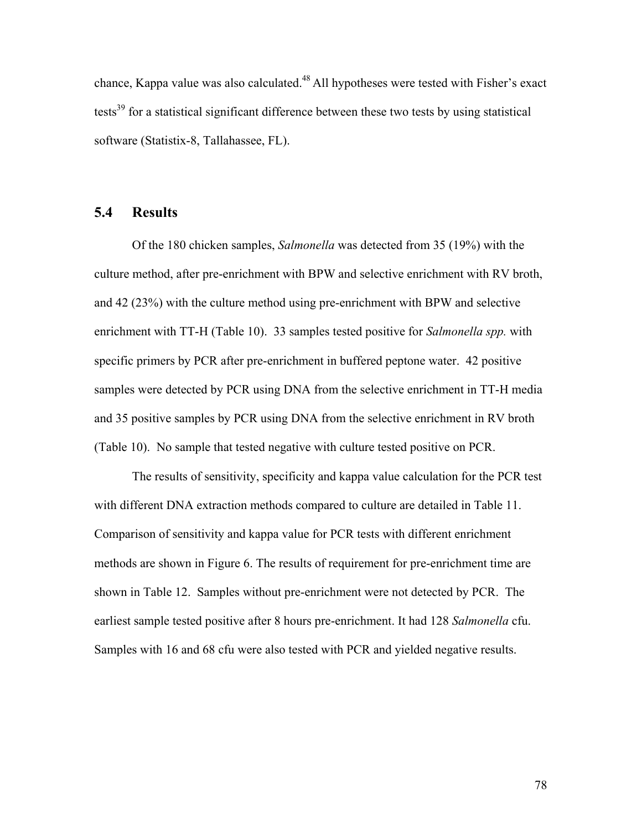chance, Kappa value was also calculated.<sup>48</sup> All hypotheses were tested with Fisher's exact tests<sup>39</sup> for a statistical significant difference between these two tests by using statistical software (Statistix-8, Tallahassee, FL).

## **5.4 Results**

Of the 180 chicken samples, *Salmonella* was detected from 35 (19%) with the culture method, after pre-enrichment with BPW and selective enrichment with RV broth, and 42 (23%) with the culture method using pre-enrichment with BPW and selective enrichment with TT-H (Table 10). 33 samples tested positive for *Salmonella spp.* with specific primers by PCR after pre-enrichment in buffered peptone water. 42 positive samples were detected by PCR using DNA from the selective enrichment in TT-H media and 35 positive samples by PCR using DNA from the selective enrichment in RV broth (Table 10). No sample that tested negative with culture tested positive on PCR.

The results of sensitivity, specificity and kappa value calculation for the PCR test with different DNA extraction methods compared to culture are detailed in Table 11. Comparison of sensitivity and kappa value for PCR tests with different enrichment methods are shown in Figure 6. The results of requirement for pre-enrichment time are shown in Table 12. Samples without pre-enrichment were not detected by PCR. The earliest sample tested positive after 8 hours pre-enrichment. It had 128 *Salmonella* cfu. Samples with 16 and 68 cfu were also tested with PCR and yielded negative results.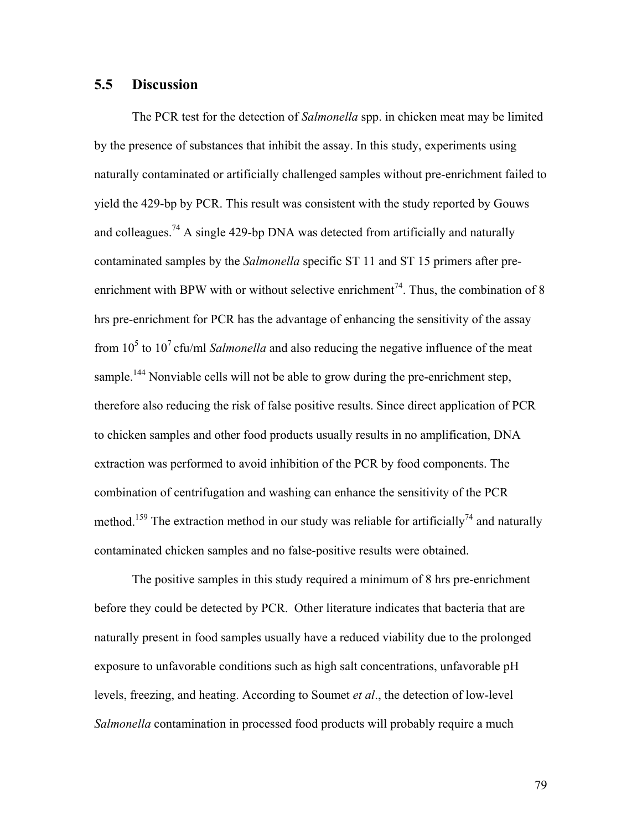## **5.5 Discussion**

The PCR test for the detection of *Salmonella* spp. in chicken meat may be limited by the presence of substances that inhibit the assay. In this study, experiments using naturally contaminated or artificially challenged samples without pre-enrichment failed to yield the 429-bp by PCR. This result was consistent with the study reported by Gouws and colleagues.<sup>74</sup> A single 429-bp DNA was detected from artificially and naturally contaminated samples by the *Salmonella* specific ST 11 and ST 15 primers after preenrichment with BPW with or without selective enrichment<sup>74</sup>. Thus, the combination of 8 hrs pre-enrichment for PCR has the advantage of enhancing the sensitivity of the assay from  $10^5$  to  $10^7$  cfu/ml *Salmonella* and also reducing the negative influence of the meat sample.<sup>144</sup> Nonviable cells will not be able to grow during the pre-enrichment step, therefore also reducing the risk of false positive results. Since direct application of PCR to chicken samples and other food products usually results in no amplification, DNA extraction was performed to avoid inhibition of the PCR by food components. The combination of centrifugation and washing can enhance the sensitivity of the PCR method.<sup>159</sup> The extraction method in our study was reliable for artificially<sup>74</sup> and naturally contaminated chicken samples and no false-positive results were obtained.

The positive samples in this study required a minimum of 8 hrs pre-enrichment before they could be detected by PCR. Other literature indicates that bacteria that are naturally present in food samples usually have a reduced viability due to the prolonged exposure to unfavorable conditions such as high salt concentrations, unfavorable pH levels, freezing, and heating. According to Soumet *et al*., the detection of low-level *Salmonella* contamination in processed food products will probably require a much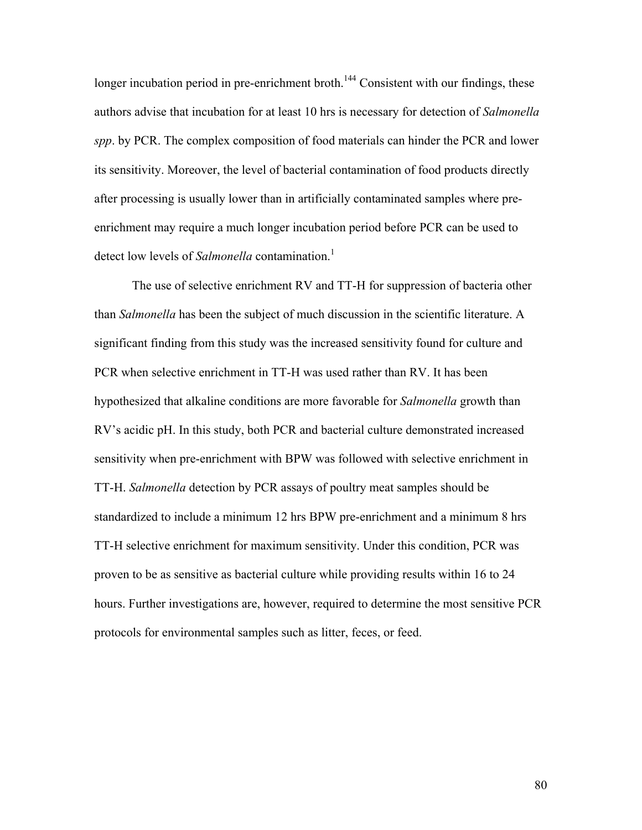longer incubation period in pre-enrichment broth.<sup>144</sup> Consistent with our findings, these authors advise that incubation for at least 10 hrs is necessary for detection of *Salmonella spp*. by PCR. The complex composition of food materials can hinder the PCR and lower its sensitivity. Moreover, the level of bacterial contamination of food products directly after processing is usually lower than in artificially contaminated samples where preenrichment may require a much longer incubation period before PCR can be used to detect low levels of *Salmonella* contamination.<sup>1</sup>

The use of selective enrichment RV and TT-H for suppression of bacteria other than *Salmonella* has been the subject of much discussion in the scientific literature. A significant finding from this study was the increased sensitivity found for culture and PCR when selective enrichment in TT-H was used rather than RV. It has been hypothesized that alkaline conditions are more favorable for *Salmonella* growth than RV's acidic pH. In this study, both PCR and bacterial culture demonstrated increased sensitivity when pre-enrichment with BPW was followed with selective enrichment in TT-H. *Salmonella* detection by PCR assays of poultry meat samples should be standardized to include a minimum 12 hrs BPW pre-enrichment and a minimum 8 hrs TT-H selective enrichment for maximum sensitivity. Under this condition, PCR was proven to be as sensitive as bacterial culture while providing results within 16 to 24 hours. Further investigations are, however, required to determine the most sensitive PCR protocols for environmental samples such as litter, feces, or feed.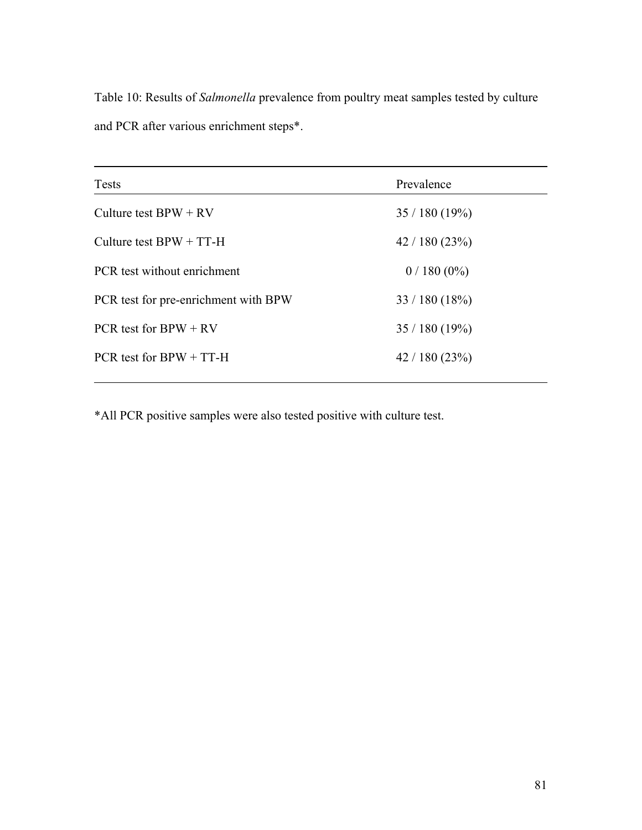Table 10: Results of *Salmonella* prevalence from poultry meat samples tested by culture and PCR after various enrichment steps\*.

| Tests                                | Prevalence   |
|--------------------------------------|--------------|
| Culture test $BPW + RV$              | 35/180(19%)  |
| Culture test $BPW + TT-H$            | 42/180(23%)  |
| PCR test without enrichment          | $0/180(0\%)$ |
| PCR test for pre-enrichment with BPW | 33/180(18%)  |
| PCR test for $BPW + RV$              | 35/180(19%)  |
| PCR test for $BPW + TT-H$            | 42/180(23%)  |
|                                      |              |

\*All PCR positive samples were also tested positive with culture test.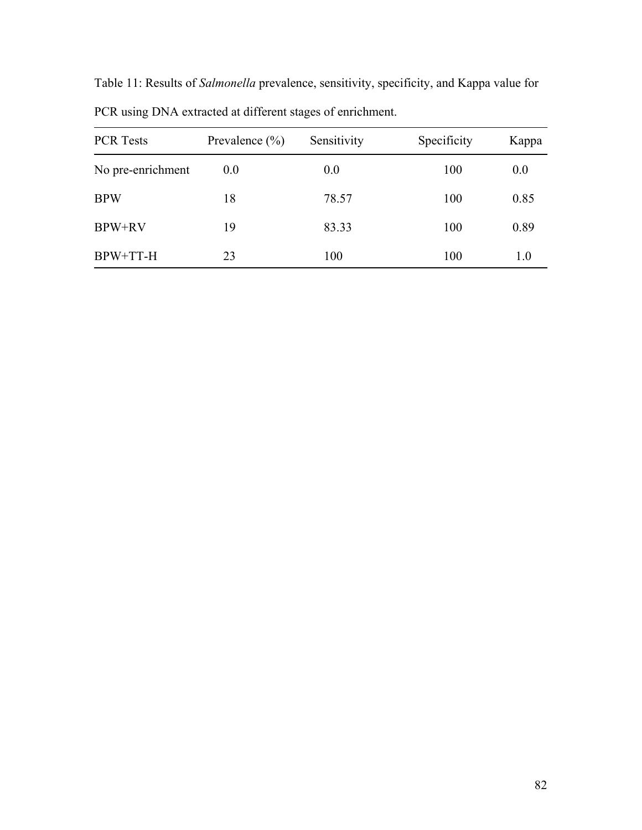| PUR using DINA extracted at different stages of enrichment. |                    |             |             |       |  |
|-------------------------------------------------------------|--------------------|-------------|-------------|-------|--|
| <b>PCR Tests</b>                                            | Prevalence $(\% )$ | Sensitivity | Specificity | Kappa |  |
| No pre-enrichment                                           | 0.0                | 0.0         | 100         | 0.0   |  |
| <b>BPW</b>                                                  | 18                 | 78.57       | 100         | 0.85  |  |
| <b>BPW+RV</b>                                               | 19                 | 83.33       | 100         | 0.89  |  |
| BPW+TT-H                                                    | 23                 | 100         | 100         | 1.0   |  |

Table 11: Results of *Salmonella* prevalence, sensitivity, specificity, and Kappa value for PCR using DNA extracted at different stages of enrichment.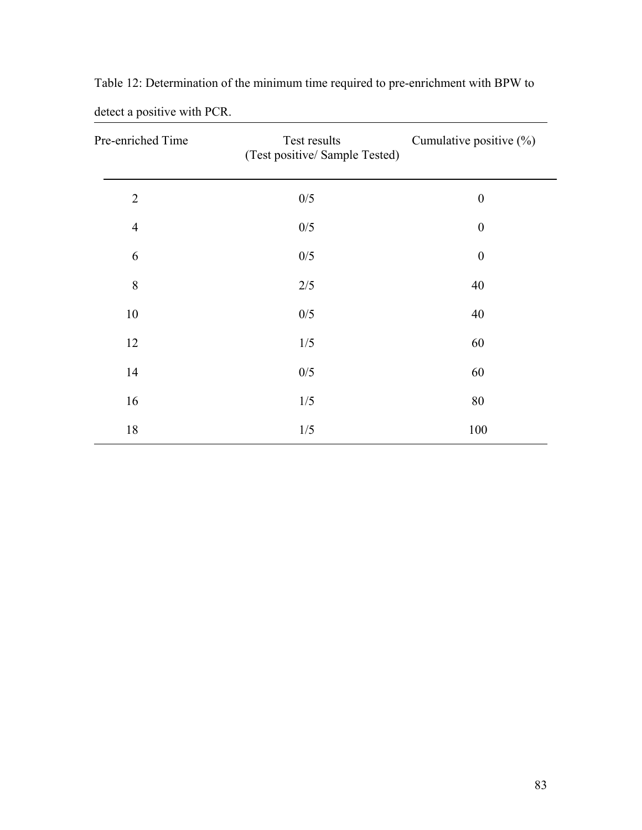| Pre-enriched Time | Test results<br>(Test positive/ Sample Tested) | Cumulative positive (%) |  |
|-------------------|------------------------------------------------|-------------------------|--|
| $\overline{2}$    | 0/5                                            | $\boldsymbol{0}$        |  |
| $\overline{4}$    | 0/5                                            | $\boldsymbol{0}$        |  |
| 6                 | 0/5                                            | $\boldsymbol{0}$        |  |
| $\,8\,$           | $2/5$                                          | 40                      |  |
| 10                | 0/5                                            | 40                      |  |
| 12                | 1/5                                            | 60                      |  |
| 14                | 0/5                                            | 60                      |  |
| 16                | 1/5                                            | 80                      |  |
| 18                | 1/5                                            | 100                     |  |

Table 12: Determination of the minimum time required to pre-enrichment with BPW to detect a positive with PCR.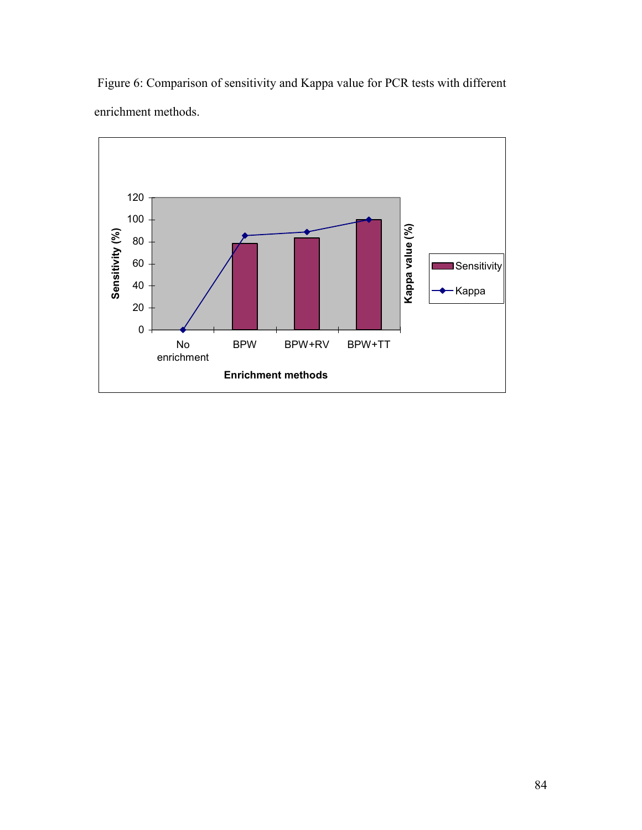

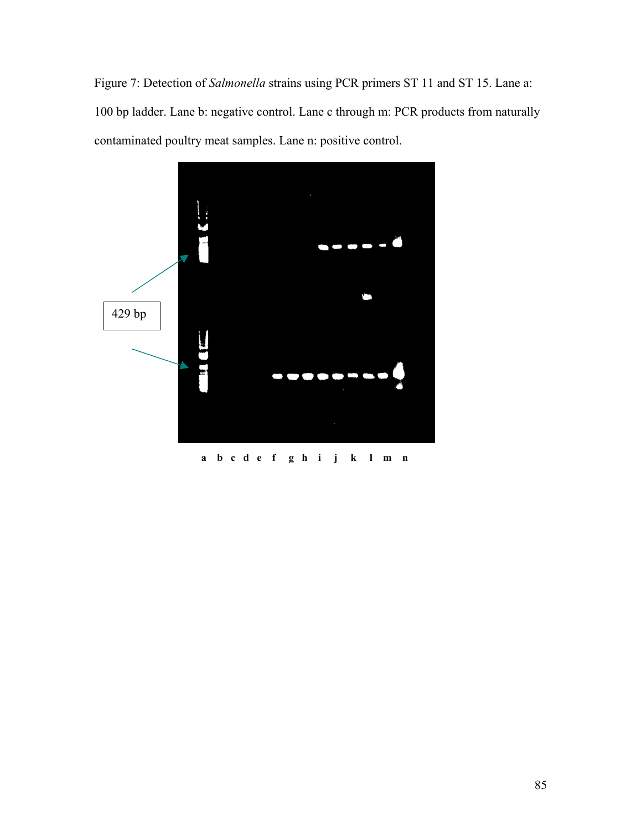Figure 7: Detection of *Salmonella* strains using PCR primers ST 11 and ST 15. Lane a: 100 bp ladder. Lane b: negative control. Lane c through m: PCR products from naturally contaminated poultry meat samples. Lane n: positive control.



 **a b c d e f g h i j k l m n**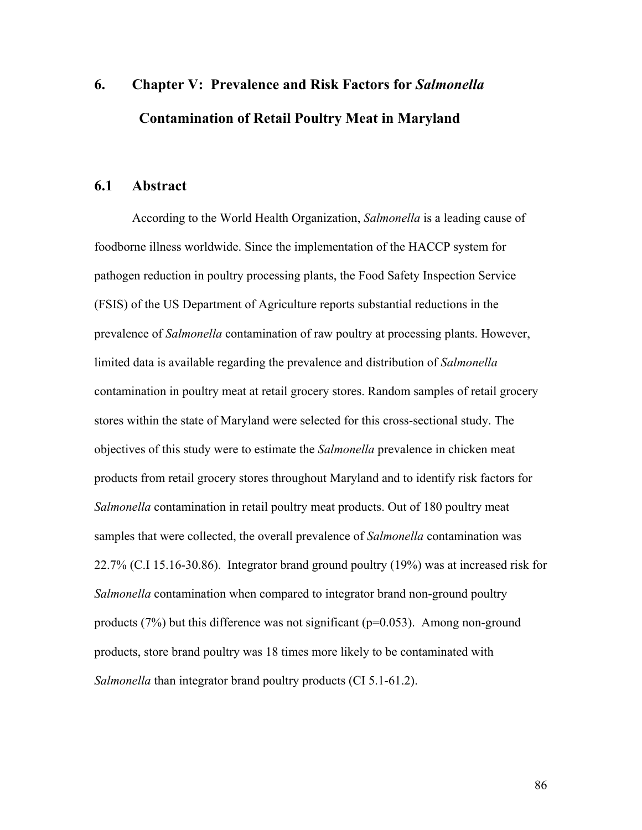# **6. Chapter V: Prevalence and Risk Factors for** *Salmonella* **Contamination of Retail Poultry Meat in Maryland**

## **6.1 Abstract**

According to the World Health Organization, *Salmonella* is a leading cause of foodborne illness worldwide. Since the implementation of the HACCP system for pathogen reduction in poultry processing plants, the Food Safety Inspection Service (FSIS) of the US Department of Agriculture reports substantial reductions in the prevalence of *Salmonella* contamination of raw poultry at processing plants. However, limited data is available regarding the prevalence and distribution of *Salmonella* contamination in poultry meat at retail grocery stores. Random samples of retail grocery stores within the state of Maryland were selected for this cross-sectional study. The objectives of this study were to estimate the *Salmonella* prevalence in chicken meat products from retail grocery stores throughout Maryland and to identify risk factors for *Salmonella* contamination in retail poultry meat products. Out of 180 poultry meat samples that were collected, the overall prevalence of *Salmonella* contamination was 22.7% (C.I 15.16-30.86). Integrator brand ground poultry (19%) was at increased risk for *Salmonella* contamination when compared to integrator brand non-ground poultry products (7%) but this difference was not significant ( $p=0.053$ ). Among non-ground products, store brand poultry was 18 times more likely to be contaminated with *Salmonella* than integrator brand poultry products (CI 5.1-61.2).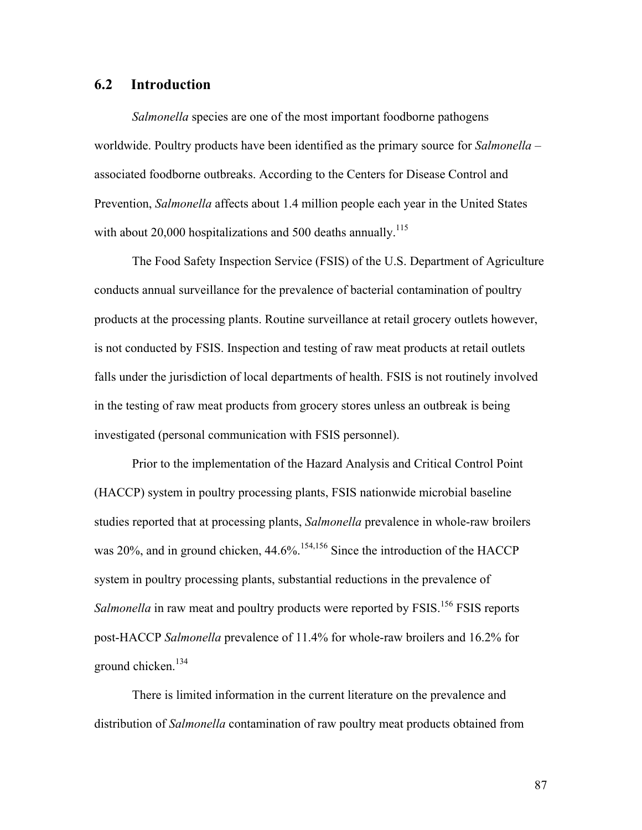## **6.2 Introduction**

*Salmonella* species are one of the most important foodborne pathogens worldwide. Poultry products have been identified as the primary source for *Salmonella* – associated foodborne outbreaks. According to the Centers for Disease Control and Prevention, *Salmonella* affects about 1.4 million people each year in the United States with about 20,000 hospitalizations and 500 deaths annually.<sup>115</sup>

The Food Safety Inspection Service (FSIS) of the U.S. Department of Agriculture conducts annual surveillance for the prevalence of bacterial contamination of poultry products at the processing plants. Routine surveillance at retail grocery outlets however, is not conducted by FSIS. Inspection and testing of raw meat products at retail outlets falls under the jurisdiction of local departments of health. FSIS is not routinely involved in the testing of raw meat products from grocery stores unless an outbreak is being investigated (personal communication with FSIS personnel).

Prior to the implementation of the Hazard Analysis and Critical Control Point (HACCP) system in poultry processing plants, FSIS nationwide microbial baseline studies reported that at processing plants, *Salmonella* prevalence in whole-raw broilers was 20%, and in ground chicken, 44.6%.<sup>154,156</sup> Since the introduction of the HACCP system in poultry processing plants, substantial reductions in the prevalence of *Salmonella* in raw meat and poultry products were reported by FSIS.<sup>156</sup> FSIS reports post-HACCP *Salmonella* prevalence of 11.4% for whole-raw broilers and 16.2% for ground chicken.<sup>134</sup>

There is limited information in the current literature on the prevalence and distribution of *Salmonella* contamination of raw poultry meat products obtained from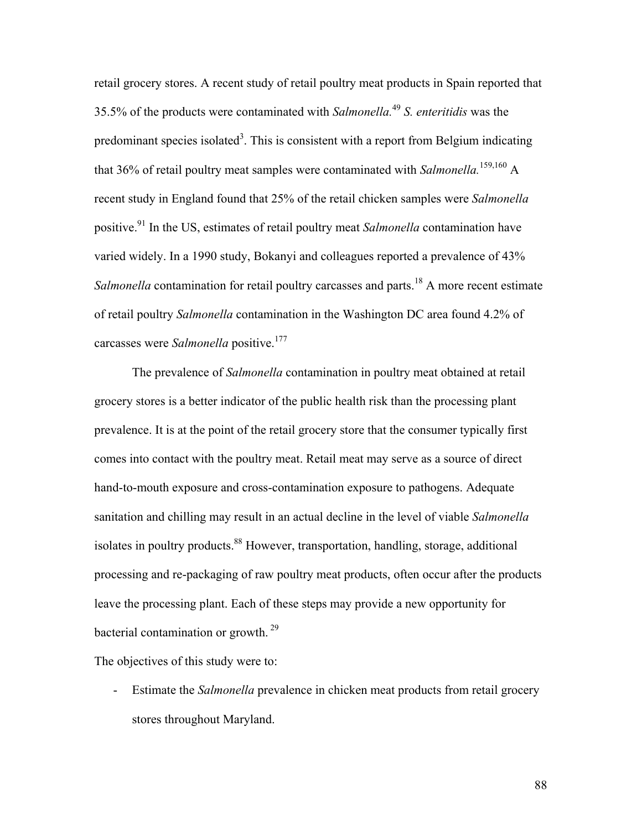retail grocery stores. A recent study of retail poultry meat products in Spain reported that 35.5% of the products were contaminated with *Salmonella.*<sup>49</sup> *S. enteritidis* was the predominant species isolated<sup>3</sup>. This is consistent with a report from Belgium indicating that 36% of retail poultry meat samples were contaminated with *Salmonella*.<sup>159,160</sup> A recent study in England found that 25% of the retail chicken samples were *Salmonella* positive.91 In the US, estimates of retail poultry meat *Salmonella* contamination have varied widely. In a 1990 study, Bokanyi and colleagues reported a prevalence of 43% *Salmonella* contamination for retail poultry carcasses and parts.<sup>18</sup> A more recent estimate of retail poultry *Salmonella* contamination in the Washington DC area found 4.2% of carcasses were *Salmonella* positive.<sup>177</sup>

The prevalence of *Salmonella* contamination in poultry meat obtained at retail grocery stores is a better indicator of the public health risk than the processing plant prevalence. It is at the point of the retail grocery store that the consumer typically first comes into contact with the poultry meat. Retail meat may serve as a source of direct hand-to-mouth exposure and cross-contamination exposure to pathogens. Adequate sanitation and chilling may result in an actual decline in the level of viable *Salmonella* isolates in poultry products.<sup>88</sup> However, transportation, handling, storage, additional processing and re-packaging of raw poultry meat products, often occur after the products leave the processing plant. Each of these steps may provide a new opportunity for bacterial contamination or growth.  $29$ 

The objectives of this study were to:

- Estimate the *Salmonella* prevalence in chicken meat products from retail grocery stores throughout Maryland.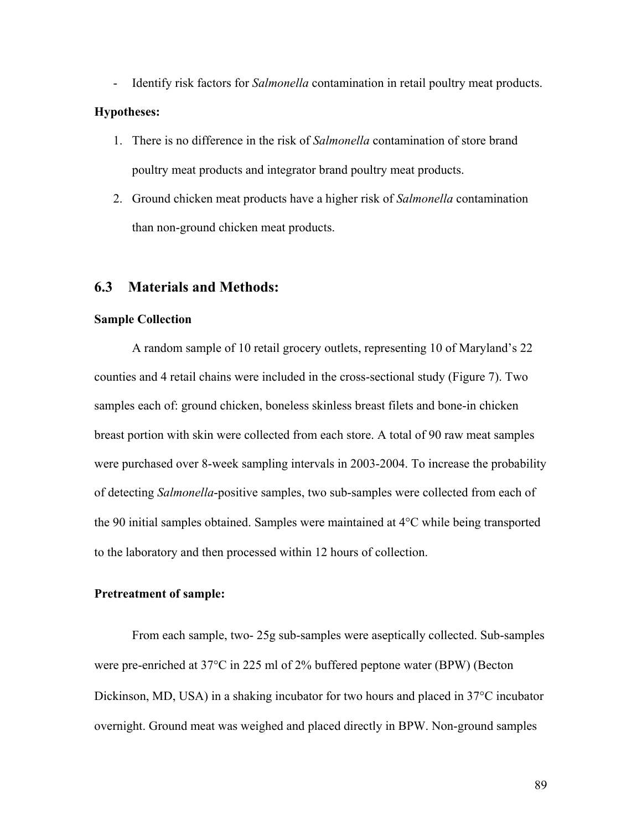- Identify risk factors for *Salmonella* contamination in retail poultry meat products.

#### **Hypotheses:**

- 1. There is no difference in the risk of *Salmonella* contamination of store brand poultry meat products and integrator brand poultry meat products.
- 2. Ground chicken meat products have a higher risk of *Salmonella* contamination than non-ground chicken meat products.

### **6.3 Materials and Methods:**

#### **Sample Collection**

A random sample of 10 retail grocery outlets, representing 10 of Maryland's 22 counties and 4 retail chains were included in the cross-sectional study (Figure 7). Two samples each of: ground chicken, boneless skinless breast filets and bone-in chicken breast portion with skin were collected from each store. A total of 90 raw meat samples were purchased over 8-week sampling intervals in 2003-2004. To increase the probability of detecting *Salmonella*-positive samples, two sub-samples were collected from each of the 90 initial samples obtained. Samples were maintained at 4°C while being transported to the laboratory and then processed within 12 hours of collection.

#### **Pretreatment of sample:**

From each sample, two- 25g sub-samples were aseptically collected. Sub-samples were pre-enriched at 37°C in 225 ml of 2% buffered peptone water (BPW) (Becton Dickinson, MD, USA) in a shaking incubator for two hours and placed in 37°C incubator overnight. Ground meat was weighed and placed directly in BPW. Non-ground samples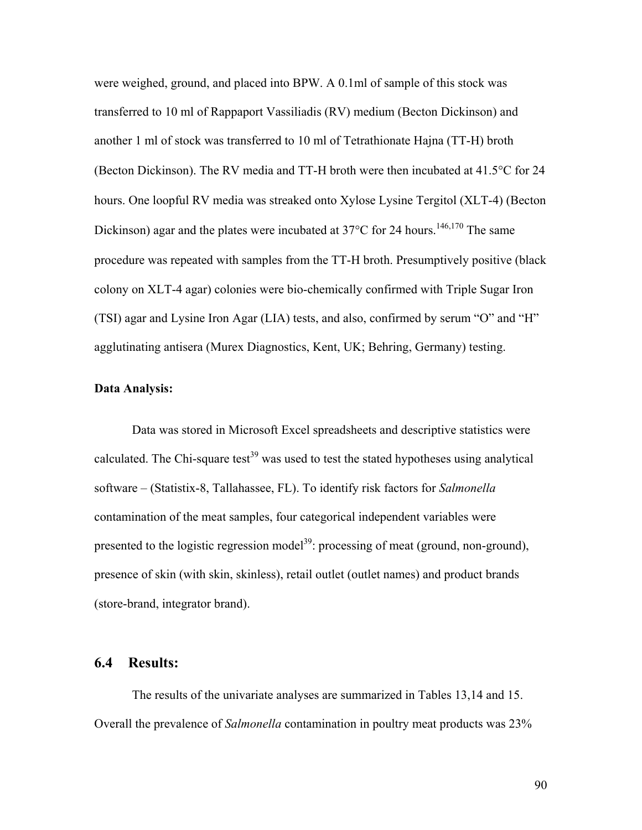were weighed, ground, and placed into BPW. A 0.1ml of sample of this stock was transferred to 10 ml of Rappaport Vassiliadis (RV) medium (Becton Dickinson) and another 1 ml of stock was transferred to 10 ml of Tetrathionate Hajna (TT-H) broth (Becton Dickinson). The RV media and TT-H broth were then incubated at 41.5°C for 24 hours. One loopful RV media was streaked onto Xylose Lysine Tergitol (XLT-4) (Becton Dickinson) agar and the plates were incubated at  $37^{\circ}$ C for 24 hours.<sup>146,170</sup> The same procedure was repeated with samples from the TT-H broth. Presumptively positive (black colony on XLT-4 agar) colonies were bio-chemically confirmed with Triple Sugar Iron (TSI) agar and Lysine Iron Agar (LIA) tests, and also, confirmed by serum "O" and "H" agglutinating antisera (Murex Diagnostics, Kent, UK; Behring, Germany) testing.

#### **Data Analysis:**

Data was stored in Microsoft Excel spreadsheets and descriptive statistics were calculated. The Chi-square test<sup>39</sup> was used to test the stated hypotheses using analytical software – (Statistix-8, Tallahassee, FL). To identify risk factors for *Salmonella* contamination of the meat samples, four categorical independent variables were presented to the logistic regression model<sup>39</sup>: processing of meat (ground, non-ground), presence of skin (with skin, skinless), retail outlet (outlet names) and product brands (store-brand, integrator brand).

#### **6.4 Results:**

The results of the univariate analyses are summarized in Tables 13,14 and 15. Overall the prevalence of *Salmonella* contamination in poultry meat products was 23%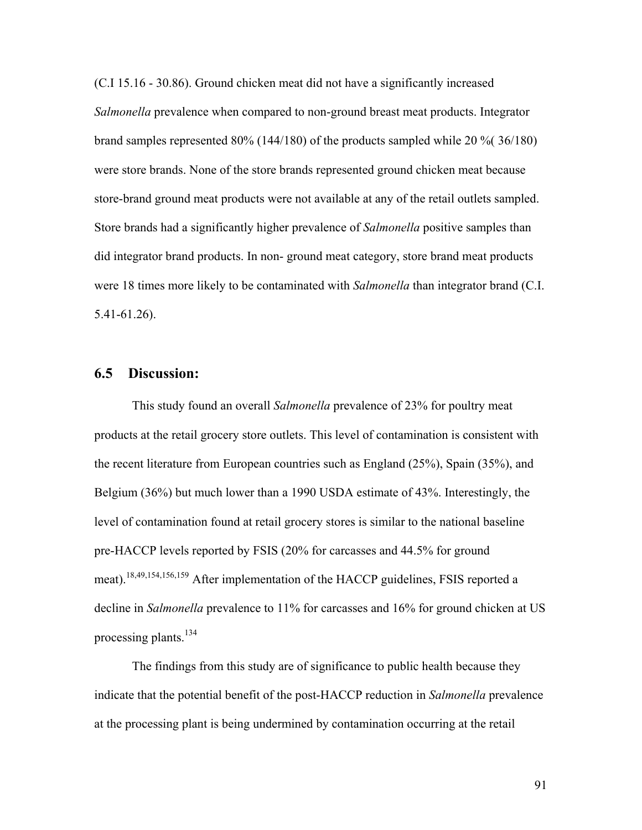(C.I 15.16 - 30.86). Ground chicken meat did not have a significantly increased *Salmonella* prevalence when compared to non-ground breast meat products. Integrator brand samples represented 80% (144/180) of the products sampled while 20 %( 36/180) were store brands. None of the store brands represented ground chicken meat because store-brand ground meat products were not available at any of the retail outlets sampled. Store brands had a significantly higher prevalence of *Salmonella* positive samples than did integrator brand products. In non- ground meat category, store brand meat products were 18 times more likely to be contaminated with *Salmonella* than integrator brand (C.I. 5.41-61.26).

## **6.5 Discussion:**

This study found an overall *Salmonella* prevalence of 23% for poultry meat products at the retail grocery store outlets. This level of contamination is consistent with the recent literature from European countries such as England (25%), Spain (35%), and Belgium (36%) but much lower than a 1990 USDA estimate of 43%. Interestingly, the level of contamination found at retail grocery stores is similar to the national baseline pre-HACCP levels reported by FSIS (20% for carcasses and 44.5% for ground meat).<sup>18,49,154,156,159</sup> After implementation of the HACCP guidelines, FSIS reported a decline in *Salmonella* prevalence to 11% for carcasses and 16% for ground chicken at US processing plants.<sup>134</sup>

The findings from this study are of significance to public health because they indicate that the potential benefit of the post-HACCP reduction in *Salmonella* prevalence at the processing plant is being undermined by contamination occurring at the retail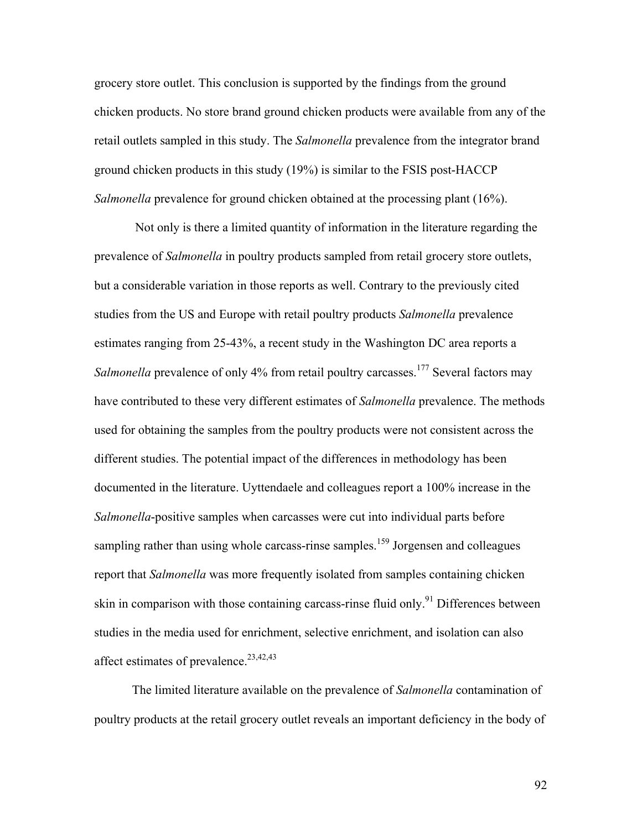grocery store outlet. This conclusion is supported by the findings from the ground chicken products. No store brand ground chicken products were available from any of the retail outlets sampled in this study. The *Salmonella* prevalence from the integrator brand ground chicken products in this study (19%) is similar to the FSIS post-HACCP *Salmonella* prevalence for ground chicken obtained at the processing plant (16%).

 Not only is there a limited quantity of information in the literature regarding the prevalence of *Salmonella* in poultry products sampled from retail grocery store outlets, but a considerable variation in those reports as well. Contrary to the previously cited studies from the US and Europe with retail poultry products *Salmonella* prevalence estimates ranging from 25-43%, a recent study in the Washington DC area reports a *Salmonella* prevalence of only 4% from retail poultry carcasses.<sup>177</sup> Several factors may have contributed to these very different estimates of *Salmonella* prevalence. The methods used for obtaining the samples from the poultry products were not consistent across the different studies. The potential impact of the differences in methodology has been documented in the literature. Uyttendaele and colleagues report a 100% increase in the *Salmonella*-positive samples when carcasses were cut into individual parts before sampling rather than using whole carcass-rinse samples.<sup>159</sup> Jorgensen and colleagues report that *Salmonella* was more frequently isolated from samples containing chicken skin in comparison with those containing carcass-rinse fluid only.<sup>91</sup> Differences between studies in the media used for enrichment, selective enrichment, and isolation can also affect estimates of prevalence. $23,42,43$ 

The limited literature available on the prevalence of *Salmonella* contamination of poultry products at the retail grocery outlet reveals an important deficiency in the body of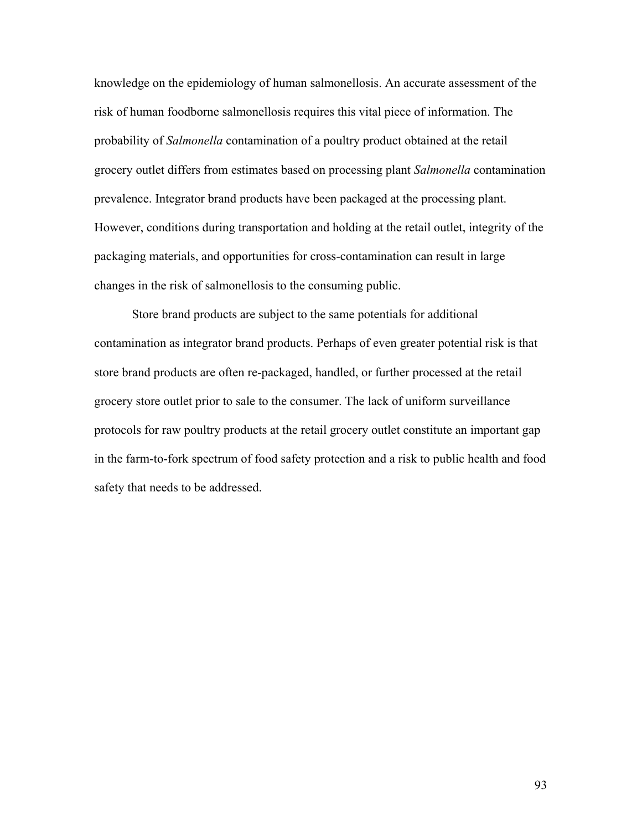knowledge on the epidemiology of human salmonellosis. An accurate assessment of the risk of human foodborne salmonellosis requires this vital piece of information. The probability of *Salmonella* contamination of a poultry product obtained at the retail grocery outlet differs from estimates based on processing plant *Salmonella* contamination prevalence. Integrator brand products have been packaged at the processing plant. However, conditions during transportation and holding at the retail outlet, integrity of the packaging materials, and opportunities for cross-contamination can result in large changes in the risk of salmonellosis to the consuming public.

Store brand products are subject to the same potentials for additional contamination as integrator brand products. Perhaps of even greater potential risk is that store brand products are often re-packaged, handled, or further processed at the retail grocery store outlet prior to sale to the consumer. The lack of uniform surveillance protocols for raw poultry products at the retail grocery outlet constitute an important gap in the farm-to-fork spectrum of food safety protection and a risk to public health and food safety that needs to be addressed.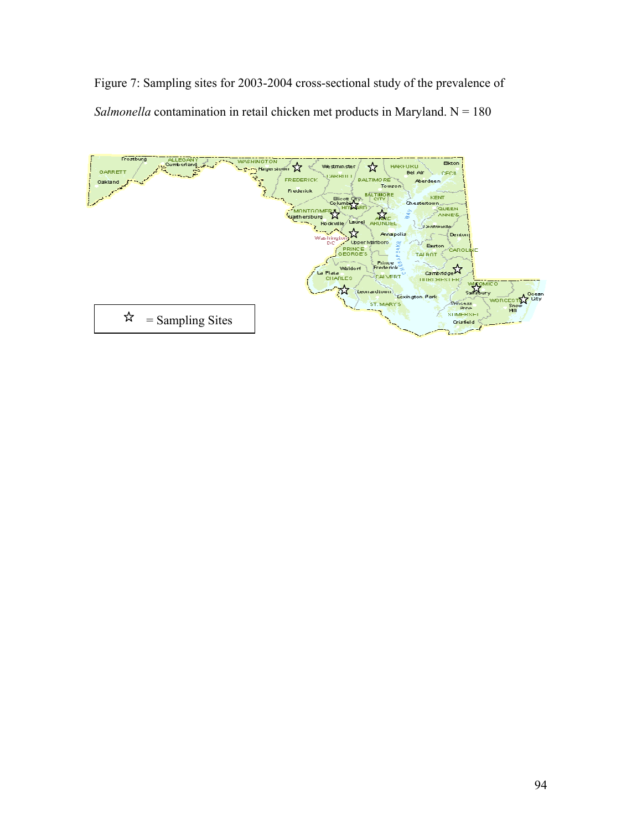Figure 7: Sampling sites for 2003-2004 cross-sectional study of the prevalence of *Salmonella* contamination in retail chicken met products in Maryland. N = 180

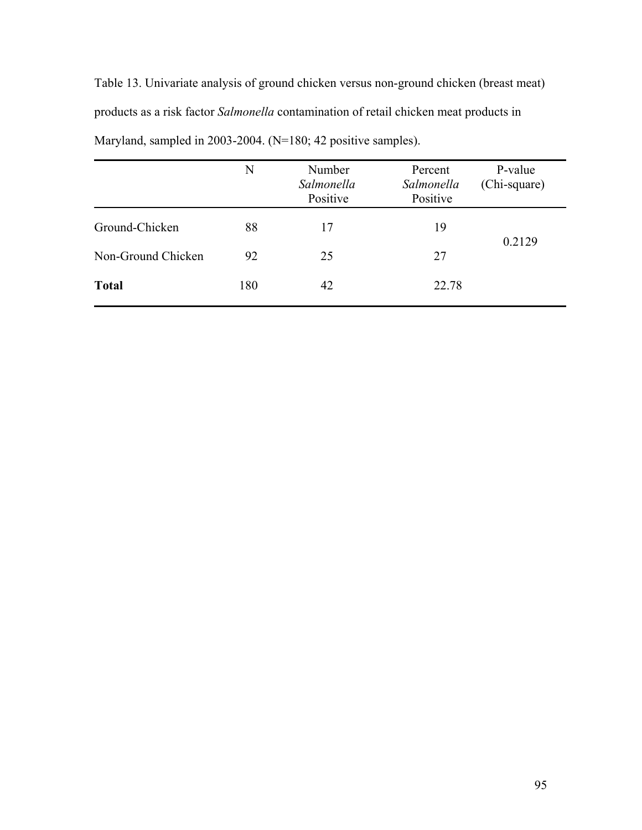Table 13. Univariate analysis of ground chicken versus non-ground chicken (breast meat) products as a risk factor *Salmonella* contamination of retail chicken meat products in Maryland, sampled in 2003-2004. (N=180; 42 positive samples).

|                    | N   | Number<br>Salmonella<br>Positive | Percent<br>Salmonella<br>Positive | P-value<br>(Chi-square) |
|--------------------|-----|----------------------------------|-----------------------------------|-------------------------|
| Ground-Chicken     | 88  | 17                               | 19                                |                         |
| Non-Ground Chicken | 92  | 25                               | 27                                | 0.2129                  |
| <b>Total</b>       | 180 | 42                               | 22.78                             |                         |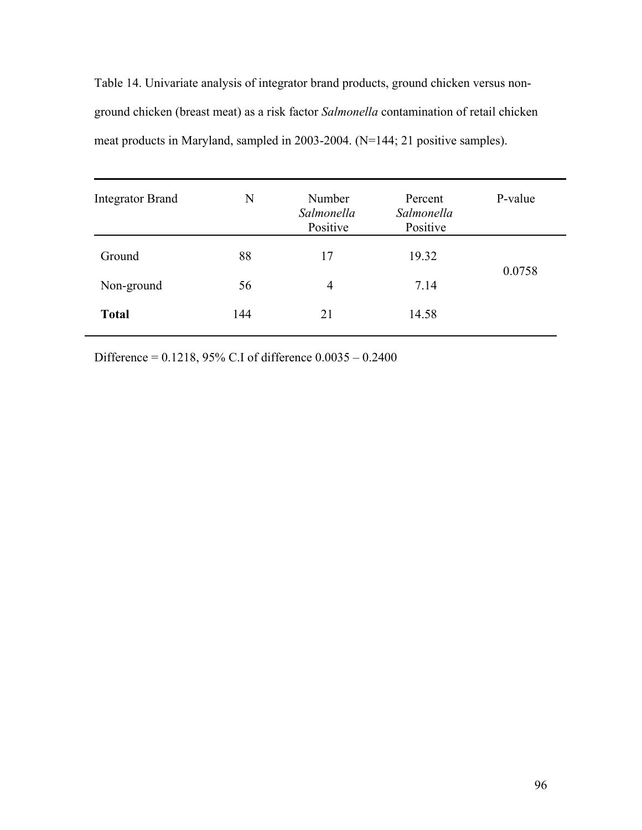Table 14. Univariate analysis of integrator brand products, ground chicken versus nonground chicken (breast meat) as a risk factor *Salmonella* contamination of retail chicken meat products in Maryland, sampled in 2003-2004. (N=144; 21 positive samples).

| N   | Number<br>Salmonella<br>Positive | Percent<br>Salmonella<br>Positive | P-value |
|-----|----------------------------------|-----------------------------------|---------|
| 88  | 17                               | 19.32                             |         |
| 56  | 4                                | 7.14                              | 0.0758  |
| 144 | 21                               | 14.58                             |         |
|     |                                  |                                   |         |

Difference = 0.1218, 95% C.I of difference 0.0035 – 0.2400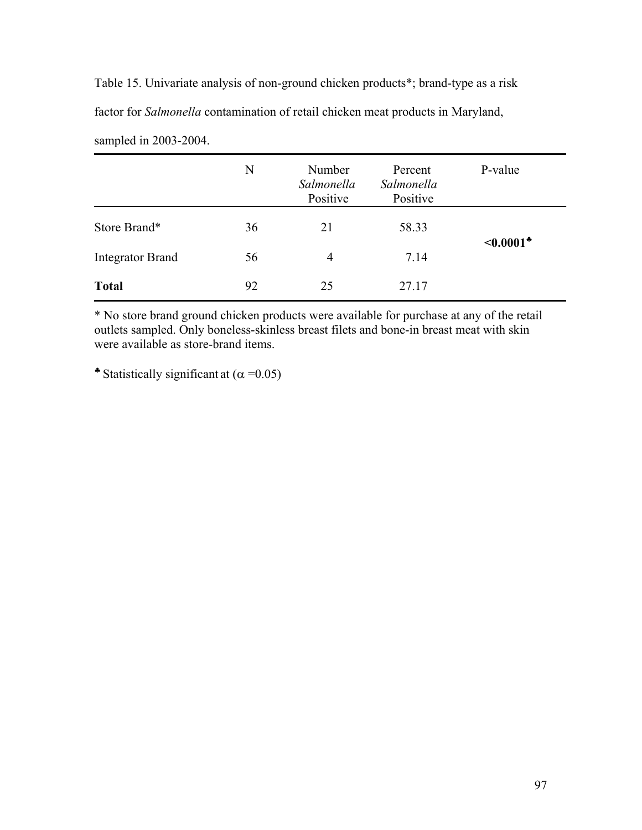Table 15. Univariate analysis of non-ground chicken products\*; brand-type as a risk factor for *Salmonella* contamination of retail chicken meat products in Maryland, sampled in 2003-2004.

|                         | N  | Number<br>Salmonella<br>Positive | Percent<br>Salmonella<br>Positive | P-value                    |
|-------------------------|----|----------------------------------|-----------------------------------|----------------------------|
| Store Brand*            | 36 | 21                               | 58.33                             | $\leq 0.0001$ <sup>*</sup> |
| <b>Integrator Brand</b> | 56 | 4                                | 7.14                              |                            |
| <b>Total</b>            | 92 | 25                               | 27.17                             |                            |

\* No store brand ground chicken products were available for purchase at any of the retail outlets sampled. Only boneless-skinless breast filets and bone-in breast meat with skin were available as store-brand items.

• Statistically significant at  $(\alpha = 0.05)$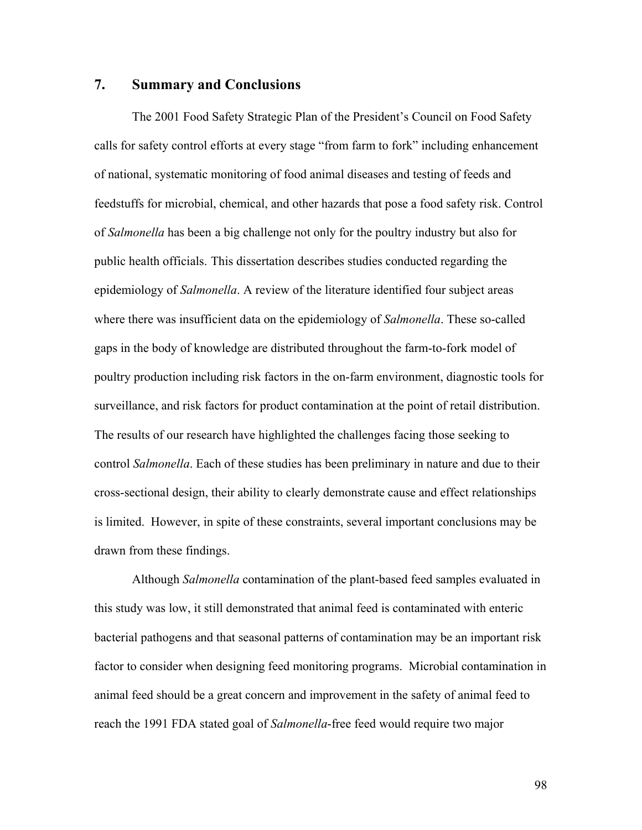## **7. Summary and Conclusions**

The 2001 Food Safety Strategic Plan of the President's Council on Food Safety calls for safety control efforts at every stage "from farm to fork" including enhancement of national, systematic monitoring of food animal diseases and testing of feeds and feedstuffs for microbial, chemical, and other hazards that pose a food safety risk. Control of *Salmonella* has been a big challenge not only for the poultry industry but also for public health officials. This dissertation describes studies conducted regarding the epidemiology of *Salmonella*. A review of the literature identified four subject areas where there was insufficient data on the epidemiology of *Salmonella*. These so-called gaps in the body of knowledge are distributed throughout the farm-to-fork model of poultry production including risk factors in the on-farm environment, diagnostic tools for surveillance, and risk factors for product contamination at the point of retail distribution. The results of our research have highlighted the challenges facing those seeking to control *Salmonella*. Each of these studies has been preliminary in nature and due to their cross-sectional design, their ability to clearly demonstrate cause and effect relationships is limited. However, in spite of these constraints, several important conclusions may be drawn from these findings.

Although *Salmonella* contamination of the plant-based feed samples evaluated in this study was low, it still demonstrated that animal feed is contaminated with enteric bacterial pathogens and that seasonal patterns of contamination may be an important risk factor to consider when designing feed monitoring programs. Microbial contamination in animal feed should be a great concern and improvement in the safety of animal feed to reach the 1991 FDA stated goal of *Salmonella*-free feed would require two major

98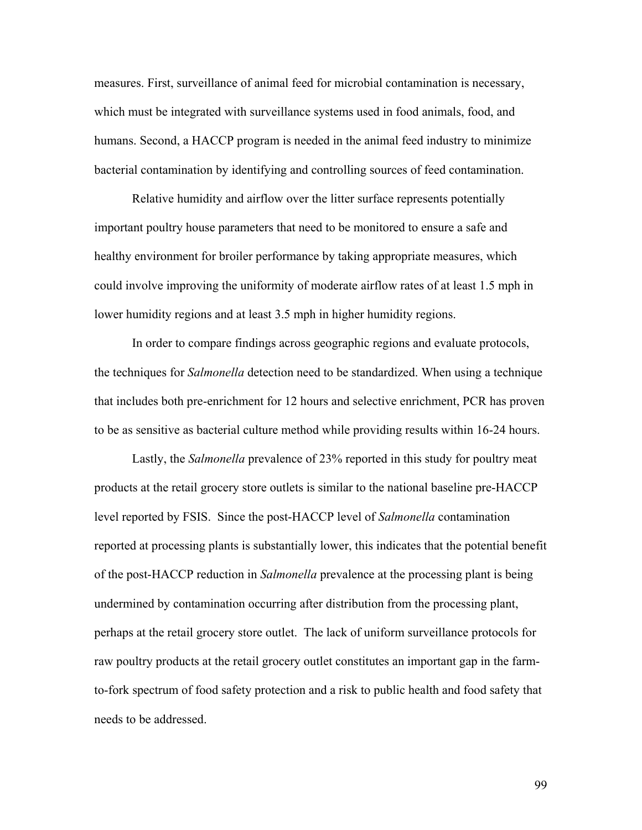measures. First, surveillance of animal feed for microbial contamination is necessary, which must be integrated with surveillance systems used in food animals, food, and humans. Second, a HACCP program is needed in the animal feed industry to minimize bacterial contamination by identifying and controlling sources of feed contamination.

Relative humidity and airflow over the litter surface represents potentially important poultry house parameters that need to be monitored to ensure a safe and healthy environment for broiler performance by taking appropriate measures, which could involve improving the uniformity of moderate airflow rates of at least 1.5 mph in lower humidity regions and at least 3.5 mph in higher humidity regions.

In order to compare findings across geographic regions and evaluate protocols, the techniques for *Salmonella* detection need to be standardized. When using a technique that includes both pre-enrichment for 12 hours and selective enrichment, PCR has proven to be as sensitive as bacterial culture method while providing results within 16-24 hours.

Lastly, the *Salmonella* prevalence of 23% reported in this study for poultry meat products at the retail grocery store outlets is similar to the national baseline pre-HACCP level reported by FSIS. Since the post-HACCP level of *Salmonella* contamination reported at processing plants is substantially lower, this indicates that the potential benefit of the post-HACCP reduction in *Salmonella* prevalence at the processing plant is being undermined by contamination occurring after distribution from the processing plant, perhaps at the retail grocery store outlet. The lack of uniform surveillance protocols for raw poultry products at the retail grocery outlet constitutes an important gap in the farmto-fork spectrum of food safety protection and a risk to public health and food safety that needs to be addressed.

99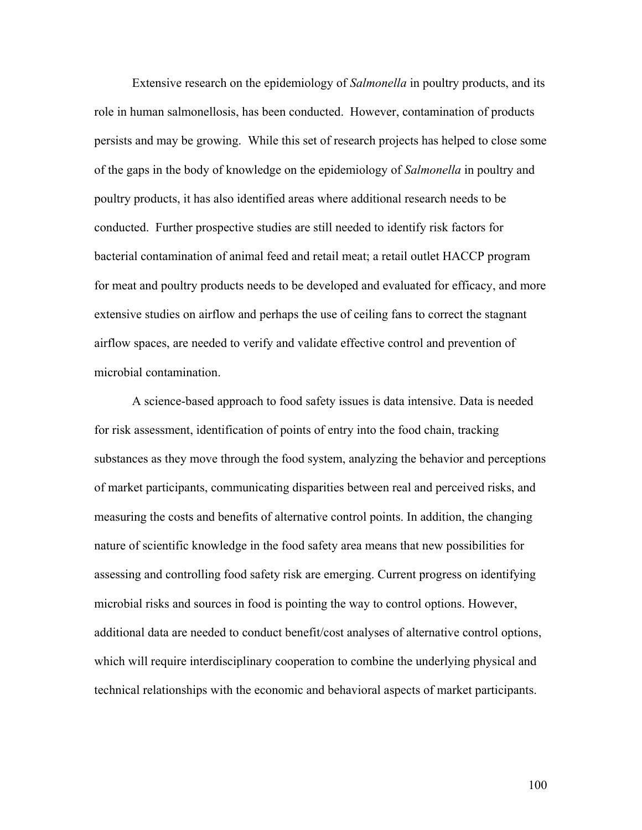Extensive research on the epidemiology of *Salmonella* in poultry products, and its role in human salmonellosis, has been conducted. However, contamination of products persists and may be growing. While this set of research projects has helped to close some of the gaps in the body of knowledge on the epidemiology of *Salmonella* in poultry and poultry products, it has also identified areas where additional research needs to be conducted. Further prospective studies are still needed to identify risk factors for bacterial contamination of animal feed and retail meat; a retail outlet HACCP program for meat and poultry products needs to be developed and evaluated for efficacy, and more extensive studies on airflow and perhaps the use of ceiling fans to correct the stagnant airflow spaces, are needed to verify and validate effective control and prevention of microbial contamination.

A science-based approach to food safety issues is data intensive. Data is needed for risk assessment, identification of points of entry into the food chain, tracking substances as they move through the food system, analyzing the behavior and perceptions of market participants, communicating disparities between real and perceived risks, and measuring the costs and benefits of alternative control points. In addition, the changing nature of scientific knowledge in the food safety area means that new possibilities for assessing and controlling food safety risk are emerging. Current progress on identifying microbial risks and sources in food is pointing the way to control options. However, additional data are needed to conduct benefit/cost analyses of alternative control options, which will require interdisciplinary cooperation to combine the underlying physical and technical relationships with the economic and behavioral aspects of market participants.

100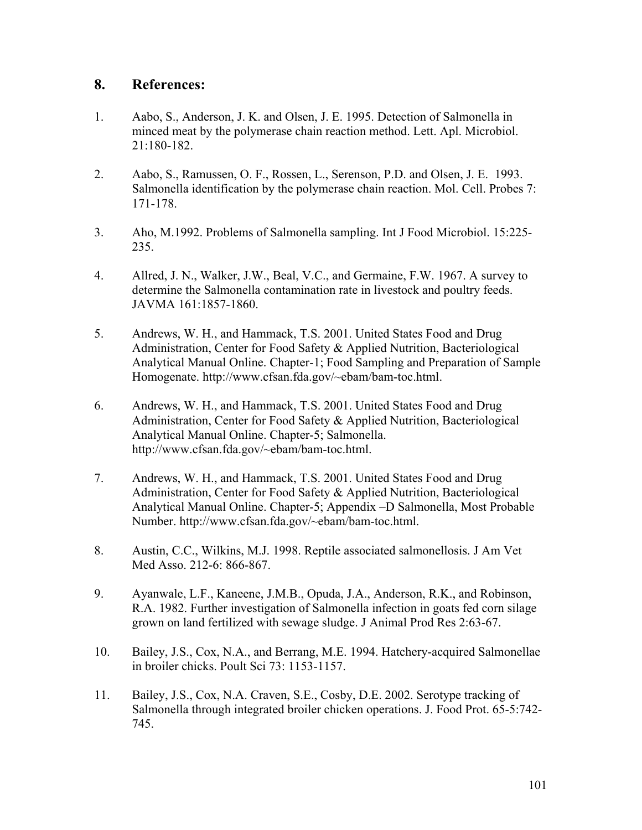## **8. References:**

- 1. Aabo, S., Anderson, J. K. and Olsen, J. E. 1995. Detection of Salmonella in minced meat by the polymerase chain reaction method. Lett. Apl. Microbiol. 21:180-182.
- 2. Aabo, S., Ramussen, O. F., Rossen, L., Serenson, P.D. and Olsen, J. E. 1993. Salmonella identification by the polymerase chain reaction. Mol. Cell. Probes 7: 171-178.
- 3. Aho, M.1992. Problems of Salmonella sampling. Int J Food Microbiol. 15:225- 235.
- 4. Allred, J. N., Walker, J.W., Beal, V.C., and Germaine, F.W. 1967. A survey to determine the Salmonella contamination rate in livestock and poultry feeds. JAVMA 161:1857-1860.
- 5. Andrews, W. H., and Hammack, T.S. 2001. United States Food and Drug Administration, Center for Food Safety & Applied Nutrition, Bacteriological Analytical Manual Online. Chapter-1; Food Sampling and Preparation of Sample Homogenate. http://www.cfsan.fda.gov/~ebam/bam-toc.html.
- 6. Andrews, W. H., and Hammack, T.S. 2001. United States Food and Drug Administration, Center for Food Safety & Applied Nutrition, Bacteriological Analytical Manual Online. Chapter-5; Salmonella. http://www.cfsan.fda.gov/~ebam/bam-toc.html.
- 7. Andrews, W. H., and Hammack, T.S. 2001. United States Food and Drug Administration, Center for Food Safety & Applied Nutrition, Bacteriological Analytical Manual Online. Chapter-5; Appendix –D Salmonella, Most Probable Number. http://www.cfsan.fda.gov/~ebam/bam-toc.html.
- 8. Austin, C.C., Wilkins, M.J. 1998. Reptile associated salmonellosis. J Am Vet Med Asso. 212-6: 866-867.
- 9. Ayanwale, L.F., Kaneene, J.M.B., Opuda, J.A., Anderson, R.K., and Robinson, R.A. 1982. Further investigation of Salmonella infection in goats fed corn silage grown on land fertilized with sewage sludge. J Animal Prod Res 2:63-67.
- 10. Bailey, J.S., Cox, N.A., and Berrang, M.E. 1994. Hatchery-acquired Salmonellae in broiler chicks. Poult Sci 73: 1153-1157.
- 11. Bailey, J.S., Cox, N.A. Craven, S.E., Cosby, D.E. 2002. Serotype tracking of Salmonella through integrated broiler chicken operations. J. Food Prot. 65-5:742- 745.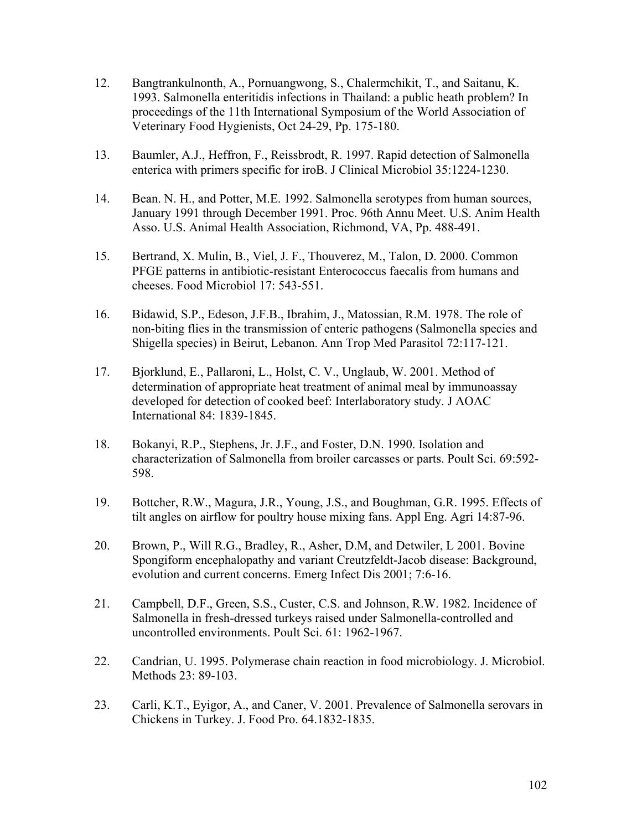- 12. Bangtrankulnonth, A., Pornuangwong, S., Chalermchikit, T., and Saitanu, K. 1993. Salmonella enteritidis infections in Thailand: a public heath problem? In proceedings of the 11th International Symposium of the World Association of Veterinary Food Hygienists, Oct 24-29, Pp. 175-180.
- 13. Baumler, A.J., Heffron, F., Reissbrodt, R. 1997. Rapid detection of Salmonella enterica with primers specific for iroB. J Clinical Microbiol 35:1224-1230.
- 14. Bean. N. H., and Potter, M.E. 1992. Salmonella serotypes from human sources, January 1991 through December 1991. Proc. 96th Annu Meet. U.S. Anim Health Asso. U.S. Animal Health Association, Richmond, VA, Pp. 488-491.
- 15. Bertrand, X. Mulin, B., Viel, J. F., Thouverez, M., Talon, D. 2000. Common PFGE patterns in antibiotic-resistant Enterococcus faecalis from humans and cheeses. Food Microbiol 17: 543-551.
- 16. Bidawid, S.P., Edeson, J.F.B., Ibrahim, J., Matossian, R.M. 1978. The role of non-biting flies in the transmission of enteric pathogens (Salmonella species and Shigella species) in Beirut, Lebanon. Ann Trop Med Parasitol 72:117-121.
- 17. Bjorklund, E., Pallaroni, L., Holst, C. V., Unglaub, W. 2001. Method of determination of appropriate heat treatment of animal meal by immunoassay developed for detection of cooked beef: Interlaboratory study. J AOAC International 84: 1839-1845.
- 18. Bokanyi, R.P., Stephens, Jr. J.F., and Foster, D.N. 1990. Isolation and characterization of Salmonella from broiler carcasses or parts. Poult Sci. 69:592- 598.
- 19. Bottcher, R.W., Magura, J.R., Young, J.S., and Boughman, G.R. 1995. Effects of tilt angles on airflow for poultry house mixing fans. Appl Eng. Agri 14:87-96.
- 20. Brown, P., Will R.G., Bradley, R., Asher, D.M, and Detwiler, L 2001. Bovine Spongiform encephalopathy and variant Creutzfeldt-Jacob disease: Background, evolution and current concerns. Emerg Infect Dis 2001; 7:6-16.
- 21. Campbell, D.F., Green, S.S., Custer, C.S. and Johnson, R.W. 1982. Incidence of Salmonella in fresh-dressed turkeys raised under Salmonella-controlled and uncontrolled environments. Poult Sci. 61: 1962-1967.
- 22. Candrian, U. 1995. Polymerase chain reaction in food microbiology. J. Microbiol. Methods 23: 89-103.
- 23. Carli, K.T., Eyigor, A., and Caner, V. 2001. Prevalence of Salmonella serovars in Chickens in Turkey. J. Food Pro. 64.1832-1835.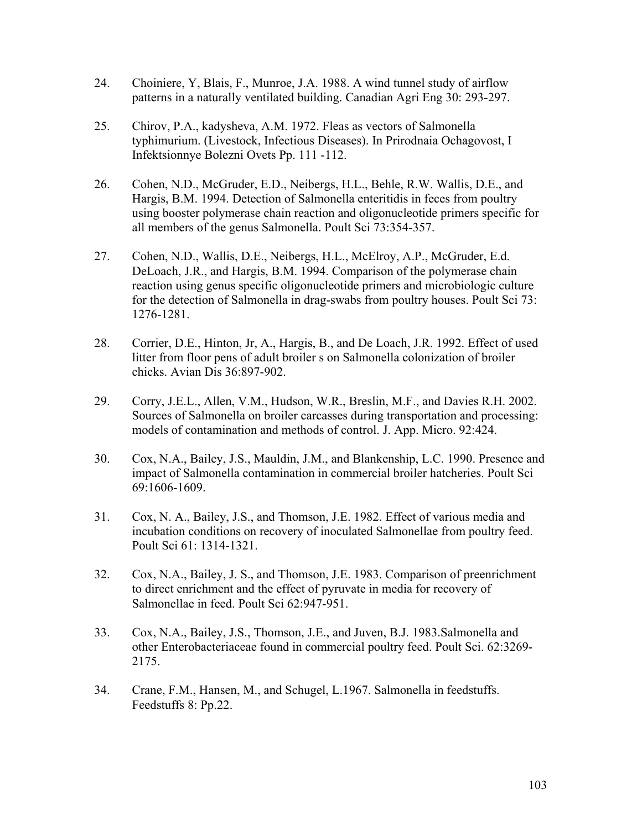- 24. Choiniere, Y, Blais, F., Munroe, J.A. 1988. A wind tunnel study of airflow patterns in a naturally ventilated building. Canadian Agri Eng 30: 293-297.
- 25. Chirov, P.A., kadysheva, A.M. 1972. Fleas as vectors of Salmonella typhimurium. (Livestock, Infectious Diseases). In Prirodnaia Ochagovost, I Infektsionnye Bolezni Ovets Pp. 111 -112.
- 26. Cohen, N.D., McGruder, E.D., Neibergs, H.L., Behle, R.W. Wallis, D.E., and Hargis, B.M. 1994. Detection of Salmonella enteritidis in feces from poultry using booster polymerase chain reaction and oligonucleotide primers specific for all members of the genus Salmonella. Poult Sci 73:354-357.
- 27. Cohen, N.D., Wallis, D.E., Neibergs, H.L., McElroy, A.P., McGruder, E.d. DeLoach, J.R., and Hargis, B.M. 1994. Comparison of the polymerase chain reaction using genus specific oligonucleotide primers and microbiologic culture for the detection of Salmonella in drag-swabs from poultry houses. Poult Sci 73: 1276-1281.
- 28. Corrier, D.E., Hinton, Jr, A., Hargis, B., and De Loach, J.R. 1992. Effect of used litter from floor pens of adult broiler s on Salmonella colonization of broiler chicks. Avian Dis 36:897-902.
- 29. Corry, J.E.L., Allen, V.M., Hudson, W.R., Breslin, M.F., and Davies R.H. 2002. Sources of Salmonella on broiler carcasses during transportation and processing: models of contamination and methods of control. J. App. Micro. 92:424.
- 30. Cox, N.A., Bailey, J.S., Mauldin, J.M., and Blankenship, L.C. 1990. Presence and impact of Salmonella contamination in commercial broiler hatcheries. Poult Sci 69:1606-1609.
- 31. Cox, N. A., Bailey, J.S., and Thomson, J.E. 1982. Effect of various media and incubation conditions on recovery of inoculated Salmonellae from poultry feed. Poult Sci 61: 1314-1321.
- 32. Cox, N.A., Bailey, J. S., and Thomson, J.E. 1983. Comparison of preenrichment to direct enrichment and the effect of pyruvate in media for recovery of Salmonellae in feed. Poult Sci 62:947-951.
- 33. Cox, N.A., Bailey, J.S., Thomson, J.E., and Juven, B.J. 1983.Salmonella and other Enterobacteriaceae found in commercial poultry feed. Poult Sci. 62:3269- 2175.
- 34. Crane, F.M., Hansen, M., and Schugel, L.1967. Salmonella in feedstuffs. Feedstuffs 8: Pp.22.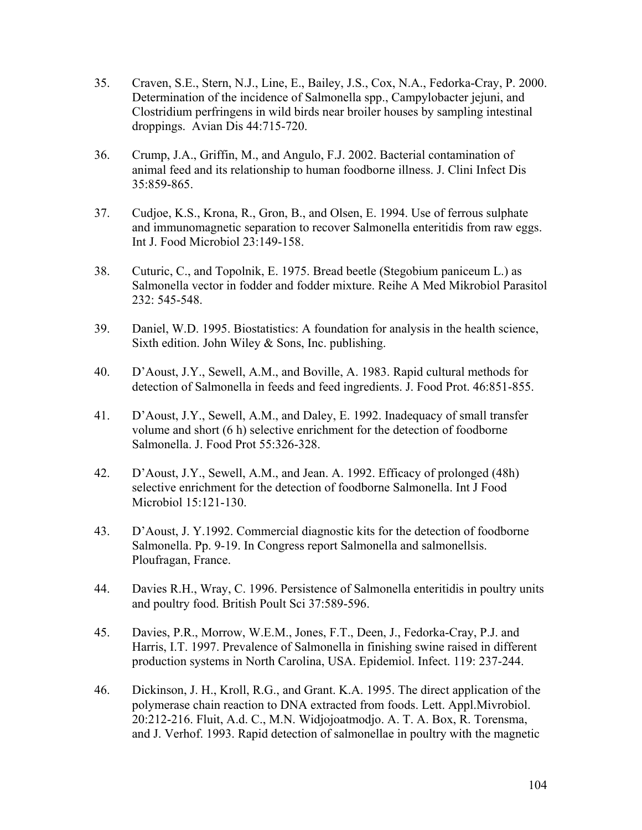- 35. Craven, S.E., Stern, N.J., Line, E., Bailey, J.S., Cox, N.A., Fedorka-Cray, P. 2000. Determination of the incidence of Salmonella spp., Campylobacter jejuni, and Clostridium perfringens in wild birds near broiler houses by sampling intestinal droppings. Avian Dis 44:715-720.
- 36. Crump, J.A., Griffin, M., and Angulo, F.J. 2002. Bacterial contamination of animal feed and its relationship to human foodborne illness. J. Clini Infect Dis 35:859-865.
- 37. Cudjoe, K.S., Krona, R., Gron, B., and Olsen, E. 1994. Use of ferrous sulphate and immunomagnetic separation to recover Salmonella enteritidis from raw eggs. Int J. Food Microbiol 23:149-158.
- 38. Cuturic, C., and Topolnik, E. 1975. Bread beetle (Stegobium paniceum L.) as Salmonella vector in fodder and fodder mixture. Reihe A Med Mikrobiol Parasitol 232: 545-548.
- 39. Daniel, W.D. 1995. Biostatistics: A foundation for analysis in the health science, Sixth edition. John Wiley & Sons, Inc. publishing.
- 40. D'Aoust, J.Y., Sewell, A.M., and Boville, A. 1983. Rapid cultural methods for detection of Salmonella in feeds and feed ingredients. J. Food Prot. 46:851-855.
- 41. D'Aoust, J.Y., Sewell, A.M., and Daley, E. 1992. Inadequacy of small transfer volume and short (6 h) selective enrichment for the detection of foodborne Salmonella. J. Food Prot 55:326-328.
- 42. D'Aoust, J.Y., Sewell, A.M., and Jean. A. 1992. Efficacy of prolonged (48h) selective enrichment for the detection of foodborne Salmonella. Int J Food Microbiol 15:121-130.
- 43. D'Aoust, J. Y.1992. Commercial diagnostic kits for the detection of foodborne Salmonella. Pp. 9-19. In Congress report Salmonella and salmonellsis. Ploufragan, France.
- 44. Davies R.H., Wray, C. 1996. Persistence of Salmonella enteritidis in poultry units and poultry food. British Poult Sci 37:589-596.
- 45. Davies, P.R., Morrow, W.E.M., Jones, F.T., Deen, J., Fedorka-Cray, P.J. and Harris, I.T. 1997. Prevalence of Salmonella in finishing swine raised in different production systems in North Carolina, USA. Epidemiol. Infect. 119: 237-244.
- 46. Dickinson, J. H., Kroll, R.G., and Grant. K.A. 1995. The direct application of the polymerase chain reaction to DNA extracted from foods. Lett. Appl.Mivrobiol. 20:212-216. Fluit, A.d. C., M.N. Widjojoatmodjo. A. T. A. Box, R. Torensma, and J. Verhof. 1993. Rapid detection of salmonellae in poultry with the magnetic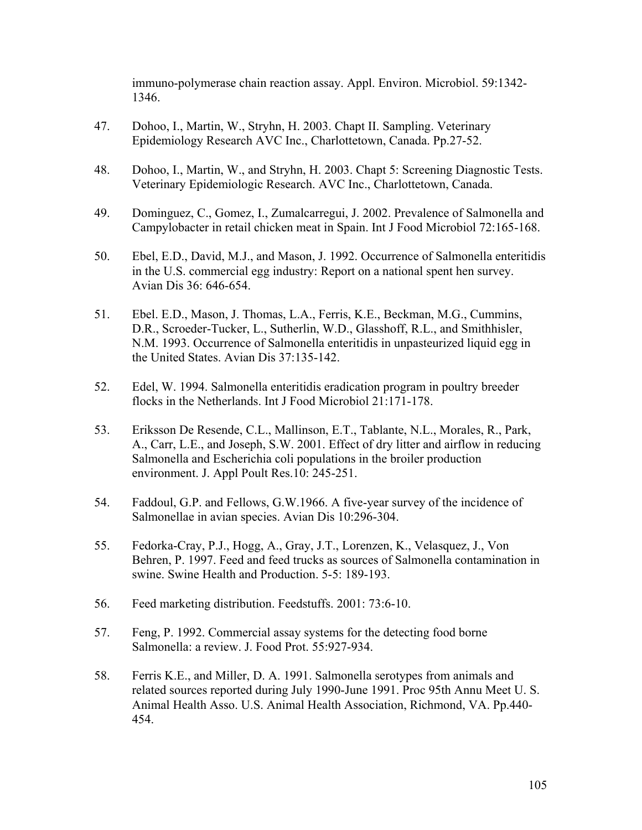immuno-polymerase chain reaction assay. Appl. Environ. Microbiol. 59:1342- 1346.

- 47. Dohoo, I., Martin, W., Stryhn, H. 2003. Chapt II. Sampling. Veterinary Epidemiology Research AVC Inc., Charlottetown, Canada. Pp.27-52.
- 48. Dohoo, I., Martin, W., and Stryhn, H. 2003. Chapt 5: Screening Diagnostic Tests. Veterinary Epidemiologic Research. AVC Inc., Charlottetown, Canada.
- 49. Dominguez, C., Gomez, I., Zumalcarregui, J. 2002. Prevalence of Salmonella and Campylobacter in retail chicken meat in Spain. Int J Food Microbiol 72:165-168.
- 50. Ebel, E.D., David, M.J., and Mason, J. 1992. Occurrence of Salmonella enteritidis in the U.S. commercial egg industry: Report on a national spent hen survey. Avian Dis 36: 646-654.
- 51. Ebel. E.D., Mason, J. Thomas, L.A., Ferris, K.E., Beckman, M.G., Cummins, D.R., Scroeder-Tucker, L., Sutherlin, W.D., Glasshoff, R.L., and Smithhisler, N.M. 1993. Occurrence of Salmonella enteritidis in unpasteurized liquid egg in the United States. Avian Dis 37:135-142.
- 52. Edel, W. 1994. Salmonella enteritidis eradication program in poultry breeder flocks in the Netherlands. Int J Food Microbiol 21:171-178.
- 53. Eriksson De Resende, C.L., Mallinson, E.T., Tablante, N.L., Morales, R., Park, A., Carr, L.E., and Joseph, S.W. 2001. Effect of dry litter and airflow in reducing Salmonella and Escherichia coli populations in the broiler production environment. J. Appl Poult Res.10: 245-251.
- 54. Faddoul, G.P. and Fellows, G.W.1966. A five-year survey of the incidence of Salmonellae in avian species. Avian Dis 10:296-304.
- 55. Fedorka-Cray, P.J., Hogg, A., Gray, J.T., Lorenzen, K., Velasquez, J., Von Behren, P. 1997. Feed and feed trucks as sources of Salmonella contamination in swine. Swine Health and Production. 5-5: 189-193.
- 56. Feed marketing distribution. Feedstuffs. 2001: 73:6-10.
- 57. Feng, P. 1992. Commercial assay systems for the detecting food borne Salmonella: a review. J. Food Prot. 55:927-934.
- 58. Ferris K.E., and Miller, D. A. 1991. Salmonella serotypes from animals and related sources reported during July 1990-June 1991. Proc 95th Annu Meet U. S. Animal Health Asso. U.S. Animal Health Association, Richmond, VA. Pp.440- 454.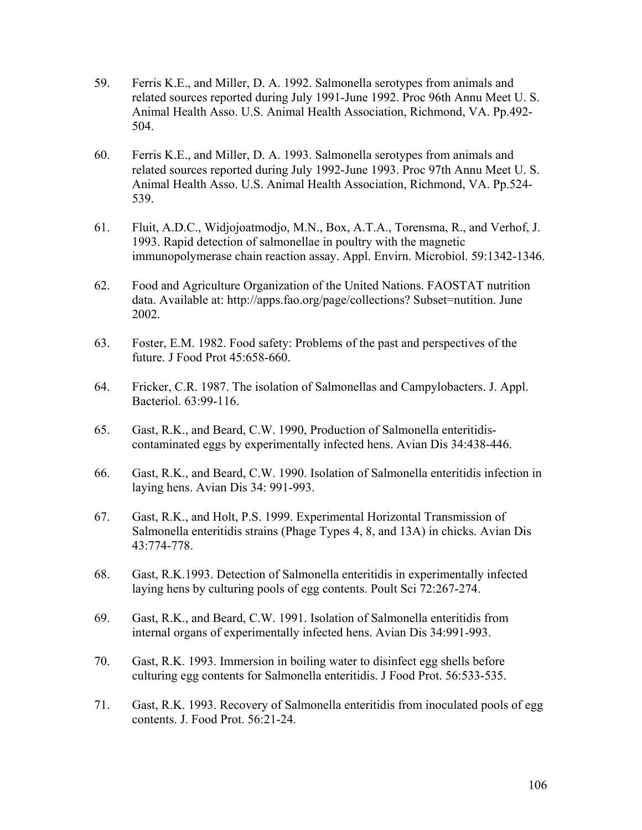- 59. Ferris K.E., and Miller, D. A. 1992. Salmonella serotypes from animals and related sources reported during July 1991-June 1992. Proc 96th Annu Meet U. S. Animal Health Asso. U.S. Animal Health Association, Richmond, VA. Pp.492- 504.
- 60. Ferris K.E., and Miller, D. A. 1993. Salmonella serotypes from animals and related sources reported during July 1992-June 1993. Proc 97th Annu Meet U. S. Animal Health Asso. U.S. Animal Health Association, Richmond, VA. Pp.524- 539.
- 61. Fluit, A.D.C., Widjojoatmodjo, M.N., Box, A.T.A., Torensma, R., and Verhof, J. 1993. Rapid detection of salmonellae in poultry with the magnetic immunopolymerase chain reaction assay. Appl. Envirn. Microbiol. 59:1342-1346.
- 62. Food and Agriculture Organization of the United Nations. FAOSTAT nutrition data. Available at: http://apps.fao.org/page/collections? Subset=nutition. June 2002.
- 63. Foster, E.M. 1982. Food safety: Problems of the past and perspectives of the future. J Food Prot 45:658-660.
- 64. Fricker, C.R. 1987. The isolation of Salmonellas and Campylobacters. J. Appl. Bacteriol. 63:99-116.
- 65. Gast, R.K., and Beard, C.W. 1990, Production of Salmonella enteritidiscontaminated eggs by experimentally infected hens. Avian Dis 34:438-446.
- 66. Gast, R.K., and Beard, C.W. 1990. Isolation of Salmonella enteritidis infection in laying hens. Avian Dis 34: 991-993.
- 67. Gast, R.K., and Holt, P.S. 1999. Experimental Horizontal Transmission of Salmonella enteritidis strains (Phage Types 4, 8, and 13A) in chicks. Avian Dis 43:774-778.
- 68. Gast, R.K.1993. Detection of Salmonella enteritidis in experimentally infected laying hens by culturing pools of egg contents. Poult Sci 72:267-274.
- 69. Gast, R.K., and Beard, C.W. 1991. Isolation of Salmonella enteritidis from internal organs of experimentally infected hens. Avian Dis 34:991-993.
- 70. Gast, R.K. 1993. Immersion in boiling water to disinfect egg shells before culturing egg contents for Salmonella enteritidis. J Food Prot. 56:533-535.
- 71. Gast, R.K. 1993. Recovery of Salmonella enteritidis from inoculated pools of egg contents. J. Food Prot. 56:21-24.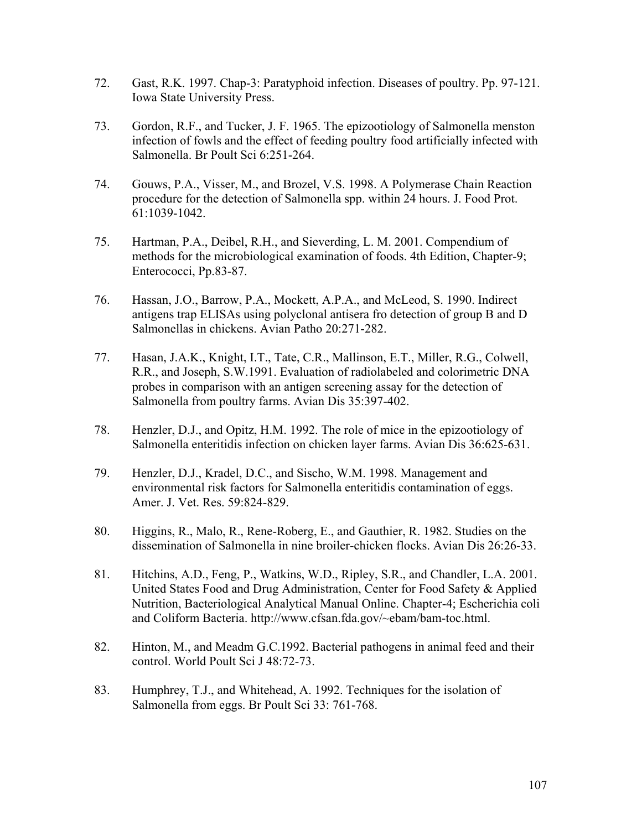- 72. Gast, R.K. 1997. Chap-3: Paratyphoid infection. Diseases of poultry. Pp. 97-121. Iowa State University Press.
- 73. Gordon, R.F., and Tucker, J. F. 1965. The epizootiology of Salmonella menston infection of fowls and the effect of feeding poultry food artificially infected with Salmonella. Br Poult Sci 6:251-264.
- 74. Gouws, P.A., Visser, M., and Brozel, V.S. 1998. A Polymerase Chain Reaction procedure for the detection of Salmonella spp. within 24 hours. J. Food Prot. 61:1039-1042.
- 75. Hartman, P.A., Deibel, R.H., and Sieverding, L. M. 2001. Compendium of methods for the microbiological examination of foods. 4th Edition, Chapter-9; Enterococci, Pp.83-87.
- 76. Hassan, J.O., Barrow, P.A., Mockett, A.P.A., and McLeod, S. 1990. Indirect antigens trap ELISAs using polyclonal antisera fro detection of group B and D Salmonellas in chickens. Avian Patho 20:271-282.
- 77. Hasan, J.A.K., Knight, I.T., Tate, C.R., Mallinson, E.T., Miller, R.G., Colwell, R.R., and Joseph, S.W.1991. Evaluation of radiolabeled and colorimetric DNA probes in comparison with an antigen screening assay for the detection of Salmonella from poultry farms. Avian Dis 35:397-402.
- 78. Henzler, D.J., and Opitz, H.M. 1992. The role of mice in the epizootiology of Salmonella enteritidis infection on chicken layer farms. Avian Dis 36:625-631.
- 79. Henzler, D.J., Kradel, D.C., and Sischo, W.M. 1998. Management and environmental risk factors for Salmonella enteritidis contamination of eggs. Amer. J. Vet. Res. 59:824-829.
- 80. Higgins, R., Malo, R., Rene-Roberg, E., and Gauthier, R. 1982. Studies on the dissemination of Salmonella in nine broiler-chicken flocks. Avian Dis 26:26-33.
- 81. Hitchins, A.D., Feng, P., Watkins, W.D., Ripley, S.R., and Chandler, L.A. 2001. United States Food and Drug Administration, Center for Food Safety & Applied Nutrition, Bacteriological Analytical Manual Online. Chapter-4; Escherichia coli and Coliform Bacteria. http://www.cfsan.fda.gov/~ebam/bam-toc.html.
- 82. Hinton, M., and Meadm G.C.1992. Bacterial pathogens in animal feed and their control. World Poult Sci J 48:72-73.
- 83. Humphrey, T.J., and Whitehead, A. 1992. Techniques for the isolation of Salmonella from eggs. Br Poult Sci 33: 761-768.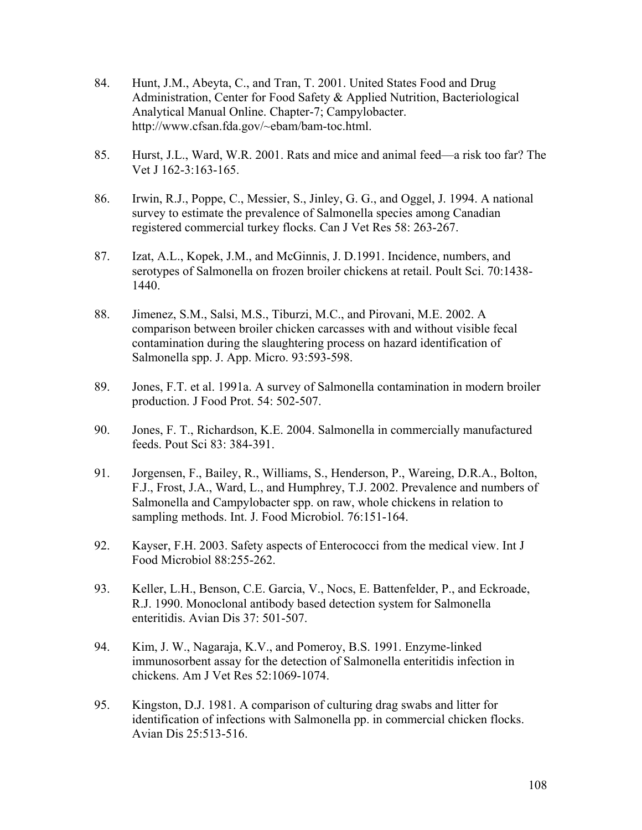- 84. Hunt, J.M., Abeyta, C., and Tran, T. 2001. United States Food and Drug Administration, Center for Food Safety & Applied Nutrition, Bacteriological Analytical Manual Online. Chapter-7; Campylobacter. http://www.cfsan.fda.gov/~ebam/bam-toc.html.
- 85. Hurst, J.L., Ward, W.R. 2001. Rats and mice and animal feed—a risk too far? The Vet J 162-3:163-165.
- 86. Irwin, R.J., Poppe, C., Messier, S., Jinley, G. G., and Oggel, J. 1994. A national survey to estimate the prevalence of Salmonella species among Canadian registered commercial turkey flocks. Can J Vet Res 58: 263-267.
- 87. Izat, A.L., Kopek, J.M., and McGinnis, J. D.1991. Incidence, numbers, and serotypes of Salmonella on frozen broiler chickens at retail. Poult Sci. 70:1438- 1440.
- 88. Jimenez, S.M., Salsi, M.S., Tiburzi, M.C., and Pirovani, M.E. 2002. A comparison between broiler chicken carcasses with and without visible fecal contamination during the slaughtering process on hazard identification of Salmonella spp. J. App. Micro. 93:593-598.
- 89. Jones, F.T. et al. 1991a. A survey of Salmonella contamination in modern broiler production. J Food Prot. 54: 502-507.
- 90. Jones, F. T., Richardson, K.E. 2004. Salmonella in commercially manufactured feeds. Pout Sci 83: 384-391.
- 91. Jorgensen, F., Bailey, R., Williams, S., Henderson, P., Wareing, D.R.A., Bolton, F.J., Frost, J.A., Ward, L., and Humphrey, T.J. 2002. Prevalence and numbers of Salmonella and Campylobacter spp. on raw, whole chickens in relation to sampling methods. Int. J. Food Microbiol. 76:151-164.
- 92. Kayser, F.H. 2003. Safety aspects of Enterococci from the medical view. Int J Food Microbiol 88:255-262.
- 93. Keller, L.H., Benson, C.E. Garcia, V., Nocs, E. Battenfelder, P., and Eckroade, R.J. 1990. Monoclonal antibody based detection system for Salmonella enteritidis. Avian Dis 37: 501-507.
- 94. Kim, J. W., Nagaraja, K.V., and Pomeroy, B.S. 1991. Enzyme-linked immunosorbent assay for the detection of Salmonella enteritidis infection in chickens. Am J Vet Res 52:1069-1074.
- 95. Kingston, D.J. 1981. A comparison of culturing drag swabs and litter for identification of infections with Salmonella pp. in commercial chicken flocks. Avian Dis 25:513-516.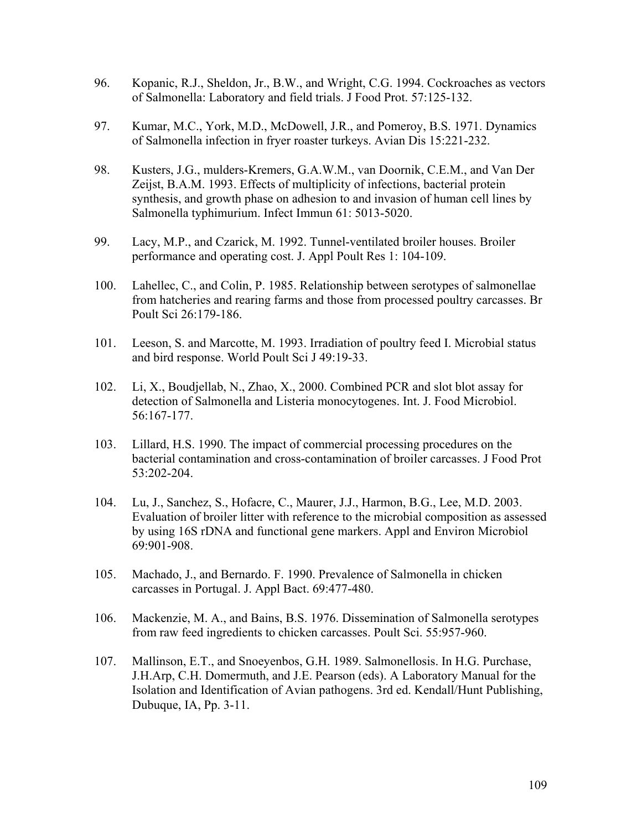- 96. Kopanic, R.J., Sheldon, Jr., B.W., and Wright, C.G. 1994. Cockroaches as vectors of Salmonella: Laboratory and field trials. J Food Prot. 57:125-132.
- 97. Kumar, M.C., York, M.D., McDowell, J.R., and Pomeroy, B.S. 1971. Dynamics of Salmonella infection in fryer roaster turkeys. Avian Dis 15:221-232.
- 98. Kusters, J.G., mulders-Kremers, G.A.W.M., van Doornik, C.E.M., and Van Der Zeijst, B.A.M. 1993. Effects of multiplicity of infections, bacterial protein synthesis, and growth phase on adhesion to and invasion of human cell lines by Salmonella typhimurium. Infect Immun 61: 5013-5020.
- 99. Lacy, M.P., and Czarick, M. 1992. Tunnel-ventilated broiler houses. Broiler performance and operating cost. J. Appl Poult Res 1: 104-109.
- 100. Lahellec, C., and Colin, P. 1985. Relationship between serotypes of salmonellae from hatcheries and rearing farms and those from processed poultry carcasses. Br Poult Sci 26:179-186.
- 101. Leeson, S. and Marcotte, M. 1993. Irradiation of poultry feed I. Microbial status and bird response. World Poult Sci J 49:19-33.
- 102. Li, X., Boudjellab, N., Zhao, X., 2000. Combined PCR and slot blot assay for detection of Salmonella and Listeria monocytogenes. Int. J. Food Microbiol. 56:167-177.
- 103. Lillard, H.S. 1990. The impact of commercial processing procedures on the bacterial contamination and cross-contamination of broiler carcasses. J Food Prot 53:202-204.
- 104. Lu, J., Sanchez, S., Hofacre, C., Maurer, J.J., Harmon, B.G., Lee, M.D. 2003. Evaluation of broiler litter with reference to the microbial composition as assessed by using 16S rDNA and functional gene markers. Appl and Environ Microbiol 69:901-908.
- 105. Machado, J., and Bernardo. F. 1990. Prevalence of Salmonella in chicken carcasses in Portugal. J. Appl Bact. 69:477-480.
- 106. Mackenzie, M. A., and Bains, B.S. 1976. Dissemination of Salmonella serotypes from raw feed ingredients to chicken carcasses. Poult Sci. 55:957-960.
- 107. Mallinson, E.T., and Snoeyenbos, G.H. 1989. Salmonellosis. In H.G. Purchase, J.H.Arp, C.H. Domermuth, and J.E. Pearson (eds). A Laboratory Manual for the Isolation and Identification of Avian pathogens. 3rd ed. Kendall/Hunt Publishing, Dubuque, IA, Pp. 3-11.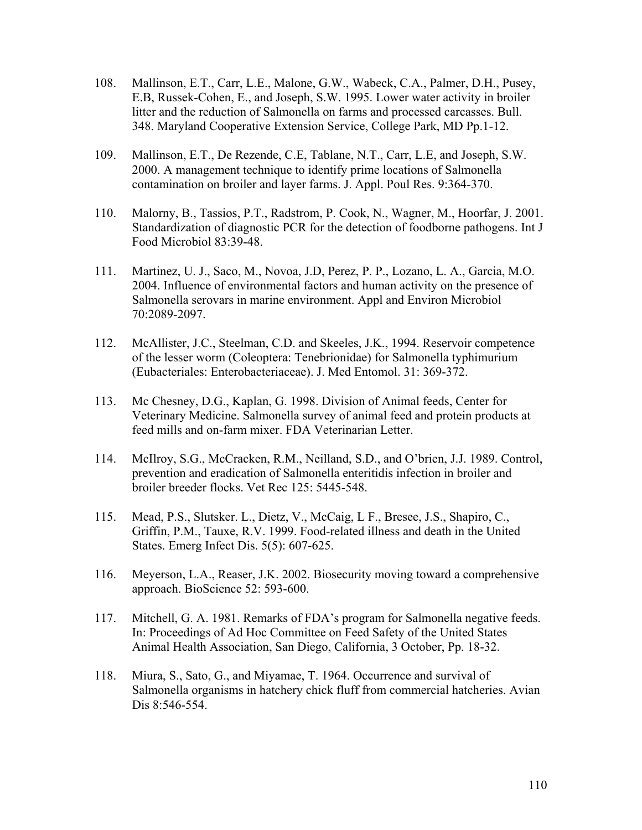- 108. Mallinson, E.T., Carr, L.E., Malone, G.W., Wabeck, C.A., Palmer, D.H., Pusey, E.B, Russek-Cohen, E., and Joseph, S.W. 1995. Lower water activity in broiler litter and the reduction of Salmonella on farms and processed carcasses. Bull. 348. Maryland Cooperative Extension Service, College Park, MD Pp.1-12.
- 109. Mallinson, E.T., De Rezende, C.E, Tablane, N.T., Carr, L.E, and Joseph, S.W. 2000. A management technique to identify prime locations of Salmonella contamination on broiler and layer farms. J. Appl. Poul Res. 9:364-370.
- 110. Malorny, B., Tassios, P.T., Radstrom, P. Cook, N., Wagner, M., Hoorfar, J. 2001. Standardization of diagnostic PCR for the detection of foodborne pathogens. Int J Food Microbiol 83:39-48.
- 111. Martinez, U. J., Saco, M., Novoa, J.D, Perez, P. P., Lozano, L. A., Garcia, M.O. 2004. Influence of environmental factors and human activity on the presence of Salmonella serovars in marine environment. Appl and Environ Microbiol 70:2089-2097.
- 112. McAllister, J.C., Steelman, C.D. and Skeeles, J.K., 1994. Reservoir competence of the lesser worm (Coleoptera: Tenebrionidae) for Salmonella typhimurium (Eubacteriales: Enterobacteriaceae). J. Med Entomol. 31: 369-372.
- 113. Mc Chesney, D.G., Kaplan, G. 1998. Division of Animal feeds, Center for Veterinary Medicine. Salmonella survey of animal feed and protein products at feed mills and on-farm mixer. FDA Veterinarian Letter.
- 114. McIlroy, S.G., McCracken, R.M., Neilland, S.D., and O'brien, J.J. 1989. Control, prevention and eradication of Salmonella enteritidis infection in broiler and broiler breeder flocks. Vet Rec 125: 5445-548.
- 115. Mead, P.S., Slutsker. L., Dietz, V., McCaig, L F., Bresee, J.S., Shapiro, C., Griffin, P.M., Tauxe, R.V. 1999. Food-related illness and death in the United States. Emerg Infect Dis. 5(5): 607-625.
- 116. Meyerson, L.A., Reaser, J.K. 2002. Biosecurity moving toward a comprehensive approach. BioScience 52: 593-600.
- 117. Mitchell, G. A. 1981. Remarks of FDA's program for Salmonella negative feeds. In: Proceedings of Ad Hoc Committee on Feed Safety of the United States Animal Health Association, San Diego, California, 3 October, Pp. 18-32.
- 118. Miura, S., Sato, G., and Miyamae, T. 1964. Occurrence and survival of Salmonella organisms in hatchery chick fluff from commercial hatcheries. Avian Dis 8:546-554.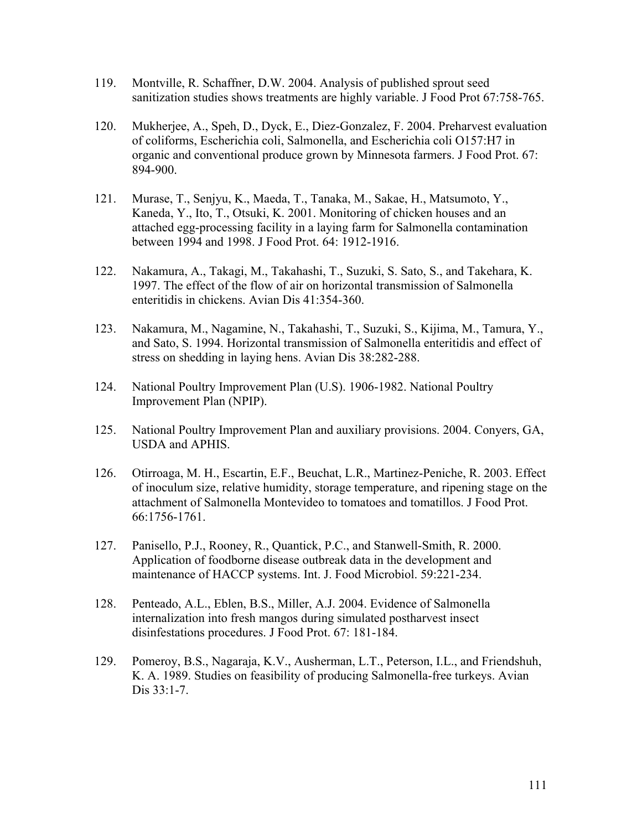- 119. Montville, R. Schaffner, D.W. 2004. Analysis of published sprout seed sanitization studies shows treatments are highly variable. J Food Prot 67:758-765.
- 120. Mukherjee, A., Speh, D., Dyck, E., Diez-Gonzalez, F. 2004. Preharvest evaluation of coliforms, Escherichia coli, Salmonella, and Escherichia coli O157:H7 in organic and conventional produce grown by Minnesota farmers. J Food Prot. 67: 894-900.
- 121. Murase, T., Senjyu, K., Maeda, T., Tanaka, M., Sakae, H., Matsumoto, Y., Kaneda, Y., Ito, T., Otsuki, K. 2001. Monitoring of chicken houses and an attached egg-processing facility in a laying farm for Salmonella contamination between 1994 and 1998. J Food Prot. 64: 1912-1916.
- 122. Nakamura, A., Takagi, M., Takahashi, T., Suzuki, S. Sato, S., and Takehara, K. 1997. The effect of the flow of air on horizontal transmission of Salmonella enteritidis in chickens. Avian Dis 41:354-360.
- 123. Nakamura, M., Nagamine, N., Takahashi, T., Suzuki, S., Kijima, M., Tamura, Y., and Sato, S. 1994. Horizontal transmission of Salmonella enteritidis and effect of stress on shedding in laying hens. Avian Dis 38:282-288.
- 124. National Poultry Improvement Plan (U.S). 1906-1982. National Poultry Improvement Plan (NPIP).
- 125. National Poultry Improvement Plan and auxiliary provisions. 2004. Conyers, GA, USDA and APHIS.
- 126. Otirroaga, M. H., Escartin, E.F., Beuchat, L.R., Martinez-Peniche, R. 2003. Effect of inoculum size, relative humidity, storage temperature, and ripening stage on the attachment of Salmonella Montevideo to tomatoes and tomatillos. J Food Prot. 66:1756-1761.
- 127. Panisello, P.J., Rooney, R., Quantick, P.C., and Stanwell-Smith, R. 2000. Application of foodborne disease outbreak data in the development and maintenance of HACCP systems. Int. J. Food Microbiol. 59:221-234.
- 128. Penteado, A.L., Eblen, B.S., Miller, A.J. 2004. Evidence of Salmonella internalization into fresh mangos during simulated postharvest insect disinfestations procedures. J Food Prot. 67: 181-184.
- 129. Pomeroy, B.S., Nagaraja, K.V., Ausherman, L.T., Peterson, I.L., and Friendshuh, K. A. 1989. Studies on feasibility of producing Salmonella-free turkeys. Avian Dis 33:1-7.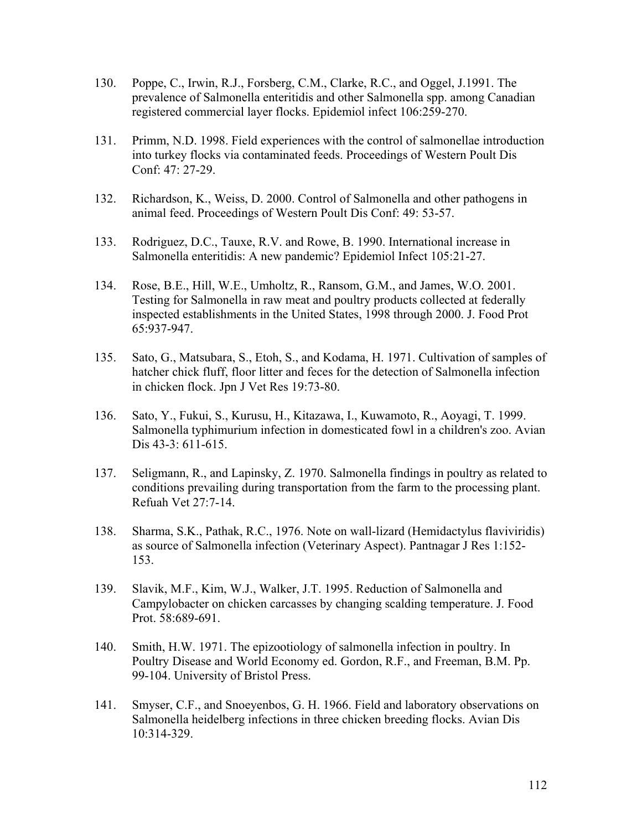- 130. Poppe, C., Irwin, R.J., Forsberg, C.M., Clarke, R.C., and Oggel, J.1991. The prevalence of Salmonella enteritidis and other Salmonella spp. among Canadian registered commercial layer flocks. Epidemiol infect 106:259-270.
- 131. Primm, N.D. 1998. Field experiences with the control of salmonellae introduction into turkey flocks via contaminated feeds. Proceedings of Western Poult Dis Conf: 47: 27-29.
- 132. Richardson, K., Weiss, D. 2000. Control of Salmonella and other pathogens in animal feed. Proceedings of Western Poult Dis Conf: 49: 53-57.
- 133. Rodriguez, D.C., Tauxe, R.V. and Rowe, B. 1990. International increase in Salmonella enteritidis: A new pandemic? Epidemiol Infect 105:21-27.
- 134. Rose, B.E., Hill, W.E., Umholtz, R., Ransom, G.M., and James, W.O. 2001. Testing for Salmonella in raw meat and poultry products collected at federally inspected establishments in the United States, 1998 through 2000. J. Food Prot 65:937-947.
- 135. Sato, G., Matsubara, S., Etoh, S., and Kodama, H. 1971. Cultivation of samples of hatcher chick fluff, floor litter and feces for the detection of Salmonella infection in chicken flock. Jpn J Vet Res 19:73-80.
- 136. Sato, Y., Fukui, S., Kurusu, H., Kitazawa, I., Kuwamoto, R., Aoyagi, T. 1999. Salmonella typhimurium infection in domesticated fowl in a children's zoo. Avian Dis 43-3: 611-615.
- 137. Seligmann, R., and Lapinsky, Z. 1970. Salmonella findings in poultry as related to conditions prevailing during transportation from the farm to the processing plant. Refuah Vet 27:7-14.
- 138. Sharma, S.K., Pathak, R.C., 1976. Note on wall-lizard (Hemidactylus flaviviridis) as source of Salmonella infection (Veterinary Aspect). Pantnagar J Res 1:152- 153.
- 139. Slavik, M.F., Kim, W.J., Walker, J.T. 1995. Reduction of Salmonella and Campylobacter on chicken carcasses by changing scalding temperature. J. Food Prot. 58:689-691.
- 140. Smith, H.W. 1971. The epizootiology of salmonella infection in poultry. In Poultry Disease and World Economy ed. Gordon, R.F., and Freeman, B.M. Pp. 99-104. University of Bristol Press.
- 141. Smyser, C.F., and Snoeyenbos, G. H. 1966. Field and laboratory observations on Salmonella heidelberg infections in three chicken breeding flocks. Avian Dis 10:314-329.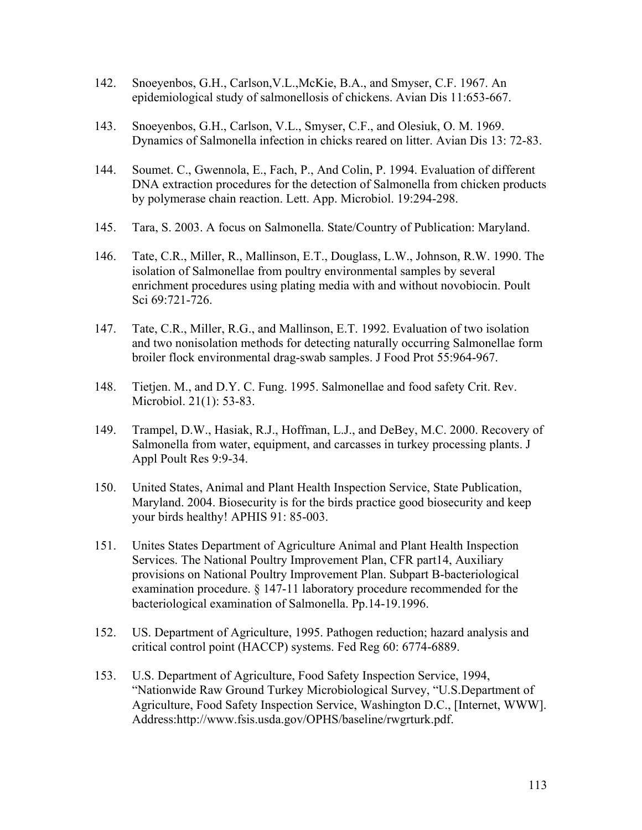- 142. Snoeyenbos, G.H., Carlson,V.L.,McKie, B.A., and Smyser, C.F. 1967. An epidemiological study of salmonellosis of chickens. Avian Dis 11:653-667.
- 143. Snoeyenbos, G.H., Carlson, V.L., Smyser, C.F., and Olesiuk, O. M. 1969. Dynamics of Salmonella infection in chicks reared on litter. Avian Dis 13: 72-83.
- 144. Soumet. C., Gwennola, E., Fach, P., And Colin, P. 1994. Evaluation of different DNA extraction procedures for the detection of Salmonella from chicken products by polymerase chain reaction. Lett. App. Microbiol. 19:294-298.
- 145. Tara, S. 2003. A focus on Salmonella. State/Country of Publication: Maryland.
- 146. Tate, C.R., Miller, R., Mallinson, E.T., Douglass, L.W., Johnson, R.W. 1990. The isolation of Salmonellae from poultry environmental samples by several enrichment procedures using plating media with and without novobiocin. Poult Sci 69:721-726.
- 147. Tate, C.R., Miller, R.G., and Mallinson, E.T. 1992. Evaluation of two isolation and two nonisolation methods for detecting naturally occurring Salmonellae form broiler flock environmental drag-swab samples. J Food Prot 55:964-967.
- 148. Tietjen. M., and D.Y. C. Fung. 1995. Salmonellae and food safety Crit. Rev. Microbiol. 21(1): 53-83.
- 149. Trampel, D.W., Hasiak, R.J., Hoffman, L.J., and DeBey, M.C. 2000. Recovery of Salmonella from water, equipment, and carcasses in turkey processing plants. J Appl Poult Res 9:9-34.
- 150. United States, Animal and Plant Health Inspection Service, State Publication, Maryland. 2004. Biosecurity is for the birds practice good biosecurity and keep your birds healthy! APHIS 91: 85-003.
- 151. Unites States Department of Agriculture Animal and Plant Health Inspection Services. The National Poultry Improvement Plan, CFR part14, Auxiliary provisions on National Poultry Improvement Plan. Subpart B-bacteriological examination procedure. § 147-11 laboratory procedure recommended for the bacteriological examination of Salmonella. Pp.14-19.1996.
- 152. US. Department of Agriculture, 1995. Pathogen reduction; hazard analysis and critical control point (HACCP) systems. Fed Reg 60: 6774-6889.
- 153. U.S. Department of Agriculture, Food Safety Inspection Service, 1994, "Nationwide Raw Ground Turkey Microbiological Survey, "U.S.Department of Agriculture, Food Safety Inspection Service, Washington D.C., [Internet, WWW]. Address:http://www.fsis.usda.gov/OPHS/baseline/rwgrturk.pdf.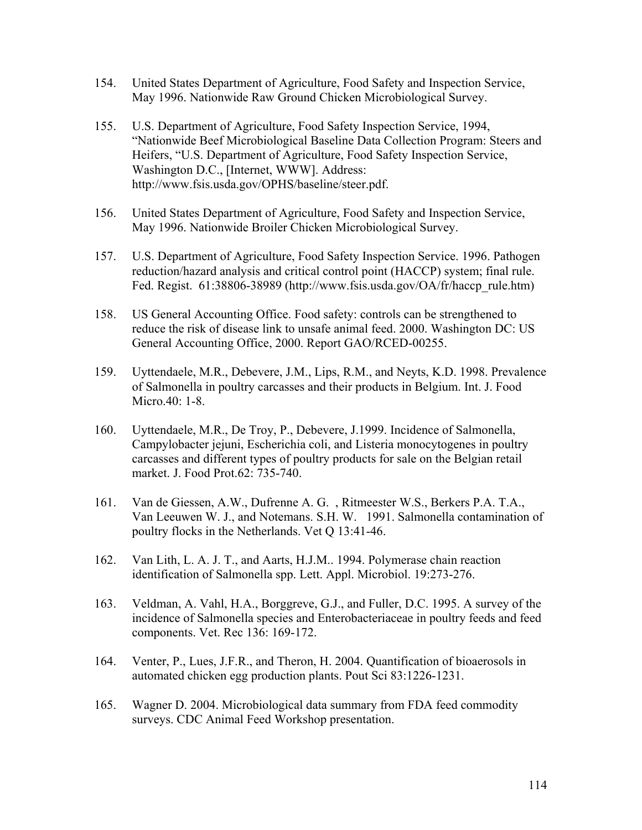- 154. United States Department of Agriculture, Food Safety and Inspection Service, May 1996. Nationwide Raw Ground Chicken Microbiological Survey.
- 155. U.S. Department of Agriculture, Food Safety Inspection Service, 1994, "Nationwide Beef Microbiological Baseline Data Collection Program: Steers and Heifers, "U.S. Department of Agriculture, Food Safety Inspection Service, Washington D.C., [Internet, WWW]. Address: http://www.fsis.usda.gov/OPHS/baseline/steer.pdf.
- 156. United States Department of Agriculture, Food Safety and Inspection Service, May 1996. Nationwide Broiler Chicken Microbiological Survey.
- 157. U.S. Department of Agriculture, Food Safety Inspection Service. 1996. Pathogen reduction/hazard analysis and critical control point (HACCP) system; final rule. Fed. Regist. 61:38806-38989 (http://www.fsis.usda.gov/OA/fr/haccp\_rule.htm)
- 158. US General Accounting Office. Food safety: controls can be strengthened to reduce the risk of disease link to unsafe animal feed. 2000. Washington DC: US General Accounting Office, 2000. Report GAO/RCED-00255.
- 159. Uyttendaele, M.R., Debevere, J.M., Lips, R.M., and Neyts, K.D. 1998. Prevalence of Salmonella in poultry carcasses and their products in Belgium. Int. J. Food Micro.40: 1-8.
- 160. Uyttendaele, M.R., De Troy, P., Debevere, J.1999. Incidence of Salmonella, Campylobacter jejuni, Escherichia coli, and Listeria monocytogenes in poultry carcasses and different types of poultry products for sale on the Belgian retail market. J. Food Prot.62: 735-740.
- 161. Van de Giessen, A.W., Dufrenne A. G. , Ritmeester W.S., Berkers P.A. T.A., Van Leeuwen W. J., and Notemans. S.H. W. 1991. Salmonella contamination of poultry flocks in the Netherlands. Vet Q 13:41-46.
- 162. Van Lith, L. A. J. T., and Aarts, H.J.M.. 1994. Polymerase chain reaction identification of Salmonella spp. Lett. Appl. Microbiol. 19:273-276.
- 163. Veldman, A. Vahl, H.A., Borggreve, G.J., and Fuller, D.C. 1995. A survey of the incidence of Salmonella species and Enterobacteriaceae in poultry feeds and feed components. Vet. Rec 136: 169-172.
- 164. Venter, P., Lues, J.F.R., and Theron, H. 2004. Quantification of bioaerosols in automated chicken egg production plants. Pout Sci 83:1226-1231.
- 165. Wagner D. 2004. Microbiological data summary from FDA feed commodity surveys. CDC Animal Feed Workshop presentation.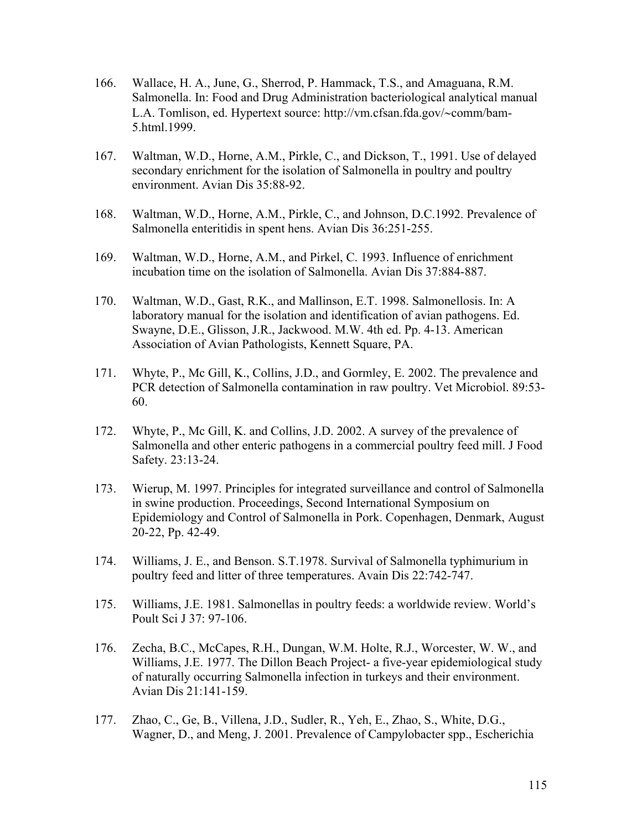- 166. Wallace, H. A., June, G., Sherrod, P. Hammack, T.S., and Amaguana, R.M. Salmonella. In: Food and Drug Administration bacteriological analytical manual L.A. Tomlison, ed. Hypertext source: http://vm.cfsan.fda.gov/∼comm/bam-5.html.1999.
- 167. Waltman, W.D., Horne, A.M., Pirkle, C., and Dickson, T., 1991. Use of delayed secondary enrichment for the isolation of Salmonella in poultry and poultry environment. Avian Dis 35:88-92.
- 168. Waltman, W.D., Horne, A.M., Pirkle, C., and Johnson, D.C.1992. Prevalence of Salmonella enteritidis in spent hens. Avian Dis 36:251-255.
- 169. Waltman, W.D., Horne, A.M., and Pirkel, C. 1993. Influence of enrichment incubation time on the isolation of Salmonella. Avian Dis 37:884-887.
- 170. Waltman, W.D., Gast, R.K., and Mallinson, E.T. 1998. Salmonellosis. In: A laboratory manual for the isolation and identification of avian pathogens. Ed. Swayne, D.E., Glisson, J.R., Jackwood. M.W. 4th ed. Pp. 4-13. American Association of Avian Pathologists, Kennett Square, PA.
- 171. Whyte, P., Mc Gill, K., Collins, J.D., and Gormley, E. 2002. The prevalence and PCR detection of Salmonella contamination in raw poultry. Vet Microbiol. 89:53- 60.
- 172. Whyte, P., Mc Gill, K. and Collins, J.D. 2002. A survey of the prevalence of Salmonella and other enteric pathogens in a commercial poultry feed mill. J Food Safety. 23:13-24.
- 173. Wierup, M. 1997. Principles for integrated surveillance and control of Salmonella in swine production. Proceedings, Second International Symposium on Epidemiology and Control of Salmonella in Pork. Copenhagen, Denmark, August 20-22, Pp. 42-49.
- 174. Williams, J. E., and Benson. S.T.1978. Survival of Salmonella typhimurium in poultry feed and litter of three temperatures. Avain Dis 22:742-747.
- 175. Williams, J.E. 1981. Salmonellas in poultry feeds: a worldwide review. World's Poult Sci J 37: 97-106.
- 176. Zecha, B.C., McCapes, R.H., Dungan, W.M. Holte, R.J., Worcester, W. W., and Williams, J.E. 1977. The Dillon Beach Project- a five-year epidemiological study of naturally occurring Salmonella infection in turkeys and their environment. Avian Dis 21:141-159.
- 177. Zhao, C., Ge, B., Villena, J.D., Sudler, R., Yeh, E., Zhao, S., White, D.G., Wagner, D., and Meng, J. 2001. Prevalence of Campylobacter spp., Escherichia